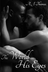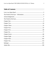## **Table of Contents**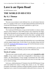# <span id="page-2-0"></span>**Love is an Open Road**

*An M/M Romance series*

# **THE WORLD IN HIS EYES**

## **By A.J. Thomas**

### **Introduction**

The story you are about to read celebrates love, sex and romance between men. It is a product of the *Love is an Open Road* promotion sponsored by the *Goodreads M/M Romance Group* and is published as a gift to you.

#### **What Is Love is an Open Road?**

The *Goodreads M/M Romance Group* invited members to choose a photo and pen a letter asking for a short M/M romance story inspired by the image; authors from the group were encouraged to select a letter and write an original tale. The result was an outpouring of creativity that shone a spotlight on the special bond between M/M romance writers and the people who love what these authors do.

A written description of the image that inspired this story is provided along with the original request letter. If you'd like to view the photo, please feel free to join the [Goodreads M/M Romance Group](http://www.goodreads.com/group/show/20149-m-m-romance) and visit the discussion section: *Love is an Open Road*.

No matter if you are a long-time devotee to M/M Romance, just new to the genre or fall somewhere in between, you are in for a delicious treat.

#### **Words of Caution**

This story may contain sexually explicit content and is **intended for adult readers.** It may contain content that is disagreeable or distressing to some readers. The *M/M Romance Group* strongly recommends that each reader review the General Information section before each story for story tags as well as for content warnings.

Each year, a dedicated group of Volunteers from the M/M Romance Group work hard behind the scenes to bring these stories to you. Our Editors, Formatters, Proofreaders, and those working on Quality Assurance, spend many long hours over a course of several months so that each Event is a success. As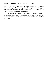each and every author also gives freely of their time and talent, it was decided that all edits suggested may be accepted or rejected by the author at any given time. For this reason, some stories will appear to be more tightly edited than others, depending on the choice of the author.

This story is a work of fiction. Names, characters, places and incidents are the products of the author's imagination or are used fictitiously. Any resemblance to actual events, locales, or persons, living or dead, is entirely coincidental.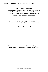All rights reserved worldwide.

This eBook may be distributed freely in its entirety courtesy of the Goodreads M/M Romance Group. This eBook may not be sold, manipulated or reproduced in any format without the express written permission of the author.

The World in His Eyes, Copyright © 2015 A.J. Thomas

Cover Art by A.J. Thomas

This ebook is published by the *M/M Romance Group* and is not directly endorsed by or affiliated with Goodreads Inc.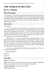# <span id="page-5-0"></span>**THE WORLD IN HIS EYES By A.J. Thomas**

## **Photo Description**

A screenshot of a chat session from an online dating app. The conversation is one-sided, opening with a compliment, then a selfie of a grinning young man with dark skin and a charming smile. His last message begins by announcing his race like a disclaimer: "It's okay if you're not into black guys… a lot of people on here aren't."

### **Story Letter**

*Dear Author,*

Larry is a flirt and a sweet guy under a bit of swagger. He is tired of one *night stands and wants to find a real relationship but he has a hard time staying away from the hook-up sites. Because… sex. Larry feels the sting of being rejected automatically because of his race. But he still has a positive attitude and rolls with the punches. He won't ignore elephants in the room, however; which sometimes leaves people uncomfortable.*

*"Beautiful eyes" is a snarky, young, driven professional who won't be guilted into making a connection. He isn't even looking for Mr. Right… but he likes Larry's open face and broad shoulders and is charmed despite himself. Will "Eyes" give Larry a chance when his friends (or colleagues, family) seem less than enthusiastic? Can he grow up enough to accept a relationship that requires some work and commitment?*

*Can Larry set aside his patter and flirtatiousness enough to let "Eyes" see the sensitive guy hiding?*

Please no BDSM.

*Sincerely,*

*Kimberly*

#### **Story Info**

#### **Genre:** contemporary

**Tags:** in the closet, coming out, medical personnel, computer programmer, interracial, grief, geek, men with pets, tearjerker, hurt/comfort

**Content Warnings**: secondary character death

**Word Count:** 45,035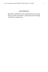### *Acknowledgements*

<span id="page-6-0"></span>Big thanks to Kimberly for her inspiring prompt, and to Kaje Harper, Jean McComb Partlow, and Aga Górszczak for helping to make this a stronger story.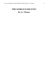# <span id="page-7-0"></span>**THE WORLD IN HIS EYES By A.J. Thomas**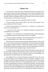#### **Chapter One**

<span id="page-8-0"></span>Larry bit back a curse when Davis rushed into the elevator with him. He'd spent a good chunk of his day cleaning up the mess Davis had handed off to him during the morning shift change. He didn't want to hear whatever excuses the other resident was going to make for his mistake. He just wanted to get out of the hospital, out of his scrubs, and relax.

"Aren't you supposed to be working this shift?" he asked.

"I've got a minute, and I wanted to talk to you," Davis said, panting. "I owe you a thank you for this morning."

It took conscious effort not to roll his eyes. "A 'thank you' would be nice, but I'm not worried about it."

"I was tired," Davis tried, as if exhaustion somehow absolved him of responsibility for his mistake.

"It happens," Larry said, trying to sound understanding. "Did Franklin give you a hard time about it? I didn't mean to get you in trouble."

"I'm not in trouble. Thank god." Davis kicked the floor of the elevator. "I guess a humiliating lecture is better than the alternative."

"Better than the woman from this morning coding when she walks out the door," Larry said, knowing the only thing Davis was worried about was failing his emergency medicine rotation. "Better than having whoever would have performed her autopsy tracking you down afterward and asking why the hell you discharged her without going through a simple checklist."

"It seemed simple enough. She said the pain had started a month ago, and she was stable. I had five red tag traumas come in. I had a drunk trying to take his neck collar off during an X-ray, and the fucking on-call cardiologist was determined not to admit anyone who still had a pulse."

Larry sighed. Davis was used to being the smartest kid in class. He was in the second rotation of his residency, but he'd somehow managed to avoid working in the ER during his internship when he should have been thrown into the thick of emergency medicine. He was still figuring out how to work within the chaos and get patients in and out as efficiently as possible. And beyond the chaos, he hadn't quite figured out how to cope with the abuse heaped on them by patients, the constant struggle to get on-call specialists to actually come in to the hospital, and the constant anxiety of wondering when things would blow up.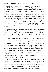"Don't," Larry insisted, holding up a hand to silence him. "Just don't. As far as Dr. Franklin is concerned, it was a mistake. But if you try to convince me you were just tired, I will call bullshit. What was it you said when you handed her case off to me yesterday morning?" Larry snapped his fingers. "What was it? 'She's just looking for a warm place to sleep and a Vicodin fix. I just haven't had time to get her out the door.' Remember? I don't care if you're tired, I don't care if you have every bed in the unit filled until morning. A person comes in with a headache, you do a neurological exam, no matter how long it takes you to get to it. You don't write patients off, even if they are junkies, just because you've gotten more involved with people sicker than them. And, Davis, if you're stupid enough to let a drunk trauma patient get to X-ray without being intubated and paralyzed, you brought that mess on yourself."

Santa Clara Valley Medical Center was one of the few county-run hospitals in the San Jose area. It provided treatment for everyone, whether they were insured or not. The ER typically saw up to a hundred people for "headaches" each night. Twice as many in the winter, when the temperature dropped close to freezing. Most were just drunk and needed someplace safe to pass out.

Too many trauma patients didn't make it in under their own power, but were brought in after accidents, and the drunks were always assholes. They never wore seat belts, and they never believed hitting their head against their windshield hard enough to leave a star in the glass could break their neck, so they fought and cursed, and sometimes even bit, to try to get up and leave. On Larry's team, it was standard practice to chemically paralyze, sedate, and intubate anyone who was brought in drunk or unconscious after a traumatic injury. He knew most new interns and residents balked at the idea, but they got over their discomfort quickly enough when they were reminded that the same drunk who just tried to stab them with his own IV catheter would, in six months' time, wheel his way into a court room to sue them all for failing to stop him from hurting himself in their ER.

It was the others who wandered in off the streets who were difficult for Larry. Some came in covered in cuts and bruises that they wouldn't talk about. Some were suffering from serious chronic conditions that had never been adequately treated. And some had been living on the fringes of society for so long, or coping with the lifelong effects of traumatic injuries for so long, they simply couldn't communicate when he asked them what was wrong.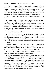So what if the majority of their patients were just jonesing for whatever their substance of choice was? Every now and then, there were cases like this morning's. The woman had been triaged before midnight, but they hadn't found a bed for her until nearly seven in the morning. Convinced she was just another junkie, Davis had shifted her to the bottom of their list of priorities and resolved to discharge her with a script for ten Vicodin, just to be done with it.

Thankfully, Davis's shift had ended and Larry's began before he'd signed the discharge order.

All Larry had done was perform a basic neurological exam. He hadn't actually been expecting her optic discs to be blurred and inflamed on examination. The odds of the CT scan he'd ordered, after consulting with their senior resident, showing anything had been slim, even then. When the radiology tech had pulled him aside at the nurses' station and whispered that the growth in the woman's brain was the size of a golf ball, he'd been as surprised as anybody.

"That's unfair," Davis insisted now.

He took a deep breath and let it out slowly. They all lived in terror of making mistakes, and the workload that guaranteed they'd all spend at least sixty hours or more a week in the ER didn't help. "Look, I'm not trying to be an asshole," he said honestly. "Mistakes happen. They happen to everybody. Stop making excuses for a mistake made yesterday and focus on doing the best you can today."

The elevator dinged and Larry shifted toward the door, his opportunity to escape. He strode through the doors as soon as there was enough room for him to slip through and then rolled his head to the side, working the kinks of a surprisingly long day shift from his neck before heading for his car.

He pretended he didn't hear the last words Davis muttered. "Wasting time and a four thousand dollar workup on a homeless junkie…"

He balled his hands into fists and forced himself to stay calm. There was no point to going back upstairs and trying to convince Davis to see the woman as a human being. Being homeless wasn't a crime, especially in San Jose where the programmers and engineers from all of the tech giants drove up the cost of rent until even a single bedroom in a shared apartment could cost well over a thousand dollars a month. Being homeless didn't mean she didn't deserve to be treated with basic dignity. The junkie thing might have been a safe assumption on Davis's part, but Larry didn't see how it made a difference. Being a drug addict didn't magically erase the growth in her brain.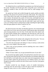He climbed into his car and fished his smartphone out of the back pocket of his scrubs. Normally, he'd hit the gym after a long shift, just to unwind, but tonight he needed to blow off more steam than he could manage with a workout.

He opened up Grindr and scrolled through the nearby profiles provided, pausing at the picture he'd noticed on his last coffee break. The young man wore a dress shirt in his selfie, even though he looked like he was only in his early twenties. He had pale skin, neatly cut brown hair, and bright-hazel eyes that sparkled with flecks of gold. There was a smile behind those eyes, but he was trying so hard to look serious that the smile didn't quite reach his lips. Larry was willing to bet he could get him to laugh. Spending the night making those lips gasp against his sheets would be fun, too.

\*\*\*\*

His phone buzzed on his desk, but Brandon ignored it. He clicked through each syntax error in the code on his monitor, following the object declarations and correcting mistakes every few lines. On the other side of the cubicle wall, he heard Daniel shutting down equipment and throwing his stuff into his backpack. He glanced at the clock in the bottom corner of the screen and cursed.

Daniel leaned over the cubicle wall, resting his chin on his arms. "Are you going to keep working on that?" he asked. "It's almost seven."

"Am I the only person here who thinks it's okay to send up a code section that won't even compile? Who does that?"

"That's why you got promoted, and the underling who wrote it didn't," Daniel reminded him.

Brandon glared at him.

"What? At least I didn't say you got promoted because of your dad."

He pressed his lips tightly together. His dad had been retired for four years now, leaving Atlas Software the year before Brandon even finished college. But he'd still had to work harder than every other entry-level programmer, just to prove he hadn't gotten his job because he was William Alcott's son. He'd thought his promotion would be the end of those rumors, but they'd just gotten more vicious.

Brandon worked his way through a series of variable declarations, correcting each one and trying to resist the urge to break his keyboard. Or change his name, move to a new company, and start over.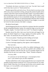"Everybody who knows you knows it isn't true. You don't have to pull twelve-hour days to prove it," Daniel pointed out.

Brandon ignored him and tried to focus. The fact that he was always in the office early, always stayed late working, and typically produced usable code in a quarter of the time it took everyone else didn't matter. It was still his father's portrait that hung over the reception desk in the lobby, still his father's stock that controlled the majority of votes in shareholder meetings. He wished his dad had taken him aside, when he was entertaining happy delusions about working his way up to the top and taking Atlas Software to new heights, to warn him he'd never be taken seriously at his father's company.

His phone buzzed again.

Daniel disappeared into his own cubicle for a moment, then dove around the divider and grabbed Brandon's phone. He swiped his finger across the screen. "Naughty, naughty. You keep Grindr on at work?" he whispered, laughing.

Brandon shoved his office chair away from the desk and lunged for the phone, but Daniel slipped out of range, tapping at his phone quickly. "Oh, that's lame," he announced, his eyes fixated on the screen.

"Give me my phone," Brandon growled, holding out his hand.

"Oh fine." He plopped it in Brandon's hand and shrugged.

A series of messages popped up, blue against a dark background.

*Your eyes man…*

Beneath the first message was a selfie of an athletic-looking guy with a bright smile, dark brown skin, and eyes that sparkled with confidence and amusement. Brandon could tell from the way his sweatshirt draped over his shoulders that the man was in great shape. "Damn," Brandon whispered.

#### *I'm Larry, BTW*

*It's cool if you are not into black guys—a lot of people on here aren't. I just wanted to give you that compliment.*

Brandon studied those words, trying to gauge the best way to respond. It felt insulting, having someone assume he was a racist just because he was white. But he couldn't deny that a lot of the gay men he knew never seemed to date black guys, so it was probably a safe assumption on Larry's part.

"What's lame about it?"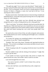"The guilt-trip angle? You've never seen that before?" Daniel asked. "A few guys I played football with in high school used that line on cheerleaders all the time. 'You're so beautiful. I know you'd never consider going out with me because I'm black, or Hispanic, or poor, but I just had to tell you.' It was amazing how often it worked."

Brandon stared at him. Cheerleaders had never been his thing. Football and basketball players, on the other hand, played starring roles in every high school fantasy he could remember.

"Well, congrats. Those freaky eyes have officially been declared cute enough that you're worthy of being picked up with a cheap guilt-trip."

"They're not freaky," he insisted, rolling his chair back toward the desk. He liked his eyes. While most hazel eyes were a muted brown, his eyes were green with flecks of golden brown that formed sunburst patterns around his pupils. But aside from Daniel insisting they were weird, most people didn't even notice.

He stared at the screen in front of him, not really seeing the code anymore. The reminder that his eyes weren't anything special brought Larry's comments into perspective.

"It's Grindr. He's going to say something he thinks is witty and then ask to see a picture of your dick," Daniel reminded him.

"Probably. That's part of the charm," Brandon said, ignoring his phone on the desk. "You can have an intelligent conversation and admit you just want to get laid all in one go."

"Well, I'm going to take off. I was going to hit the bar later if you feel like showing up."

Brandon nodded in time with the clicking of his keyboard. "I might. But I've got to get this done."

It took another two hours to get the damn code section to compile. His phone buzzed once more, but he didn't check it until he was done.

Larry had messaged him twice more.

*You want to meet for a drink? I work in Santa Clara, and my shift ended at 7.*

An hour and a half later, Larry had followed up with a simple text:

*I guess not.*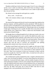Brandon scrolled up to look at his picture again. Even if it was a cheap pick up line, Larry's smile was infectious. After twelve hours of sitting at a desk, staring at a computer monitor, it would be nice to see a smile so open and fun that was just for him.

He clicked on the message bar and typed out a careful:

*Sorry, work… I'm free now.*

After a few minutes without a reply, he tried again.

*Place?*

He turned off his laptop and shoved it into his messenger bag, shutdown his desktop computer, and then grabbed his jacket and phone. With the phone in his back pocket, he headed down to the ground floor and then walked the two blocks to the garage where he parked his car. When he got to his car, he opened Grindr again, checking out Larry's profile. He didn't have a face shot set as his profile picture, just a naked torso. Albeit, a naked torso that Brandon could easily picture himself licking.

He thought about scrolling through the list of other guys nearby who were online, but he kept going back to Larry's profile. Hot naked torso aside, Larry not only looked like he had a genuine, open smile, but he was also one of the few people Brandon had seen on Grindr who used punctuation. Punctuation with full words, no less. After spending ten hours cleaning up C++ syntax, anyone who took the time to correctly use punctuation and spelling automatically seemed sexier than everyone else on Grindr.

Brandon texted Daniel and found out he'd caught up with some of their other friends and gone out to Rebels. One of the few gay bars in the area that didn't have a flashy club feel, it was a decent place to meet someone for the first time. There was no pressure to dress up, no pressure to dance, and the crowd was usually fun. And if Larry didn't show, or turned out to be a jerk, at least he wouldn't be there alone.

His wrinkled slacks and his rumpled dress shirt, complete with button-down collar, were a bit formal for Rebels. It was the closest thing San Jose had to a leather bar. It attracted all kinds of guys, with the notable exception of the few nerds unfortunate enough to work for a tech company that still imposed a dress code. He folded his dress shirt and set it in the backseat of his car, untucked his rumpled undershirt, and spent a few minutes trying to make his hair look a bit more fun. He didn't look great, but at least he didn't look like he came equipped with a stick permanently shoved up his ass.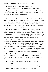He pulled up Grindr once more and sent another text.

#### *Rebels? I'll be there for a bit, hanging out with some friends.*

He tapped out the letters carefully then hit "send." If Larry decided to meet him, they might be able to have some fun. If not, well, he didn't hang out with his friends enough outside of work anyway.

\*\*\*\*

The warm water rolled over his head and neck, trickling down his back, rinsing away the sweat from his workout and the lingering stress of his shift. Despite the relative ease of day shifts, Larry seldom made it through a shift without having to burn off some tension. Whether he lifted weights at the gym, went out to party, or found someone to get sweaty with, he had to move—even after spending twelve hours on his feet.

But once the nervous energy was spent, once he was exhausted and he stopped running through the day's cases in his head, terrified he might have missed something, he was good. Even if the boy with those gorgeous eyes ended up blocking him rather than giving him the time of day. He got dressed in the locker room, grateful for the familiar feel of blue jeans against his skin rather than starched scrubs, then packed up and headed for his car.

"Rebels?" he muttered. Splash, the newer club in downtown, was more his scene. Rebels was popular with everyone from old bears to the most glamorous queens San Jose had to offer. But like so many gay bars, it was practically whitewashed. Getting in was a headache. He hated standing at the bar while the bartender served everyone else around him without even making eye contact with him. And aside from the few self-proclaimed power bottoms who'd beeline for him, driven by the stereotype that his skin color somehow equated to having a bigger cock than everyone else, he always felt invisible.

He stared at Hazel Eyes's profile again, trying to get a feel for what the man behind the image might be like. Trying to pick up guys through an app in the heart of Silicon Valley meant you could bet every selfie and picture a person shared was edited and retouched to make them look hot.

He wanted those eyes to be real, though, so he quickly replied.

#### *I'll be there.*

As he was heading to his car, August's ringtone blared from his phone.

"Hello, beautiful," he answered immediately. "What's up?"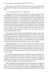"Hey, Larry, are you busy?" she asked. Her tone was sweet and hesitant, and anybody else might not have picked up on the panicked edge her voice held.

"I'm never too busy for you," he said honestly.

August had, technically, been his girlfriend for almost a decade. They'd been neighbors in the same Oakland apartment complex when they were growing up. She'd been the first, really the only, person he'd confided in when he realized that his mother's deteriorating health was serious. When they'd started dating at thirteen, it had seemed like a natural extension of their friendship. It had been perfect, even if he didn't particularly like kissing her. He would have married her years ago if she'd been willing. She's always refused, saying she'd tell him when things felt right. During the end of the freshman year of college, when he'd gone to pick her up from her sister Tori's bachelorette party, she'd caught him staring at the male stripper, and all the pieces clicked into place for her.

"You want to marry a girl your mom thinks is nice and give your mom a grandchild before she dies," August had said simply. "You don't want me. You love me, and lord knows I've loved you for forever, but you don't want me. Sex isn't supposed to be a chore, baby. I can't spend the rest of my life knowing you're never going to look at me the way you looked at him. And you shouldn't spend the rest of your life pretending that what we've got is enough."

And she'd been right. He was his mom's only child. As he grew up, he'd watched his mother's cancer grow and enter remission, over and over, in a long downward spiral that had left her stuck in a nursing home these last two years. He'd known he wouldn't have an entire lifetime with her, to make her proud of the man he might someday become. He'd wanted to make the most of the time they were given.

He had never wanted to admit he was attracted to men. His mother, who clung to her Catholic faith in her weakest moments, could never be proud of a gay son. He'd even held out hope that as long as he could work through the mechanics of having sex with August he might just be weird. Straight, but weird. When he suggested it, August had just laughed at him.

Aside from his fear of disappointing his mom, breaking up with August had been a relief. He'd never realized how unfair it had been to ask August to condemn herself to a life as his wife, but once he'd apologized, they'd fallen back into the seamless friendship he'd relied on his entire life, and she'd moved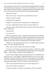on to find the love of her life. He'd lost his long-term girlfriend, but he'd gotten his best friend back in the process. And she was still willing to come visit his mom with him. That alone left him so grateful he choked on the feeble "thank you" he murmured every time they left the nursing home together.

"What do you need?"

"My car won't start," she said, her tone cheerful but stressed.

"Where are you?" he asked.

"Outside of the Temple Bar."

"Temple?" Larry had no clue what place she was talking about.

"It's just a couple blocks from the club you always drag me to."

"That strip of bars off West Santa Clara? The ones on First or Second?" he asked, making sure.

"Second Street."

"I'm on my way."

In the dense downtown traffic, it took him nearly half an hour. Thankfully, August was standing with a group of friends, safe and sound, when he slowed down. She waved and darted toward him, slipping between the parked cars along the side of the road and wrenching open the passenger side door.

"Thank you!" She slammed the door shut. "I'm parked right around the corner," she said, pointing to the right.

"Okay. Sorry I'm late. Traffic sucks down here at night."

"It's okay. I'm just glad you answered your phone. I would have called Jayden or my dad, but—" She dropped her head back and let out an exasperated laugh. "—either of them would have had an absolute fit."

"I don't want to imagine what your dad would say if you called him for a ride from a bar," Larry agreed. "Especially because your car won't start." Calling him for a ride would mean an hour of lectures about how she shouldn't be out late, shouldn't be hanging out in bars, and should have kept her car maintained well enough to know it would start when she needed it.

"Do me a favor and pull around, so you can park facing my car."

"Sure. All you need is a jump start?"

"I need a new battery. Or maybe a new alternator. We'll see, I guess."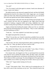"We will?"

"Yes. If we jump it, and it dies again in a minute, I need a new alternator. If it runs, I need a new battery."

He pulled around as she instructed, popped the hood, and then felt blindly underneath the hood for the release lever while August got a set of jumper cables out of her trunk. When she joined him between the two cars, she shoved him aside and opened the hood without fumbling with it at all.

He took the jumper cable ends when she shoved them into his hands, but he wasn't entirely sure how this was supposed to go. High school shop had consisted of making a magazine holder and wiring a lightbulb, but a halfrecalled warning about grounding out something or other made him hesitate.

August, already done hooking the jumper cables up to her car, took them back from him and hooked them up to his battery. "They're color-coded baby, just like hooking up an EKG."

"Yeah, but… Can't they explode if you hook them up wrong?"

She sighed and patted him on the arm.

"What? I'm sure they can. I heard it somewhere, probably from your dad. Should I go ahead and start mine?" he asked as she turned back toward the other engine.

"One second," she said, connecting the black cable to something on the far side of her car. "Okay, go ahead. Just start it and let it idle."

"Uh…" He pointed to the stray end of the cable.

She pinched the bridge of her nose and smiled. "Larry, baby, if I have a heart attack, I'll let you do your thing. Go start your car."

Five minutes later, she hopped out of her car and shooed him toward the curb when he went to unhook the jumper cables. He didn't argue, just pulled out his phone and pulled up his conversation with Hazel Eyes one more time. There'd been no follow up message. No acknowledgement of his agreement to meet at Rebels, but no follow-up asking why he hadn't shown up yet, either.

"Who's he?" August asked, leaning over his arm.

"A guy."

"A guy?" She pouted a little. "Wow, thank you for pointing that out. I'd have never come to that conclusion on my own." She cocked her head to the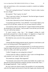side and stared down at the conversation recorded in colorful text bubbles. "He's white."

"Now who's stating the obvious?" he shot back. "Yeah, he's white. Look at his eyes, though."

She squinted. "They're green. So what?"

"They've got stars in them," he whispered. "Not like the figure of speech. See, gold all around the inside."

"Is that what I distracted you from? Staring into his eyes?"

"I was going to go meet him," Larry admitted. "I was trying to figure a way to ask if he was still there, maybe see if we can meet tomorrow instead."

"You stood up a date to come help me?" August looked touched and then she flicked him in the forehead. "And you didn't even tell him you'd be late! You can't still be that clueless."

"It wasn't exactly a date. Just…" He shrugged, wishing he could psychically persuade her to drop the subject. As supportive as August had proven to be, talking to her about his sex life was still weird.

She folded her arms across her chest, pursing her lips.

"What?"

"All that talk about finding someone special, someone to come home to, and you're out fucking around? What happened to Ty?"

Larry stepped back, just in case she got pissed. Ty was the most recent in a long list of guys she had tried to set him up with. "We went out! Well, we sort of met for coffee, and it didn't go anywhere."

"Coffee? I thought you were taking him to dinner?"

"I always meet for coffee or a drink first. I don't want to sit through dinner with someone I can't stand. We didn't hit it off."

"He seemed nice, though. What happened?"

"You honestly want to know? He wanted a fuck-buddy who wouldn't care about the fact that his girlfriend is pregnant with their second child. That's…" He shrugged hopelessly. "I don't want that."

He wasn't quite sure what he wanted. The possibility of a real relationship, with all of the support and security he'd had with August, plus chemistry and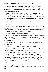excitement too, was damn tempting. He enjoyed sex, but he wanted a lover he could come home to and take out to dinner. He wanted to wake up next to someone he could actually hold a conversation with. Being someone's dirty secret wasn't going to cut it.

August looked disgusted. "She's pregnant again? That bastard! He told me they broke up over two years ago!" She brought both her hands to her temples, obviously fighting off a headache. "You know what? It doesn't matter. I'm sorry. I thought he was single. He's open about being into guys at work, so I just assumed…"

"Oh, he's definitely into guys, he just wants to keep it on the down low."

"I'm sorry."

"It's fine, Gus. It happens more often than you'd think. You think your car is going to be able to get you home?" he asked, desperate to change the subject before she pointed out that he was essentially doing the same thing, by trying to keep up the charade of their relationship to his mother.

"I hope so. Would you mind following me, just in case?"

He followed her back to her apartment, being careful to stay behind her in case her car stalled on the road. When they got to her parking lot, she pulled into her spot and killed the engine. A moment later, she was out of her car, lifting the hood again.

"It won't start again," she announced. "But at least it's here and not some place it's going to be impounded."

"You going to be okay for now? You have to work tomorrow?"

"Nope. I've got the entire weekend off. I was going to go to Santa Cruz, but I guess that's a bust now. You going to visit your mom?"

"It's the weekend," he said simply. "My weekend, anyway." The nursing home where his mom lived was in Oakland, and with traffic, it usually took him an hour to get up there. Add a couple of hours to visit and an hour sitting in traffic on the way home and there was no chance of making the drive on a day when he had to work, but he made a point to go on one of his days off each week. "I'm going to try to go up on Sunday."

"How's she doing?"

Larry shrugged. "The same as always." The last time he'd seen his mom, she hadn't been doing well, but that wasn't exactly a change from the previous time.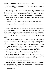She slammed the hood and stared at him. "Sorry. Do you want me to come with you to visit her?"

"No," he said, knowing the visits made August uncomfortable. He was grateful that she'd indulged his request to keep their breakup a secret from his mom, but it was getting weird for both of them. "No, that's okay. She's probably going to have me trying to fix her laptop for the entire afternoon."

"If you change your mind, give me a call, okay? It's the least I can do, since you came to my rescue."

"Any time, Gus. But… are we good? 'Cause I was going to go and…"

"You got me and my car home safe—thank you for that—go have fun."

\*\*\*\*

Brandon stepped back to let Daniel move by him, stepping around the corner of the billiards table. For a Friday night, Rebels was fairly subdued that is, it wasn't packed full of men in underwear, various states of drag, and leather harnesses. Daniel lined up his shot, missed spectacularly, and then nodded to Josh. He lined up a shot quickly, sank the eight ball easily, and smirked.

Josh was the most flamboyant of his friends, the one most often to show up in heavy eyeliner and impossibly tight pants. They'd known each other since high school, gravitating together when it became painfully obvious they were the only two openly gay kids around. They'd spent high school drooling over the jocks on the football and baseball teams. It had taken discovering Rebels when they were in college to find that there were plenty of openly gay men who could fulfill their jock fantasies, just none on their high school teams.

"You're going to give me a bit more of a challenge, right, Bran?"

He checked his phone one more time. Email from work, email from his father offering what must have sounded to his father like sagely career advice, but nothing from his mysterious Larry. Nothing from Grindr at all.

"Think he's going to show up?" Daniel asked.

Brandon shrugged and didn't resist as Josh snagged his phone. "This guy?" he asked, pulling up the Grindr profile. "Oh, tell me you didn't make plans to meet him," Josh said with a groan.

"You know him?"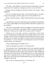"Not really," Josh admitted. "I took him home one night about a year ago, maybe more. He's hung like a fucking horse, but he was a total douche."

Brandon stood up straight and shoved his hands in his pockets. "What happened?"

"We met at Splash, danced a little, and I invited him back to my place. Things were going great, until his pager went off in the middle of sex."

Daniel's arched an eyebrow. "Pager? What the hell does anyone use a pager for?"

Josh nodded, his expression conjuring up all of the offense he'd apparently felt. "I know, right? Might as well just get 'DRUG DEALER' tattooed across his forehead."

"Josh, I know you get high," Daniel said, laughing. "Do you know any drug dealers who are still stuck using pagers? When a prepaid cell phone is anonymous, cheap, and you can get one at any gas station or Walmart?"

"Maybe he can't even make a living as a drug dealer, I don't know. Anyway, he kept going, and I figured he was just going to ignore it. No. It went off again, and he was gone. He grabbed his pants and socks and left. I mean, seriously, you can't spare two minutes to suck me off after you just fucked me? No 'good-bye,' no 'sorry about this' or anything. He was just out the door. Trust me, Bran, you're better off."

"He just stopped right in the middle of sex?"

"Yeah. No message the next day, no 'sorry about shit.'"

"He sounds like an ass," Brandon agreed. Josh's story should have quelled his disappointment, but it didn't. He had no doubt they'd slept together, no doubt Larry had taken off, but he knew Josh was quick to make assumptions and quicker still to take offense. He thought about Larry's smile and his open eyes, and he wondered just how Larry's account of events might differ. He didn't know why he felt like he should defend the guy since they hadn't even managed to chat online.

"He's a total ass. Shoot pool with us. You're better off."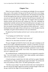#### **Chapter Two**

<span id="page-23-0"></span>When Larry got to Rebels, it was already past midnight. He was surprised there wasn't a line outside. He dug out his ID and cash for the cover charge, and headed toward the bouncer working the door. He mentally braced himself for the interrogation that came every time he tried to get into Rebels—the "Are you sure you're in the right club?" questions from the bouncer intended to tell him he was definitely not in the right club. He stopped when he spotted a familiar jawline and soft brown hair coming out of the club. Although the professional wardrobe and neat hair from his profile picture were gone, it was still him. He wore a close-fitting white T-shirt and dark slacks. His dark-brown hair was tousled, almost like he'd just rolled out of bed, and his eyes… Larry's breath picked up at the sight of those soft hazel eyes. In the dim glow from the streetlights, the gold-colored starbursts in his eyes shimmered.

He glanced up from his phone and met Larry's nervous smile with one of his own.

"I was hoping you'd still be here," Larry said.

Hazel Eyes smiled. "I was about to give up on you."

"About to? So, that means you haven't yet, right?"

The guy shrugged and tilted his head to the side, gaze sweeping up and down Larry in open, unabashed assessment. "Grindr's a crap shoot. I try not to set my expectations too high. Sometimes people don't show up; sometimes they show up drunk, high, or with a bunch of friends; sometimes it turns out they used a stock photo for their profile. You're here. That counts for something, and you're apparently real."

He considered the guy, wondering just how he was supposed to respond to that. "I try to be honest, even online. I don't think anybody could mistake a selfie of me in scrubs for a stock photo."

A hazel-eyed gaze roamed down his body and back up again, blatantly checking him out. The guy caught his gaze again and smiled. "So are those abs from your profile pic really yours?" he asked, grinning like a tomcat.

"I do like to stay in shape," he said. He took the other man's hand gently by the wrist and set his fingers against his stomach, tensing enough to make sure the guy could feel the ridges of his abs through his shirt.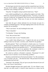His hazel gaze moved to his stomach and then roamed back up to his face. The guy moved suddenly, wiggling his fingertips over Larry's stomach and around his waist, tickling as he moved.

"Stop that," he laughed, trying to push his hand away. "Stop!"

Larry ended up grabbing his arm, pulling them against each other. They both froze, struck by the heat of the sudden proximity. "You know, I'm still not sure *you're* really real," he whispered. They were so close he could feel the heat radiating from his body. "Those eyes of yours are even more amazing in person."

And when the guy's cheeks darkened, his eyes became one part of a complete, breathtaking picture. The huge laughing smile on his face left Larry stunned. He was beautiful.

"They're just hazel," he said, brushing his hair aside.

"They're beautiful."

"I'm Brandon," the guy said, blushing.

"Larry. But you know that."

"Your name really is Larry?" Brandon asked.

Larry couldn't help rolling his eyes. "I might be the only one on Grindr willing to share my real name. Lawrence, yeah. Named for my grandpa."

Brandon grinned. "That's cool. Brandon's a family name, too. I've never met the uncle I'm named after, though. Do you have a place around here? We could probably go back to my apartment, but it's…" He looked hopelessly lost for a moment. "We can't go to my apartment. My roommate is kind of a psycho, and she throws a fit every time she meets a stranger."

He cocked an eyebrow at Brandon's statement. "Roommate? Or wife? Because if you're married, I can see that being a problem."

Brandon scratched the back of his head and smirked. "Cat. My roommate is a cat. I'd call her a pet, but…" He shook his head. "She just kind of lives there and demands food each day."

"Seriously?" He chuckled. "We can't go to your place because of your *cat*? That's one I haven't heard before."

Brandon shrugged and gave him a goofy smile. "It's true. Momo's crazy. And she's not mine exactly. A friend of mine found her as a kitten, but his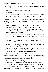apartment doesn't allow pets. Mine does, so he asked if I could keep her until he found a different place."

"How long have you been stuck with her, then?"

"Five years."

"I think that's well past the cutoff for claiming you're petsitting. Besides, you don't need to make up an excuse if you aren't comfortable bringing someone from Grindr home with you," he pointed out. "You don't know me. I don't know you. It's cool. I invited you out for a drink anyway, so why don't we start there?" When he heard Brandon's stomach growl, he smirked. "Or maybe dinner?"

"Dinner?" Brandon glanced back at the line, obviously conflicted.

Brandon seemed more than willing to hook up, but Larry realized that might be all he was interested in. When his first reply on Grindr hadn't been some variation of "Is it true black guys have big cocks?" Larry had been hopeful, but apparently that hope was misguided.

"You should know, if you're just looking to hook up, I'm cool with that. With you, I am definitely cool with that. But I was serious about inviting you out. How about some coffee?"

"An actual date?" Brandon looked like he might laugh. "You were looking for a date? On Grindr?"

He sighed. "It's easier than feeling somebody out, trying to find out if they're into guys without pissing them off."

"I guess it makes sense," Brandon conceded. He still looked like he was trying not to laugh. "When you said a drink, I assumed you just wanted to fuck. I'm not really dressed for… anything except getting undressed."

Brandon gestured at his rumpled white T-shirt. It was so thin it was probably an undershirt, and it clung to his shoulders and followed the slender lines of his torso all the way down to his hips. Imagining running his hands beneath Brandon's T-shirt made his cock stiffen a little.

He bit the inside of his cheek, forcing the surge of interest from his cock to back down. Dragging Brandon into the backseat of his car so they could suck each other off wasn't going to do much to convince him that Larry was serious.

As if Brandon could see right into the depths of his imagination, he ran his fingertips over Larry's upper arm. "My friends are still inside. But I doubt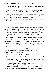they'll care if I don't go back in. It's almost one o'clock, though, so our options for coffee are definitely limited."

"Uh…" He knew he should feel like he'd been unfair to jump to conclusions, but he really just felt relieved. "Damn. Even Starbucks is closed."

Brandon reached out and tentatively placed his hands on Larry's hips. His firm grip and long fingers made Larry's pulse spike. His hands itched to reach out and touch Brandon's body, to explore the skin beneath his T-shirt. "I can make us coffee," he offered. "If you're willing to put up with my cat randomly attacking until I can get her locked in the office."

He swallowed hard. "Sounds perfect."

\*\*\*\*

Brandon glared at his tabby cat. As usual, she ignored him and continued to snake her way around Larry's muscular legs, purring so loudly it echoed through his kitchen. They'd been joking about his attack cat since they reached his apartment, but she'd chosen not to show herself until they were in the kitchen. He was about to explain that she liked to corner people in here and in the bathroom, where there was no chance of escape when, just to spite him, she began to purr like a spoiled kitten and demand attention rather than bloodshed.

"I swear, she just stalks everyone else from beneath the coffee table," he said, running his hands through his hair. "I've got coffee, bottled water, or beer. What would you like? Oh I've got vodka, too. Of course, I don't have anything to mix it with…" He realized he was rambling and closed his mouth abruptly. "Sorry."

"Sorry for offering me something to drink?" Larry's smile lit up his face again, just like it had when Momo first cautiously sniffed his shoes and then began to rub herself against his legs.

"I ramble sometimes," he explained, pacing each word carefully.

"I don't mind rambling. Coffee would be great, though. No beer for me."

"You don't drink?" Brandon asked, getting out the coffee and cups. He'd run into stranger things with guys from Grindr.

Larry's bright smile twitched. Brandon wondered if he'd hit on a touchy subject. "I drink." He shrugged and knelt down to stroke the cat. She just stayed there and purred, turning in a figure-eight motion to soak up as much attention as she could manage. "Just not tonight. I don't know if I'm going to get called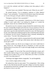in to work this weekend, and there's nothing worse than going in with a hangover."

"You don't know your schedule? That must suck. Where do you work?"

He seemed hesitant. "I'm in emergency medicine at Valley Medical Center," Larry said quietly. "I'm kind of on the bottom rung of the totem pole, so I'm one of the guys who gets called in when things get crazy."

"Emergency medicine? Like a paramedic?"

Larry hesitated. "I was a paramedic. I started out as a CNA when I went to college. It wasn't quite what I was looking for, though, so I worked the paramedic classes into my schedule that first summer."

He stared at Larry for a moment, trying to decide if he wanted to know what he wasn't saying badly enough to press the issue. If Larry started as a CNA, he must have gone to college to move up in the same field. He'd only known one male nurse, a guy his sister had dated for almost five years. He'd been good at his job, and so dedicated to helping people he often worked himself to the point of exhaustion, but he'd always complained about constantly defending his career choice. "You don't like talking about work?"

Larry's dark eyes grew wide for a moment before his smile returned, bright and relieved. "I don't. I'm told I get a little intense when I talk about work. It always gets weird."

Brandon couldn't say why he was so happy to see Larry's smile back in place, but he was. "Fair enough. My job is a headache, so I don't even like *thinking* about it on my days off. It's got to be tough, though, never really being able to relax."

Larry shrugged. "It's not so bad. They need all the help they can get, and I don't usually mind as long as I'm not coming off a night shift. Exhaustion's nothing a pot of coffee or five can't fix. What about you? What's so horrible you don't even think about it?"

"Working in the biggest shadow imaginable," he said thoughtfully.

Larry cocked a single eyebrow at him.

He realized how bitter he must sound. "I'm a programmer. I like writing code. It's fun. But the best job offer I got after college was from the company my dad had just retired from. I thought it'd be cool, but everybody thinks I was just hired as a favor to my dad."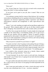"Were you?"

"No. At least I hope not. I have to do twice as much work as anyone else before they think I've done anything, though."

"If you know you're good at your job, does it matter? What are you working on?"

"I'm working as a project lead for a team at Atlas Software. We're making semiconductor modeling software for a graduate school down in Monterey. It's supposed to let electrical engineering students experiment with different semiconductor materials and arrangements to make super-efficient solar panels."

"Damn," Larry said, standing up straight and leaving Momo neglected on the ground. "Most computer geeks I pick up are all about whatever game they're designing. That sounds like heavy stuff, actually useful, you know?"

"It will be. Once you get into the details, it's pretty simple, but trying to get a handle on the whole thing is overwhelming. Really, all I've got to do is design the user interface and put together a library of material variables programmed by other people. It should be easy, because it's all repetitive. But there are two other programmers working on it with me, and I end up redoing most of the code sections they send me."

"Why not just do it yourself? So you'd know it's right?"

"I'm pretty sure that's what I'm going to end up doing. But part of being a team lead is supposed to be supervising people, and it's occurred to me since I started this project that not only do I not want to supervise people, I don't even like people, I…" Brandon snapped his mouth closed. "I'm rambling again."

Larry smiled at him, obviously trying not to chuckle. Momo snaked between his legs, purring insistently. "You're fine."

"I'm just frustrated. No one else is stuck at work until nine, cleaning up other people's crap. If I don't do it, it's going to be my fault when the modeling software doesn't work."

"I've got to admit, that makes the asshole at my job seem easy to deal with. He's a pain in the ass, but I know I'm not going to be held responsible for his mistakes."

"But if some poor grad student can't make a virtual solar panel work the way they want, nobody gets hurt. It's not... you know, important."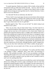"It sounds important. Maybe not a matter of life or death, at least until the environment ends up a little more fucked, but still… Anyway, what I do isn't usually a matter of life or death; it's a matter of how long we have to make people who are strung out wait to get their next fix. And ear infections. I treat a hell of a lot of ear infections."

"Is it that bad? Not the ear infections, the other bit."

"Worse. And it's easy to get angry, because you never know when someone with an actual emergency is sitting in the waiting room. But if you get angry, you get sloppy, and suddenly you're sending someone out the door when they've got a brain tumor the size of a golf ball."

Brandon gaped at him. "How can you do that?" he asked, trying to put himself in Larry's place.

"How can you miss a big ass brain tumor? Easy. You don't look for it. You've heard the headache song and dance a hundred times a night for a year straight, and not once has it ever turned out to be a brain tumor. Maybe you peeked at the triage file and know there's a toddler with a shattered arm who's been in the waiting room crying for the last twelve hours, or a pregnant woman who's been bleeding for hours on end, but all she can do is sit in that chair while her baby dies inside of her, because you can't just kick the dipshit with the headache out. The attending can kick him out, but lowly residents don't get to make that call. I…" Larry seemed to catch himself. He squeezed his eyes shut and conjured up a forced smile, although Brandon couldn't imagine how. "Now you see why I don't talk about work? When I ramble, shit gets grim."

"I meant, how can you stand to do it? How can you work like that? It's insane."

"I enjoy helping people," Larry said simply. "I'm careful, and I like to think I do manage to make a difference. But it also sucks. Just knowing it's possible—hell, probably inevitable—that I'll screw up someday is terrifying. Watching other people screw up is worse, because then I just imagine a whole shitload of cases they're going to screw up when no one's around to catch it, and I can't do anything about that."

Brandon felt a lump in his throat as he recalled how easily Josh had joked about Larry rushing off to answer a page, assuming the worst of a man who shouldered a burden Brandon couldn't even imagine. He said a silent prayer of thanks that he hadn't blurted out his assumption that Larry was a nurse. "I doubt I could handle your job. Hell, syntax errors are enough to make me rip my hair out."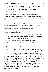Larry grinned, not the forced smile he'd used to banish his own memories of work but a real, open look of joy. "It's worth it. Today I had one of those one in a million cases where the headache turned out to be a tumor."

"But you caught it?"

"I might not be able to help everybody, but I can sure as hell try."

Brandon poured two cups of fresh coffee, keeping his gaze riveted on Larry. His open smile had been replaced with a self-satisfied smirk that made Brandon's cock swell with interest.

Larry bent down and tried to wrap his arms warped around Momo's slender body. She tolerated his attempt to pick her up for almost three seconds. Then she snarled, lashed out with her claws, and somersaulted out of his grip to the floor. She dug her claws into the rug and used it to launch herself around the living room to her personal spot beneath the coffee table.

"Shit," Larry hissed, clamping a massive hand over the scratches on his arm. "Talk about a mood swing."

"I warned you," he said, trying not to laugh. "Normally, that's how she says hello." He hurried across the kitchen, grabbing the first aid box from beneath the kitchen sink. "Let's see how bad she got you."

"It's just a couple of scratches, not the end of the world."

"Of course not," he smirked. "If it were the end of the world, there'd be zombies."

"Zombies?" For a moment, Larry looked utterly confused.

"Yeah. Zombie apocalypse, end of the world. My dad always says if there aren't zombies involved in a catastrophe, it's not worth worrying about."

Larry joined him at the kitchen island, pulling his hand away from his scratched right arm carefully. There were three deep scratches where Momo's back claws used his flesh for leverage, but only one of them was bleeding. Brandon squeezed a bit of Neosporin onto a cotton swab and carefully coated each of the cuts. He grabbed one of the large bandages that typically had the best success covering large areas of kitty marks and smoothed it over the cuts. The light cream-colored bandages looked bright and odd against Larry's skin. Had he ever seen flesh-colored bandages for dark skin? He felt like he should be apologizing for not having something that would be a better match, but he wasn't sure if anyone made them.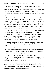He traced his fingers over Larry's densely muscled forearm, relishing the feel of the smooth, warm skin around the bandage. Larry was in incredible shape, and it was so easy to imagine his strong, athletic body pinning him against the wall. He shivered and swallowed hard. "There. All better."

"You've got that down to a routine, huh?" Larry asked, grinning down at him.

Brandon tried to look innocent. "I told you, she's vicious," he said, stroking his arm again. He swallowed hard, mesmerized by the subtle curve of muscle. Larry was a good four inches taller than his own five feet ten, and he was broader and bulkier too. He'd love to plow the tight ass he'd been gawking at since they'd met outside the bar, but he couldn't picture Larry being willing to switch. More than happy to take what he could get, Brandon gave in to the urge to touch, running his hand over Larry's bicep and up to his shoulder.

Larry cupped his chin and gently tipped his face up. "If you're willing to patch me up every time she uses me as a scratching post, I'll risk it."

Brandon opened his mouth to insist that he could just lock Momo in the office, where most of her stuff was anyway, but he never had a chance to get the words out. Larry dipped his head down and kissed him, softer than he'd expected, probing the inside of his mouth with a practiced tongue.

The gentle pressure and the subtle tremor he felt as Larry's bottom lip slid against his shut his brain down, erasing all thoughts of cats and coffee in an instant.

Larry released his chin and maneuvered around the corner of the island, almost drawing away completely to get around the counter. Unwilling to break the sudden, electrifying contact, Brandon pushed himself up on his toes so he could follow Larry's lips, savoring the perfect friction.

Larry molded his long, muscled body against Brandon's, pinning him against the counter. The softness of that first touch vanished as Larry turned his head, deepening the kiss. Brandon could feel a solid erection pressing into his thigh, rock hard and trembling with desire, all over *him*.

Brandon had never felt so utterly lost in the heat of a single kiss, so needed. Which was insane. He hardly knew anything about the man exploring his mouth. No one he'd just met should be able to leave him this stunned, this desperate. He clung to Larry's clothes, shaking.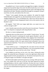He grabbed Larry's loose sweatshirt and tugged him in tighter, chasing his tongue back beyond the ridge of his teeth. He slid his hands down over Larry's hips and around to his groin, not hesitating when he came to the bulge growing beneath the soft fabric. Brandon stroked him through his sweatpants, trying to touch him, kiss him, and undress him all at once.

"Damn," Larry gasped, drawing away suddenly. He snaked his hands behind Brandon and cupped his ass, then hoisted him onto the counter as if he weighed nothing at all. "You can definitely kiss. Talk to me, tell me what you want," he whispered, before dropping his head to lick at the sensitive skin on Brandon's neck.

He laughed. "Talk? With your tongue right there, you expect me to be coherent enough to talk?"

Larry's breath swept across the crook of his neck, hot and moist. "Sensitive spot?" he whispered, scraping his teeth along Brandon's skin.

He drew in a harsh, shaking breath.

Apparently that was all the answer Larry needed. "Good to know," he said, chuckling. But instead of continuing his assault against Brandon's neck, he pulled away a little and tugged at Brandon's belt, tugging it free of the buckle. He worked Brandon's zipper down and slipped his cock out through the slit in his briefs, stroking it slowly. He's gaze stayed fixed on Brandon's face as he squeezed and stroked him. "Your eyes are so beautiful. They get darker when you're turned on."

"I don't think my eyes—" Cutting him off, Larry bent over his waist and slipped his lips over the flared head of Brandon's cock. He sucked him in deep, his lips sinking all the way to the first curls of hair. "Oh shit."

Larry bobbed up and down on his cock a few times, slicking the entire length. He stroked the base of Brandon's cock in his right hand, while his left slipped inside his briefs and palmed his sac. He licked at the head of his cock, circling his tongue over Brandon's slit again and again.

He felt his balls tighten and tried to groan out a warning. With one last slow lick, Larry pulled away and rose to his feet. His hand replaced his mouth, stroking Brandon so fast he couldn't hold back. He shot into Larry's hand so hard his entire body shook with the pleasure. Larry kept palming the head of his cock, his cum-slicked hand moving in the same circular motion he'd made with his tongue.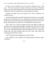He drew out the aftershocks, his eyes fixed on Brandon's face. "Your eyes…" His voice was barely a whisper, and the awe in his tone left Brandon elated, warm, and a little embarrassed. It was stupid to feel embarrassed over a compliment when he'd just had his cock inside someone's mouth.

Someone he might only get one night with, if Josh's experience was anything to go by.

But Josh had described an asshole who shot his load and ran, not caring if the guy he was fucking got off or not. Definitely not consistent with the blow job he'd just received. Not consistent with anything he'd seen of Larry, in fact. Maybe Josh had made a mistake and was thinking about someone else?

Still, if there was a chance he might only have one night to explore the spark that Larry's open smile and bright eyes ignited inside of him, he'd make the most of it. He pushed himself off the countertop, wrapped his arms around Larry's neck, and kissed him hard. When he pulled away, Larry's arms were around him, and those beautiful dark eyes were open wide, filled with something that looked like wonder.

"Bed?" Brandon asked, tugging him out of the kitchen.

Larry nodded, his kiss-swollen lips brushing against Brandon's again. "Definitely."

\*\*\*\*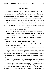### **Chapter Three**

<span id="page-34-0"></span>Larry followed Brandon into the bedroom. He'd thought Brandon was cute from the moment he saw his photo, but he'd been totally unprepared for the way he kissed, all passion and raw energy. Brandon was so responsive, and watching him come had been intoxicating all by itself. The sight of his ivory skin and his hazel eyes going dark and wide left Larry's head spinning.

Brandon tugged him toward the bed, walking backward until his knees hit the edge, before letting himself fall back. Larry leaned down over him, kissing him again. He pulled away long enough to pull off his sweatshirt and to finish stripping off Brandon's clothes. Brandon's eyes raked over his chest slowly, making him slow down as he shoved his sweatpants to the floor.

"Shit," Brandon gasped, reaching for him.

He trailed his hands over every inch of Larry's skin, and everywhere he touched burned for more contact. Larry smirked as Brandon's cock hardened again, standing erect over his stomach while Brandon explored his body.

"I love how turned on you get," he said, giving Brandon's cock a few quick strokes.

Brandon bucked his hips, thrusting up into Larry's hand.

"I want to see your eyes when I'm inside of you," Larry whispered, thrilled at the gasp that escaped from Brandon's lips.

"There's lube in the drawer," Brandon said, nodding toward the nightstand.

When he'd retrieved the necessary supplies, he nudged Brandon's legs open and knelt between them. He didn't want to rush, though. He ran his fingertips over Brandon's body, from his chest down to his thighs, sweeping around his cock along the way. "You sure about this?" he asked, massaging Brandon's thighs.

Brandon locked his gaze on Larry and smirked. Then he arched his back, jutting his cock out. "I want you to fuck me," he said, his voice husky and deep.

Something in his voice and expression made Larry's balls tighten. He couldn't remember ever wanting someone so badly, being so overwhelmed with the need to bring someone else pleasure. But suddenly all he wanted in the world was to fill Brandon with desire, to make him come so hard he screamed.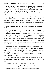He reached for the lube and prepared Brandon quickly, studying his reactions. He twisted his fingers, carefully searching inside Brandon's body for his prostate. When Brandon cried out and shifted against him, Larry rubbed the mound in gentle circles. He was mesmerized by every twitch and gasp he elicited. The long, deep moan he coaxed out of Brandon's throat was almost his undoing.

He ripped open the condom and covered and slicked himself quickly, determined not to come before they'd even gotten started. Brandon was stretched and open for him, so he lined himself up and lifted Brandon's knees, rocking into his body. After a few shallow thrusts, he sank in completely and froze.

"Fuck." Brandon lifted his legs higher. He set his calves on Larry's shoulders and rolled his pelvis.

Larry chuckled and rocked his hips forward, meeting Brandon's thrust halfway. They fell into a natural, easy rhythm, moving fast enough they both ended up breathing hard, but slow enough to drag it out. He wanted to make Brandon come once more, to feel him tighten and quiver around his cock, but they ended up in such perfect sync that he didn't need to think about pleasing the other man. He didn't need to analyze his expression or worry about his pace or angle. He just had to move, and Brandon moved with him. It was perfect, Brandon molding to his body and shifting with him as though this was their thousandth time and not their first.

"So perfect," he whispered, keeping his gaze fixed on Brandon's eyes.

He brought his hands around Brandon's legs and began to stroke his cock in time with their movements. As soon as he felt a hitch in Brandon's rhythm, he gave up fighting his own orgasm, filling the condom with a shudder that rocked his entire body. He kept stroking and squeezing Brandon, bringing him over the edge with a few quick pulls.

Taking a moment to catch his breath, Larry let Brandon's legs fall off his shoulders and slipped out, then crawled up over Brandon's body, settling over him.

"You okay?" he asked, nuzzling Brandon's collarbone.

A tremor vibrated through Brandon's body. A chuckle?

"I am damn good," he said. "We should get cleaned up, though."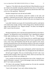"I guess so." He rolled to the side and off the bed. When Brandon sat up, he set a hand on his shoulder and gently pushed him back down to the mattress. "Let me," he said. He gestured toward a dark doorway that he knew didn't lead to the rest of the apartment. "Bathroom?"

Brandon slumped back onto the bed and nodded.

Larry hurried into the bathroom, tossed the condom in the trash, and grabbed a washcloth from the basin. When he got back to the bedroom, he froze. Brandon was still lying there, but both of his arms were draped over his eyes.

Larry didn't think he was in pain. He'd stretched him until he could slip his cock inside easily enough, and they'd taken things slowly. Brandon had been eager in bed, enthusiastic even. "Regrets already?" he asked, even though he didn't want to hear the answer.

\*\*\*\*

Brandon dropped his arms to the bed and propped himself up on his elbows. "Regrets?" he repeated the word. He definitely wasn't regretting his ordinary Friday night morphing into a waking wet dream. "No. Just…" He shrugged.

He didn't know what to say. He'd known the sex would be good, given Larry's chiseled body and tantalizing smile. But he'd never expected this. With Larry, every worry and frustration from the day just ceased to exist. Every sensation beyond the heat of his skin had been muted as if the entire world had been nothing but background noise; the rhythm of their bodies moving together became his entire world.

And then it was over. Reality came crashing back, and he'd only had a few seconds to get his head on straight while Larry disappeared into the bathroom.

He had to get it together. This was a Grindr hookup, for fuck's sake. Larry had been polite enough to offer to buy him a drink, which was more than a lot of guys he met on Grindr were willing to do.

Larry crawled over the bed and settled down next to him, wiping his own spunk off Brandon's stomach. "I never did manage to take you out for dinner, did I? Can I make you breakfast?"

"It's three in the morning," Brandon pointed out. He took the washcloth from Larry and tossed it into the hamper.

"Later in the morning," Larry said, without missing a beat.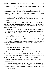Brandon reminded himself he'd probably find himself alone in the morning, but for now, he felt too good to care.

When he did finally wake up, he was spooned against Larry's body, warm and comfortable with Larry's arm wrapped around his chest. Larry's cock was nestled in the crack of his ass, hard but still, and his lips were fluttering across the back of Brandon's neck.

His cock woke up immediately, even if the rest of him took a few blinking moments. He turned his head to look over his shoulder, and Larry met him for a quick kiss.

And on the floor, something beeped. Larry dropped his forehead against Brandon's shoulder and cursed, then slipped away toward the beeping. He found his pants and dug out a small pager, then his cell phone. "This is Doctor Myers, returning a page."

Brandon tried not to listen. He rolled onto his back and stretched the kinks out of his muscles. He was surprised he wasn't sore after Larry had fucked him last night, but if anything, he felt great, energized.

Larry hung up the phone and grimaced. "Can we try that whole 'me buying you breakfast' thing some other time?"

"You said you might have to work," Brandon reminded him. "It's okay."

Larry's angry expression looked intimidating for a moment until he shrugged and stuck out his bottom lip. Brandon couldn't help but laugh.

"What?" Larry asked.

"You're cute when you pout," he blurted out.

Larry's bottom lip jutted out a little more. "I do not pout."

Brandon turned onto his stomach and burrowed into the pillow. It smelled like a mix of sweat, sex, and spicy cologne. Not a scent he wore, but nice.

"I'm sorry," Larry said, pulling his clothes on with a brisk efficiency. "I really am. A guy on another team called in sick, so…" He shrugged.

Brandon took another deep breath and then got up too. "It's okay. You want some fresh coffee?"

Larry's eyes grew wide and hopeful, his smile huge. The sight made Brandon's breath catch. Would he piss Larry off if he pointed out how adorable he looked? Instead, he climbed out of bed, padded into the kitchen, and started a fresh pot of coffee.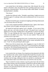Larry joined him in the kitchen a minute later, fully dressed. He set his hands on Brandon's hips and pulled him back, grinding against his ass and letting out a mournful groan. "Do you always make coffee naked?" he asked, kissing Brandon's shoulder.

"Not always."

Another kiss followed, softer. "Probably a good thing. I might never go to Starbucks again if I could get coffee and an unobstructed view of your ass in one stop."

Brandon lowered his gaze, torn between laughing and feeling embarrassed. "Are you always this over the top?"

Larry's arms wrapped around him, holding him close. "Hmm. I don't know. Have dinner with me tonight, and maybe you can tell me?"

He leaned his head back against Larry's shoulder. "If you want to have dinner, give me a call when you get off work." He patted Larry's arms and slipped out of his grasp, heading back to the bedroom to retrieve his phone. "Here," he said, entering the lock screen PIN quickly. He brought up his contact list and added a new entry. "Give me your number? Then just call yourself so you've got mine."

Larry took the phone, tapping at the screen. A moment later, his own phone rang in his pocket. He set Brandon's phone on the counter and pulled out his own. "Cool," he said, pocketing his phone again.

When Larry left ten minutes later, after chugging two cups of coffee he'd made tepid by pouring them over a half a cup of ice, he promised to call tonight or tomorrow. He'd kissed Brandon good-bye, a soft touch of lips Brandon felt long after Larry disappeared out his front door.

\*\*\*\*

Larry stared at the wet clumps of too-long brown hair plastered to the little boy's forehead. The cardiac monitor beeped softly beside him, his pulse weak but still there. The tube taped in around his mouth funneled air from the ventilator into his lungs, making his chest rise and fall in a mechanical cycle that could almost make Larry believe there was still life in the tiny body.

They'd worked for twenty minutes to get his pulse back. But he'd been down fifteen minutes when the paramedics rushed him in after his father found him in their pool, floating unconscious in the water. For a slow, horrible moment, Larry had noticed that the child's hair was exactly the same shade of dark brown as Brandon's.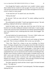Even though they'd gotten a pulse back, Larry wouldn't venture a guess about whether the boy would ever wake up again. Of course, if he came down with aspiration pneumonia he might not even make it through the next few days to have a chance to come around.

"Is the mom here yet?" he asked Carol, one of the RNs.

"Still just the dad."

He shivered. "Will you come with me?" he asked, nodding toward the family room.

She smiled gently and nodded. "I need to get signatures anyway," she said, grabbing a clipboard with the boy's admission orders.

Inside the family room, an older man who'd lost most of his hair was hunched over the table, holding his forehead in both hands. A much younger woman with curly brown hair sat beside him, her makeup smeared beneath her eyes. Larry looked at Carol, wondering about the woman. She shrugged. "Mr. Jenkins?"

The man looked up, his expression grave. "I'm sorry. I didn't realize your wife was already here. I'd have come to talk to you sooner."

"Vicky is my girlfriend," he whispered, each word coming out between quiet sobs. "My ex is down in Hollister. She's on her way, but traffic…"

"That's fine. There'll be a chance to go over everything. I'm Doctor Myers," he began, taking the chair on the opposite side of the table. He kept his voice gentle, but his tone detached, as he informed the terrified father that they'd managed to get his son's heart beating again. A brief flash of relief crossed his face, but Larry continued, crushing the hope he'd briefly sowed. He explained the man's son was unconscious and a machine was breathing for him. He didn't know if the boy would ever wake up again, or breathe on his own. He didn't want to give the father any kind of false reassurance, just the current facts and the time and space to process it all. "He's being admitted to the Pediatric ICU upstairs," Larry continued. "They'll be able to monitor his lungs and keep him comfortable. Do you have any questions?"

The father opened his mouth and then closed it again. He shook his head slowly. "Not right now."

"Would you like to sit with him?" Carol asked gently. The father managed a shaking half nod.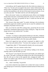In the hallway, the PA speaker blared to life, like it did every minute or so. "That's me," he said, as he was paged to the nurses' station. Professional mask firmly in place, he grabbed a business card from the pocket of his scrub top. "If you have any questions at all, ask one of the nurses to track me down, or you can call at any time." The father took his card with shaking hands.

Back at the nurses' station, two uniformed security officers were hanging around. Rick must have warned them about Mr. Ericson in room five of his own initiative, and Larry was grateful for that. It would save him the time waiting for them to respond.

"Mr. Ericson's blue sheet ready?" he asked, referring to the involuntary commitment paperwork needed to get the man in room five admitted to the Emergency Psychiatric Services Unit.

Rick, one of the few male RNs working today, passed him the last of the involuntary commitment paperwork he'd been waiting for. "Page one of the charge nurses to come notarize this?" he asked.

"She's already…"

"I'm here." A woman in a dark pantsuit hustled up to the desk, a ballpoint pen already in her hand. She didn't even look over the commitment form as she sprawled her name and filled in all of the notary public blanks.

When he'd signed the form and had it notarized, he added it to Mr. Ericson's chart and smiled at Rick. "You know this is going to suck, right?"

"I paged them, didn't I?" Rick pointed his thumb at the security guards.

Larry nodded. "Give me a minute to talk to him."

Two CNAs shifted gurneys out of the hallway leading to the elevator, clearing a path in case this didn't go well.

"Mr. Ericson?" Larry kept his tone neutral and friendly as he shifted open the curtain. The bulky, scowling man sitting on the side of the bed glared at him. His wife sat in a chair on the opposite side, wringing her hands. "I'm afraid I was unable to get a bed for you at Crestwood, or the other treatment centers we contract with."

"So… what? I need help," he growled.

Larry had no doubt the man needed to be in rehab. He'd come in with his wife asking to go to Crestwood, an inpatient treatment facility he'd been sent to before.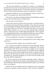"The only bed available for you right now is upstairs in our Emergency Psychiatric Services Unit." He stayed near the open curtain where he knew the security guards could still see him. "I'll need you to lie down. All transfers to EPS from other hospital departments need to be transported in restraints."

"Restraints? Oh hell no. Are you a fucking idiot? I told you I need to go to rehab! I'm not going to the county looney bin here!"

"Mr. Ericson, you said you needed treatment for alcohol addiction, and you said you had an imminent plan to attempt suicide."

"But you know I'm not fucking—"

"I know that I take every person who tells me they're suicidal seriously." Even when he'd bet money the threat was bullshit. "I know that once you stated you were planning on shooting yourself in the head, my hands were tied," Larry said simply. Which was sort of true. Technically, the fastest way to get into rehab without insurance was to say you were thinking about committing suicide. At that point, Larry couldn't legally discharge him. "EPS is upstairs. It's an inpatient facility where we can provide treatment for seventy-two hours, and hopefully during that time a bed will open up somewhere else."

"No one is putting me in restraints! I'm not going to no fucking EPS!"

From across the room, the man's wife looked more worried. "Baby, please calm down—"

He turned toward her, snarling. "No one asked you, bitch!"

Larry watched a nurse pull the curtain back. The security guards, who had somehow tripled their numbers, stood fanned out behind him. "Mr. Ericson, you are going to EPS. There are two ways this can happen. If you cooperate and allow us to transport you, they can get you evaluated, and you might be able to talk your way out of there tonight. If you refuse to cooperate, they will keep you for the full seventy-two hours. And if any of my staff get hurt trying to transport you, when they discharge you, it will be into the custody of the Santa Clara Sheriff's Department."

Mr. Ericson eyed the security guards waiting right outside. "Whatever." Grumbling, he climbed back onto the gurney and squirmed until he settled his head on the pillow, then held up his hands and shook his head, as if to ask what Larry was waiting for.

Once Mr. Ericson was admitted, and Larry had gotten a nurse to pass along a brochure of domestic violence resources to Mrs. Ericson, he grabbed a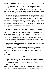handful of grape tomatoes from his stash of snacks at the nurses' station. He managed to eat a little, followed up on the five other patients he had waiting on lab work or radiology results, and glanced at the clock. It was just after six thirty, which meant he might only end up working an extra hour, if things stayed quiet and radiology hurried the hell up.

He grabbed his phone and scrolled through his contacts, smiling when he saw Brandon's name. He'd have to take a picture to go with his phone number. He tapped out a few letters of a text message before the EMS scanner at the desk crackled to life. He half listened to the nurse who spoke with the EMS unit. His senior resident Dr. Franklin and Dr. Solomon, the attending physician, were suddenly there eavesdropping too. "Cyclist struck by a semitruck, no helmet, unable to intubate on the scene," the nurse announced. "ETA three minutes."

"Prep bay two and give the trauma team a heads up," Dr. Solomon said calmly. Solomon was an older man who always showed up for work in nice slacks and a sweater vest. He looked like a television grandfather, and he tended to talk like one too. He never, ever seemed to be in a hurry, but he somehow managed to evaluate and treat more patients in a given shift than Larry could manage. He was also socially conservative, which meant Larry automatically shied away from getting too friendly. But he was methodical and great to work with, regardless.

Not that Larry had a choice, either way. "Myers, you're with me on this one," Solomon announced, heading for the scrub sink.

"You got it." He canceled the text message and put his phone away, the weight comfortable in his back pocket. The EMS entrance slid open and a team of paramedics rushed in, flanking the gurney they pushed between them.

He jumped to his feet and shoved the last tomato into his mouth, then got back to work.

\*\*\*\*

Brandon spent most of the weekend catching up on laundry and going through the code sections he hadn't been able to get to compile at work. Larry hadn't called Saturday night, and he forced himself not to think about it.

He'd known Friday night was likely to be a one-shot deal before he'd ever replied to the Grindr message. It had been one hell of a one-night stand, and he was content to leave it at that. He crushed the little part of himself that had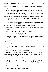secretly hoped he might hear from Larry again, burying that naive hope beneath work, pizza, and more work.

He liked working for Atlas, but sometimes at the office, he felt like he could feel the scrutiny of all of the other programmers burning into him through the cubicle walls. He always focused better at home. He'd even managed to ignore Momo's constant glares for most of Saturday. By Sunday morning, she seemed to have forgiven him for having the audacity to bring yet another human into her domain. She curled up under his desk and attacked his slipper-covered feet to show him he would still be tolerated.

Sunday night, his phone rang for the first time since Friday night. His pulse raced at the sound, and then felt like it was stammering to a halt inside his chest when he checked the caller ID and found it was just Daniel.

"Hey," he said, tucking the phone between his ear and shoulder so he could keep typing.

"Hey yourself. You're working again, aren't you?"

"This user interface isn't going to build itself."

"You need to unplug," Daniel warned him. "Like Friday night. Why'd you take off? We found the perfect guy to take your mind off work."

"I managed that just fine on my own," Brandon countered. And he had been perfect.

"What? Who?"

"The guy from Grindr," he admitted. "He showed up right as I was about to leave."

"Better late than never, I guess. You had fun?"

Brandon stared at the command prompt window on his monitor, but he wasn't seeing the code anymore. "Have you ever been with somebody where everything just… clicked?"

"Clicked?" Daniel chuckled. "The sex was that good?"

It had been so far beyond good, Brandon couldn't actually think of any word capable of describing the contented, sated feeling he'd enjoyed all day Saturday.

"Bran, you still there?"

"Yeah, I'm here. It was nice," he said at last.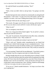He could tell Daniel was probably smirking. "Nice?"

"Yeah."

"Well, at least you didn't ditch us and go home. You going to see him again?"

Brandon had spent the entire weekend very intentionally not asking himself that question. "I don't know. I've got a lot to do on this project, and his work schedule is no better. Josh wasn't kidding about being a slave to his pager."

"Seriously? Did he do the same thing to you?"

"Not exactly. His pager went off early in the morning, and he had to take off. He was nice about it, but he still left. It comes with the job, I guess."

"What's he do?"

"He's an emergency room doctor."

There was a long pause before Daniel sighed. "So, he said he's a doctor. And you just took his word for it?"

"Uh, yeah," he said slowly. He leaned back in his office chair, confused by the skepticism in Daniel's voice. "Why wouldn't I?"

"Because he was probably just saying it to get you into bed."

"What's with you?" Brandon asked, remembering the way Daniel had assumed Larry's initial Grindr message was just a manipulation tactic. "I may have been a kid when my sister Jen did her residency, but I remember the hours and the complaints sounded pretty much the same. Why would you assume he lied?"

"I'm not assuming," Daniel said, his tone diplomatic. "I just think itseems a bit far-fetched. Guys lie to impress each other on Grindr all the time."

Brandon thought about the ten-year-old profile picture on Daniel's Grindr account. The picture had been taken the summer before he graduated from high school. He'd never been that fit during the four years they'd been friends, and Brandon wasn't sure he ever had been. "Look, just because some guys lie on Grindr doesn't mean everybody does. I don't. Besides, I doubt he could manage it. His face is too open, too easy to read, you know?"

"If you say so." Daniel sounded dismissive. "As long as you know what you're getting into."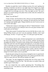Brandon was glad they weren't talking in person. He wasn't getting into anything. It had been one hell of a one-night stand. He'd hoped Larry might want to get together again, but the weekend was all but over. There hadn't been a single call or text message, not even a "Hey, last night was fun!" He wasn't going to sit around staring at his phone like an idiot when the weekend was pretty much over.

"Bran? You still there?"

"Yeah, I'm here. Just focused on work. And you can stop pretending to be my big brother. I'm not getting 'into' anything. We had some fun, but I doubt we're going to get together again. Things clicked for me, but I'm not so sure we were on the same page."

"All the more reason to come hang out with us!" Daniel declared. "Come on, we'll cheer you up! Or you could just come over to my place instead. I bet I could make you feel better."

"Don't joke around. If someone hears you say shit like that at work, even being William Alcott's son won't save my reputation. Besides, I don't need cheering up," he lied. "I've got to go, Dan. I've really got to get this done."

\*\*\*\*

Even making a decent salary, the best nursing home Larry could afford for his mom was depressing. It was a hive of activity, patients moving about throughout the facility's recreation rooms, dining rooms, and gardens with the help of the staff, but it also felt stagnant and oppressive. It was either freezing cold or sweltering, never just comfortable. It was often filled with the lingering odor of stale urine and feces, depending on how overworked and short staffed the nurses and custodians were on any given day. Luckily, when he visited, he just walked through the chaos and smell to get to his mom's room—a quiet refuge he'd tried to make as nice as possible.

Despite the grim setting, his mom always managed to stay in a good mood. "Lawrence!" She smiled, adjusting the bed so she could sit up and talk to him. "Did Gus come with you? She still has Sundays off, right?"

"Not today," he said, dragging the rocking chair out of the corner of the room and bringing it toward her bed. "She had some car trouble Friday and needed to get it fixed today."

Her eyes looked him over, quietly appraising him. "Everything okay between you two?" she asked in a tone that made it plain she knew there was something wrong.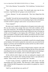"We're fine, Momma," he assured her. "We're both busy. You know how it is."

"Hmm. You're busy, you mean. You should make more time for her, Lawrence. A girl like that isn't going to wait around forever."

"I know, Momma," he said, automatically. "How have things been this week?"

"Dreadful," she said, her tone unusually blunt. "That laptop you brought me keeps throwing fits every time I try to do anything. It gets so hot on the bottom, I'm half worried it's going to catch on fire. Can you look at it for me?"

"Your computer?"

His mom wasn't capable of walking down to the game room to play cards. She was also twenty years younger than most of the other residents, and he knew that irritated her. The feeding tube keeping her from losing any more weight between chemotherapy sessions made it difficult for her to even get out of bed, so he'd brought in a nice laptop with a DVD player. He gave her his debit card number to subscribe to Hulu, Netflix, and whatever else she wanted. The computer was one of the only ways she had to occupy her time, so it saw a lot of abuse.

He knew the overheating issue was probably caused by her using the laptop on her blankets. He'd tried to explain the vents need to stay uncovered for the laptop to cool down, but he doubted she actually used her tray table to hold it. "Yeah, let's see what's going on."

Three hours later, Larry was ready to fling the damn computer at the wall and buy her a new one. They spent the time talking, like they always did, about everything from movies to politics. She let him ramble about work, listening to both his complaints and triumphs, until an orderly brought her dinner.

All the while he tried to figure out what was making the computer work normally for a few minutes after starting and then freeze or just plain die at random. "What, exactly, were you trying to do?" he asked.

"I wasn't trying, Lawrence. I updated the video card driver," she said, enunciating each word carefully. "But afterward, it didn't display anything right. I flashed the BIOS hoping that it just needed to be updated too. And it's still crashing."

"Still? So, you did all that to try and fix it?"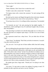"That's right."

"Damn, Mamma, I don't know how to make this work."

"It didn't come with a restore disc?" she asked.

"No laptop comes with a restore disc anymore," he said, turning off the power again.

She held up the remote and flipped through the three television channels that the TV mounted in the corner of her room picked up. "Hmm."

"If you know how to fix it, I'm willing to follow instructions," he reminded her.

"I'm honestly not sure," she said, pressing her lips tightly together. "I should know. And I could figure it out, if I could only Google it. But, of course, that's the problem."

"The only thing I can think to do with this thing right now is to throw it in the trash. But there are computer repair shops. I can take it in to one of them tomorrow."

Her expression turned into a deep frown. "Do you think that will take long?"

"I don't know," he admitted. "But if they can look at it tomorrow, I can pick it up after work the next day."

"No, you can't. You've got one of those endless shifts from hell coming up."

She was talking about the equivalent of a thirty-six hour shift he pulled once a week, with one full shift, followed by a shift spent on-call, and another full shift. "I'll be able to take a break," he lied. On-call shifts for residents were so demanding there were rooms set aside for residents to sleep in at the hospital, since it was easier than trying to go home. "I'll tell you what. I've got my computer out in my briefcase in the car. How about I bring that one in, and you can use it until I get this one fixed. That way I won't have to rush to get it done, and you won't have to miss an episode of Game of Thrones."

His mother gave him a huge smile. "Would you? I'm dying to see what happens."

"Of course. I've got notes on mine, but nothing I'm going to need. I'll probably be able to get this one back to you by Thursday."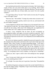She chuckled and shoved her food around on the plate. She'd only taken a couple of bites, but Larry knew better than to say anything. "Don't bother pretending you're going to be awake on Thursday afternoon. The last time you tried to stay awake after one of those shifts, you weren't fit to be in polite company."

"I've got Friday off too," he said. "I don't need a recovery day if I'm going to get a full night's sleep."

"Recovery day." She smirked. "Grumpy day seems more accurate to me."

He packed up the laptop quickly, toted it out to his car, and returned with his own smaller computer.

A nurse slipped out with his mom's dinner tray as he returned to her room. "She asked me to take this," the woman nodded at the food. "Any chance you can talk her into eating a little more? The feeding tube can supplement her calorie intake, but it can't supply all of her nutritional needs."

"I know," Larry whispered. But he knew all he'd accomplish by encouraging his mother, once again, to eat more would be to upset her. "She's only three days out from her last round of chemo. Her appetite will get better." The skeptical expression on the nurse's face deepened, but she nodded and left with the tray.

He set his own laptop up quickly, disabled the password required to wake the computer from sleep mode, and stared at the icon for the Grindr app on the desktop. With a flare of panic, he started uninstalling things. "I just need a minute to email myself a few files I might need for work." When he was certain there wasn't anything that screamed "gay" left on the computer, he set it carefully on the cleared tray table and entered the password for the wireless router he'd set up in her room, he positioned the table so she could reach it easily. "It's not going to have as nice a display, or as big, but it's something."

"Thank you, dear. It gets so dull in here with nothing but Jerry Springer reruns."

"Sure. I'm just sorry I didn't get up to visit sooner this week, I'd have been able to do something about it then."

"It's all right. You come when you've got time, I know that." She patted his hand.

He smiled at the gesture, trying not to notice the way her hands felt like ice, how thin her fingers looked. "Hopefully I'll get it fixed Thursday and bring it back this coming Friday."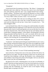"Wonderful."

A brisk knock drew his attention to the door. "Ms. Myers," a feminine but definitely male voice called out. The nurse who came in was a slim Hispanic man with perfectly styled hair and—Larry stopped himself from staring metallic eyeliner. "The library truck came by this afternoon, so I have a whole box of new paperbacks for you!" He stopped when he saw Larry and smiled. "I'm sorry.I didn't realize you had a visitor. I can come back!"

"No, no, it's all right. This is the son I was telling you about. He's a doctor in Santa Clara. Lawrence, this is José. He's so kind. He paints my nails once a week and even helps me with my hair. I know there's no point, but it…" His mom shrugged a little.

Larry let himself relax a little. For as long as he could remember, his mother had been diligent about her appearance. Even when she was too sick to do more than pour him a bowl of cereal and hug him as he ran out the door for school, she always dressed nicely. She'd always done her hair and makeup and was careful about "looking put together" as she called it. Not being able to do those things personally had been hard for her, and it was harder still for her to ask others for help, especially for something that must seem frivolous to the majority of the nursing staff. He automatically liked José.

"Nice to meet you," he said with a bright grin.

"A pleasure," José almost purred. His gaze stayed locked on Larry's eyes a little too long, well past the moment when Larry knew any straight man would have looked away. José just grinned. "Ms. Myers, how about I leave these here, and you can pick whichever ones you want. I'll take the box when I come back around, okay?"

"That's fine," she said. "I'm sure I'll find something interesting."

José set the box of books down next to his mom and then left slowly, his gaze fixed on Larry again. The open invitation in those eyes was obvious and would have been tempting a week ago. But Brandon's eyes, radiating desire and confidence, kept rising to the surface of his thoughts. José was cute, but he didn't excite Larry the way Brandon had.

He glanced at his watch, confirming that it was too late to see Brandon. It wouldn't take him too long to get back to San Jose, but he had to be at work by seven in the morning. And as his mom had reminded him, from Tuesday morning until late Wednesday, he would be stuck in the hospital. Seeing Brandon again was going to be tricky.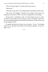"There's that look again," his mom said, her eyes narrow.

"What look?"

"That look you get when you're thinking about something you don't like."

"Just work." He shrugged. "Residency isn't going to last forever, but sometimes it feels like it. There's just never enough time for everything."

She gave him a sympathetic smile. "Just take things one day at a time, Lawrence. If they made it easy to become a doctor, everybody would do it. Focus on getting through the task at hand, do the job that's in front of you, and you'll manage just fine."

He sighed and shoved his hands into his pockets. "I know." He thought about the way Brandon had smiled at him Saturday morning. "I'll have to figure it out."

\*\*\*\*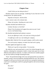## **Chapter Four**

*Could I bribe you into doing me favor?*

Brandon stared at the text message, wondering if Larry had sent it to the wrong person. He replied quickly.

*Depends on the favor. And the bribe.*

Larry's answer came a few minutes later.

*Dinner @ my place. Anything you want in bed.*

Brandon chuckled and rolled his eyes.

*Is dinner the favor or the bribe?*

*Please? Over the phone tech support has eaten my soul. I need to see a real human being.*

He chuckled and picked up his phone to answer.

*So are you offering to cook, or do want me to bring you food?*

*I'm offering to order out. Just looking for company.*

Brandon didn't think he'd be very good company, and he said as much.

*You can be pretty company, no matter how bad work is going.*

Brandon sighed and tapped out a reply.

*Think you've got the wrong number. I'm not pretty.*

He rolled his eyes and turned back to work. He clicked through the user interface, initiating the commands to build a virtual solar panel out of three different semiconductor materials. A window with electrical variables popped up, but froze halfway through streaming the data.

"Fuck." He pinched the bridge of his nose and squeezed his eyes shut for a moment, trying to ease the headache mounting behind his eyes. He'd almost managed to catch up over the last week, but the error causing the simulation to crash wasn't something he could fix by going through the code sections looking for typos.

*Hot, then? Gorgeous?*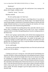### *Handsome?*

The string of texts made him smile. He could picture Larry staring at his phone with a bright, confident smile.

*I stand by "pretty." Your eyes…*

Brandon smirked.

*No more getting sappy over hazel eyes.*

He leaned back in his chair and began to shut things down. It was only six o'clock, but the office around him was already empty. Even Daniel had only stayed long enough to remind him he'd promised to hang out with him and Josh tonight. Brandon had been so focused on testing the user interface, he'd only been half aware of his friend hovering behind him.

He knew he shouldn't let anything distract him, especially when he was so damn close to finishing this project, but he had to eat. Larry's invitation sounded a hell of a lot better than grabbing dinner from the vending machine in the break room.

But he wasn't going to spend another week with his heart jumping into his throat every time his phone vibrated. The sex had been incredible, but the softness that followed, the casual promises—he couldn't do that again. If he was going to indulge in another night with Larry Myers, he needed to set some ground rules. He needed to get Larry to stop the bullshit and stop pretending that this was anything but sex.

Sex he could handle.

He stood up and stretched, working the kinks out of his back and neck and texted Larry for his address.

\*\*\*\*

Cooking was not Larry's strong suit. A lot of the men he'd tried dating were domestic and able to whip up amazing meals with nothing but the grim contents of his pantry. But by the time he thought about food, he was always too hungry for something so complicated as learning to cook. Instead, he'd run to the supermarket and picked up a six-pack of the beer Brandon had had at his place the week before and ordered some Chinese food. He put on a nice pair of jeans and a T-shirt that showed off just how much time he spent in the gym and then tried to clean up the mess he'd left on his coffee table while trying to fix his mom's laptop. He barely managed to get the laptop tucked away when the doorbell rang.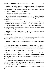Brandon was standing on his doorstep in rumpled gray slacks and a lightblue button-down shirt. He had a tie around his neck, but it looked like it had been pulled loose over the course of his day. His hair was tousled just like it had been after they got out of bed last weekend.

Every part of Larry's body tightened at the sight.

He met him at the threshold, taking him by the waist and kissing him softly. They lingered over the kiss for a moment before Brandon pulled away and shoved the door closed behind him.

"Hi," Larry said, bumping the tip of his nose against Brandon's. "I'm sorry I didn't get a chance to text you last weekend. Or at all. Work is always crazy, and then I spent all day yesterday trying to fix a damn computer thing, and…" He rubbed his forehead against Brandon's hair, enjoying the soft texture against his temple. "I'm glad you came."

Brandon groaned and shook his head. "No," he said reluctantly. "You said food. If this turns into a repeat of last weekend, we'll never even get to dinner, and I'm starving."

Larry smirked and slipped away. "I ordered Chinese. It's on the counter. We can eat whenever you want. Now, later, breakfast…"

Brandon closed his eyes and smiled. He looked like he was trying not to laugh.

Larry set his hands on Brandon's hips and guided him into the living room. "I'm sorry. I know I said I'd text you. My work schedule sucks, and by the time I figured I could text you without seeming like some kind of psychopath, I was caught up at work. It sounds like bullshit, I know, but—"

"My sister is an oncologist," Brandon interrupted. "I remember a bit of her residency years. Mostly, I remember her falling asleep at the dinner table. It was her residency that convinced her to go into research instead of practice, so I get how bad it is."

Larry was surprised and then relieved. "I wanted to see you," he said. "I've only got Thursday and Friday off this week, and I promised my mom I'd spend Thursday getting her computer fixed and returned to her. So…"

"So you figured you could see me and get her computer fixed all in one go?"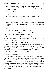"No," he laughed. "I tried to fix it. I gave up. I'm going to take it in to a repair shop when I've got time. That'd be like a date asking me to diagnose their headache, wouldn't it?"

Brandon gaped at him.

"What?"

"If you were honestly looking for a fuck-buddy, this would be so much easier."

"Would it?"

"Do you know how many guys I've dated who assume I can fix whatever ancient laptop they've got tucked into storage units or packed away in their closets?"

"Uh, no."

"You're…" Brandon grimaced and shook his head.

Larry felt his stomach sink, his hope tumbling with it. "Not what you're looking for?" he asked, his voice barely a whisper.

"If I were looking for something long term, you'd be it. But it sounds like both of us aren't really in positions where our jobs give us time for… you know, actually getting to know someone."

Larry slouched and shoved his hands in his pockets.

"Hey." Brandon cupped his jaw with both hands. "I'm not trying to say we can't hang out, or that we can't fuck. Just that it'd be easier if I didn't feel like I've got to get all OCD about whether or not you're going to call. And wouldn't it be simpler if you didn't end up feeling guilty when you can't call?"

"So, a 'friends with benefits' kind of deal?"

"I know we could have fun."

Larry leaned into his touch. The warmth of Brandon's fingers and the passion in his eyes were at odds with the chill that settled in Larry's gut. Brandon leaned up on his toes and kissed him, not softly but eager, energetic, and perfect. He'd hoped Brandon might see him as worth the effort, hoped for something real, but maybe if they took their time, Larry could convince him they could be so much more. And if he couldn't, if Brandon was determined to keep things casual, at least the "benefits" part of being friends with benefits would be hot.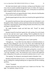His body had already made its decision, inching toward Brandon to feel every inch of warmth available through their layers of clothes. He'd spent an entire week fantasizing about the man in his arms. At this point, he wanted him badly enough he'd take what he could get.

He ground his hard cock against Brandon's body, relieved to find Brandon was also as hard as steel beneath his clothes.

Brandon gasped against his lips when Larry backed up him against the foyer wall.

He snaked his hand between them and squeezed the tip of Brandon's cock through his clothes. Brandon cried out and tried to thrust into his hand, heedless of the fabric separating them. Hands shaking, Brandon shoved him away a little and began to unbuckle his belt.

He caught Brandon's hands and held them still. "Food?" he asked, breathless.

Brandon leaned his head back against the wall, panting. He ran his hands over his face and met Larry's gaze, smiling. Then he grabbed the front of Larry's shirt and spun him around, slamming him against the wall hard enough that his picture frames rattled.

He dropped to his knees, pulling open Larry's pants quickly.

"I thought you…" Larry didn't have the willpower to finish his sentence, to stop him from slipping his cock out of his boxers and swallowing the tip eagerly. He'd been thinking about this so long, fantasizing about it so often over the last week, he nearly came the moment he was inside Brandon's mouth.

Thankfully, Brandon slipped off of him again, giving him a second to try and get himself under control. Brandon looked up at him, his gaze intense. "You said 'anything' I want." He reached into Larry's boxers and cupped his balls, rolling them in his palm as he turned his attention back to Larry's cock.

"Not arguing," he whispered, entwining his hands in Brandon's hair.

Brandon stroked the bottom of Larry's cock and bobbed up and down over the tip, sending him crashing headlong into an orgasm that left him trembling and dizzy.

"Christ," he gasped.

Brandon licked him clean and eased Larry's hands out of his hair. "Too tight," he explained, rising to his feet.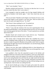"Shit," Larry breathed. "Sorry."

Brandon smirked and kissed him. "You have no idea how hot it is to see you lose control like that. Don't worry about it."

Larry managed to stand up straight, once his legs stopped shaking, and reached for Brandon's belt buckle again. "I don't have much hair you can pull—"

"Not on your head." Brandon ran his fingers over the base of Larry's cock, and the dark tangle of curls around it, one more time. Then he tucked Larry back into his pants and zipped him up. "So, food?"

"But I haven't done anything for you," he pointed out.

"Are you planning on kicking me out after dinner?"

"Never," Larry said, the certainty in his own voice surprising him. He ran his hands around Brandon's waist and squeezed the tip of his cock. He was still hard, straining against the linen of his slacks. "I'm just surprised you can think about food at all."

Brandon hissed and covered Larry's hand with his own. "Sometimes anticipation can be just as much fun as sex. Come on."

They barely made it through dinner before they stumbled into Larry's bedroom, shedding clothes along the way. He kept reminding himself to take his time, to make it as good for Brandon as he possibly could. And it was good. Pushing past the tight ring of muscle into Brandon's ass sent him flying, elated and unburdened all at once.

When it was over, they made a halfhearted effort to clean themselves up then Brandon gathered his clothes and left. There was no kiss good-bye. Just a casual smile, a nod, and then a closed door.

Larry grabbed a beer from the untouched six-pack in his kitchen and chugged it before he went back to bed. He needed to catch up on sleep before he started yet another week at the hospital. He needed to not think about how much worse seeing Brandon leave felt than the one-night stands that had kept him sane for the last four years. Those virtually anonymous encounters had been a chance to get off, but he'd hated the way they left him feeling worn out and depressed. And even that was nothing like this.

By the time he finally got to sleep, he'd made up his mind. He could do casual sex. He could even stick to a friends with benefits kind of deal. But not with Brandon.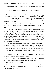In the morning, he sent Gus a quick text message, knowing she'd see it when she woke up.

*That guy you mentioned still interested in getting together?*

\*\*\*\*

The next weekend, Larry found himself at dinner with a younger white guy Gus had insisted was definitely gay, out, and single. His name was Issac, and he had a nervous smile that was getting awkward quickly. He kept smiling no matter what he said, as if he was worried letting his expression slip might somehow be offensive.

"I think we've really moved past that race stuff. Like me, I don't care if people are black, white, or purple, you know? We're all humans, we're all the same."

Issac was the first gay white man Gus had tried to set him up with. She'd been hesitant, since her own experiences dating a white man had resulted in strangers approaching her when they were together, presuming she was a hooker. Apparently Issac had assured her he was totally cool with dating a black guy. Larry would have to show her the dozens of screenshots he kept on his phone from all the guys who repeated the "So, is it true black guys have big cocks?" line, so she could understand what most white guys meant by being okay with dating a black man.

So far, Issac had done nothing except ramble about how colorblind he considered himself to be. Since the long, defensive monologue had started with Issac being surprised by how well-spoken he was, Larry had decided to smile politely, offer to pick up the tab, and then get away as fast as possible. Maybe he'd call Brandon after he said good night to Issac, and see if he might be up for company.

Ten minutes after their entrées arrived, the familiar chirp of his beeper saved him. The sound had never been so welcome.

"I'm sorry," he said, interrupting Issac. "That's work. I've got to run. Let me get this," he said, motioning to the waiter for their check.

"Oh," Issac said, pursing his lips.

When the waiter arrived, Larry didn't waste a moment. "I'm afraid I have to rush off. I have an emergency to deal with. I'd like to take care of the check now," he said to the waiter.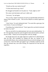"Would you like your entrées boxed?"

"I'd like mine boxed to go. Issac?"

He shrugged and handed over his plate too. "Yeah, might as well."

The waiter took both plates and Larry's debit card.

"I am sorry," he said again.

"No, it's okay. August warned me your job was unpredictable and kind of a matter of life or death, so, yeah… This was fun. Maybe we could try again next week?"

"I don't know," he said, shaking his head. "You seem like a great guy, but to be honest, I'm just not feeling it."

If anything, Issac looked relieved. "Yeah, I guess this was kind of awkward for both of us, huh?"

That was one hell of an understatement, but Larry just smiled politely. "A bit." He signed the receipt the waiter brought for him and shoved his card back into his wallet. "Thank you for having dinner with me, though."

He thought about how the night might have ended if he'd called Brandon after his date. He'd probably be rushing off after sex instead of an uncomfortable dinner, since weekends almost always involved rushing to work at least once. And if he didn't get paged to go in, Brandon would be out the door the moment they were done fucking. He suspected he'd feel like shit regardless.

\*\*\*\*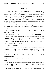# **Chapter Five**

The music was so loud it reverberated through Brandon's body, making the headache he'd been trying to ignore pound in time to the deep bass. The black lights and occasional strobes weren't helping. But he'd promised Josh and Daniel he'd hang out, promised he'd meet some guy Josh swore would be perfect for him. The guy, a butch weight lifter with sun-streaked auburn hair, turned out to be more Josh's type than his. Josh had been glued to the guy for the last hour, grinding against him on the dance floor as if he was trying to fuck him with their clothes on.

He spotted Daniel chatting with a couple of older guys, got his attention long enough to tell him he was going to head home, and then escaped from the noise and the lights.

"Bran!" Daniel called, hurrying after him through the doors to the parking lot. "What's wrong?"

"My head hurts, man. I'm sorry; I'm not up for staying here tonight."

Daniel set his arm around his shoulders, steering him back toward the club. "Brandon, how long are you going to keep acting like this? Josh warned you about that fucker. You went after him anyway, and shit turned out exactly the way he said it would. And honestly, you're probably lucky he didn't go through your wallet while you were asleep."

"Why would he do that?"

"You never know. He's a random guy from Grindr, anything could happen. But hiding behind your computer isn't going to make you feel better. You need to unwind and remember that there are other guys who'd love a chance with you."

"My head hurts, Dan. That's all." The cool air outside the bar provided a bit of relief but not enough.

"I've got some painkiller back at my place," Daniel said, stepping in front of him.

Suddenly the friendly almost-hug felt awkward. "Dan," he said, shoving his arm off. "I need to go. I'm sorry. I am, but you should go have fun. I'll see you Monday, okay?"

He didn't wait for Dan's answer, striding to his car without looking back.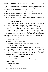He climbed into the driver's seat and dug out a packet of ibuprofen he kept in the center console and then sat behind the wheel, letting the quiet and the cold soothe the pain until the medication kicked in.

He tried to recall how much he'd had to drink. He'd been fine after a beer, but then he'd accepted a sangria from Daniel, and then the headache began. He'd be okay driving with just two drinks.

Before he started his car, he grabbed his phone and tapped out a quick text message.

### *Hey. What are you up to?*

It had been two weeks since he'd gone to Larry's apartment. Two weeks of occasionally checking to see if he might be busy, of trying to remind himself he wasn't taking this seriously. Every time Brandon thought he caught him with a day off, Larry said he had to work, or had to take care of family stuff. They hadn't managed to hook up once. But every time Brandon began a conversation, always with a text message, they typically kept replies going for hours. He only shared a bit about his day, made a few jokes, and tried not to start laughing in his cubicle when Larry found something hilarious on the Internet that he hadn't seen yet.

### *Nothing entertaining.*

He sent back a simple question mark.

*Blind date. Double date. My friend Gus is obsessed with setting me up. Most awkward night ever.*

Brandon was confused. Over the course of their text conversations, he'd picked up that Gus was somehow female, that they'd dated for a long time, and were still friends. Regardless of the orientation of anyone involved, setting up your ex on a blind date was weird. A blind date with your ex was weirder still. He could only imagine how much Larry had to be squirming.

*Your blind date uncomfortable?*

*He's bi. He thinks it's hot. Like Gus and I are package deal.*

Brandon cringed.

*What about her date?*

*Her boyfriend.*

After a moment, another text popped up.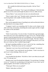*He's suitably horrified and trying to be polite. Call me? Now? Please!*

Brandon gaped at his phone. "You've got to be kidding me." He hit the little phone icon on his screen and brought the phone to his ear, oddly nervous.

"Doctor Myers," Larry answered, his tone curt and professional.

"Does it matter what I say?" Brandon asked, trusting that whoever Larry was having dinner with wouldn't be able to hear him.

"Not really, no."

How was he supposed to know if anything Larry said was directed at him or the blind date he was trying to ditch?

"I suppose I need to say something, huh? So there can be chatter on the other end of the conversation. Something that sounds urgent and like it might be a matter of life and death?"

"Yes."

"Well, I'm sick of bars. I'm sick of clubs. I'd really like to get laid tonight, but it turns out I can't stop comparing every guy I see to you. And the fucked up part is I get the impression that you're avoiding me. Are you avoiding me?" He let his head fall back onto the seat and tried to laugh. "Not that it matters. You're on a date with someone who wants a foursome with your ex, so it's not like you're hard up. Have I rambled long enough?"

He heard something muffled on Larry's end of the line, something that sounded like, "Would you excuse me for a moment?"

"Operation 'save Larry from weird foursome' managed," he muttered.

"You're drunk," Larry said directly into the phone. "I don't even have to ask if you've been drinking. Where are you?"

"In my car."

Larry breathed into the phone. "Oh, hell no. I don't care where you are, pull over. I'll come get you."

Brandon wasn't sure if he should feel offended. "I'm not driving. I'm sitting in my car." Granted, he was planning on driving home if Larry wasn't up for getting together, but he hadn't actually done it yet.

"Thank god. Where are you parked?"

"Rebels. Same place as before."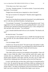"I'll be there in ten. Don't move, okay?"

"I'm okay," Brandon insisted. "I've had two drinks. I'm just tired, and my head hurts. I'm not drunk."

"Fatigue leaves the body just as impaired as a shot of alcohol."

"Do I get an incentive for sitting here?" Brandon asked suggestively.

"Just stay put."

It took Larry less than the ten minutes he'd promised. Larry pulled open the driver's side door and offered Brandon a hand getting out.

"I'm not drunk," he insisted. "I'm waiting for the ibuprofen to work." Larry tugged him to his feet and pulled him close, guiding Brandon's arms up and around his neck. Brandon let himself fall against Larry's chest, noting the nice shirt and dark, silky suit jacket. "You look good."

Larry's breath tickled the shell of his ear as he chuckled. "Not drunk at all, huh?"

He shook his head. "Two drinks."

At his apartment, he half expected Larry to shuffle him through his front door and take off, but when Brandon asked him to come in for a drink, he agreed.

"Can you manage coffee?"

"I need to eat. Join me for pizza?" He used an app on his phone to order, and by the time he paid the driver, Larry had figured out coffee by himself. He shoved a steaming cup into Brandon's hands and took the pizza.

"I was just going to grab a beer," he said.

"The coffee will do as much for your headache as the painkiller. A beer will make it worse. Drink the coffee." Larry said the words with a quiet, calm certainty that was, admittedly, hard to disobey. He took the pizza into the kitchen before Brandon could argue with him. He took a sip of coffee and followed him, helping get pizza onto plates and out into the living room.

It wasn't until after they sat down that a ball of gray fur launched itself at Larry's feet. He spread his legs apart and Momo ended up crashing into the couch. She rolled to the side, shook her head, and stared at them both. "That's a normal 'hello'?" he asked, scratching her on the top of the head as though she hadn't just tried to attack him. She glared then began to purr anyway.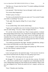"She likes you. You get a beer but I don't?" he asked, nodding to the bottle on the coffee table.

Larry groaned. "After the dinner I just sat through, I really want one."

"No worries about hangovers?"

"If there's pizza, I'm okay."

"So what was the deal the first time you came over? You worried I'd spike your drink or something?" he teased.

"Yeah, right. Why drug the willing? No, it's just a thing."

"A 'thing'?"

"A car accident thing. And a drunk asshole thing."

"I guess you've probably seen a lot of victims of drunk drivers," Brandon said, his smile fading. "I'm sorry, I hadn't thought about that."

"It's not the victims that bother me. They're trauma patients. I evaluate them and get things started, that's easy. Drunk drivers, though, usually get hurt too. And they're always assholes who don't want to be treated, who can't remember they're hurt, and who will inevitably sue my ass if they make their own injuries worse. Gus always told me I just get more fun when I'm drunk, but I don't ever want to be 'that guy,' you know?"

"You ended up staying here that night," Brandon reminded him, taking a bite of pizza and following it up with a big swig of coffee.

Larry shrugged. "I wasn't sure how things were going to go. Who can ever be sure what someone's going to be like?"

"Like your date?"

Larry's eyes got narrow, his expression angry. "I owe you one. As soon as Gus and her boyfriend took off, things were only going to get worse."

"I'm sorry. Why's she trying to set you up, anyway?"

He shrugged. "It's what girls do. It's what she does, anyway. We dated for… well, forever, and there wasn't a single day in our relationship when she wasn't talking about setting one of her friends up with somebody. When I came out, I got relegated to the 'friend who needs true love' category, and that was that."

"Sorry," Brandon said, chuckling.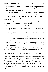"It's no big deal." He took a sip of his beer, suddenly looking thoughtful. "I'd put up with a thousand shitty dates if it makes her happy."

"How long were you two together?"

"We became friends when we were in preschool. We started dating at thirteen. Well, when she turned thirteen. She's always been my best friend."

"Then you should be honest with her. If she's trying to set you up, it's because she wants you to be happy. If blind dates aren't what you want, you should tell her."

Larry's gaze lingered on him longer than strictly necessary. He wore a smile, but something about it was sad, almost regretful.

"It is what you want," Brandon said aloud. "Oh."

Larry just shrugged. "I want a life with someone. Something real that lasts, you know?"

Brandon's chest tightened. "Is that why you haven't been interested the last couple weeks?"

"I doubt I could ever *not* be interested in you."

"The deal was no bullshit, remember? Every time I suggest we get together, you make a joke, change the subject, and then have to run to work."

"I've been busy. When I'm at work, I can't afford to think about anything but the job in front of me. I don't mentally multitask because the risk of making a mistake is too high. But…"

"It's okay," Brandon said, even though it didn't feel okay. "Usually the whole friends with benefits thing means you've got to be friends first."

Larry tipped his beer bottle back and chugged the last few sips then turned toward him. "I'd like to be friends. I've been busy, but I'm here now." He reached for the back of Brandon's neck, as if he might pull him in for a kiss, but he froze. His fingertips ghosted over Brandon's hair for a moment then dropped away. "After that blow job, the friends with benefits thing sounded good, but I can't." He took a bite of pizza and kept his eyes on the coffee table, not meeting Brandon's gaze. "When I saw your text, all I wanted was to find a way to hook up with you tonight. It was the same last week, when it was just me and some random guy Gus met through her job. I didn't want to fuck him enough to put up with him trying to convince me race was irrelevant. I wanted you."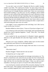"So you don't want to do this?" Brandon felt like he couldn't breathe, couldn't even think. "We could just be friends," he said, trying to force the word out. Of course they could just be friends. Larry had left a date and his best friend because he'd thought Brandon needed help. If their text conversations had revealed anything, it was that Larry was fun, intelligent, and he needed someone to vent to about all the subtle injustices he wasn't allowed to scream about on the job. Brandon had kept responding, kept encouraging him to talk because he felt like maybe he could help Larry too. "Or we could try the whole 'dating' thing, but your schedule sucks so much, I don't know when we could actually see each other. We'd still only be texting each other a couple times a week and seeing each other every two weeks."

Larry sighed. "I won't compromise on the work thing. I can't. But I can try to give you the time I do have."

Brandon nibbled on a bite of pizza. "Guess we'll just have to figure it out."

Larry looked up at him and smiled, not the bright, goofy grin Brandon had missed, but a look of genuine happiness. "Good," Larry said. "You should finish your coffee."

Larry reached for the cup and placed it in Brandon's hands, apparently oblivious to the spark Brandon felt when their fingers touched. "Why?" he asked.

"Because you've got a headache. Caffeine makes most over-the-counter pain medication more effective for relieving headaches."

"The headache was just from the sangria. Red wine does it to me every time."

"Why drink it then?"

Brandon shrugged. "Daniel shoved it into my hand."

"Is Daniel the one I've slept with?"

Josh's tale had come out during their text message conversations, too. "No. Daniel's a friend from work. Josh is the one you slept with. We've been friends forever, but he went to work for Google after college. And I'm positive you slept with him. He even described your beeper. I know you said you don't remember it, but he got you spot-on. Except for the callous douche part."

Larry stood up for a moment and took off his suit jacket, draping it over the back of the couch. "This is going to sound horrible, but I still don't remember. I mean, it probably happened, but I wasn't trying to be a jerk."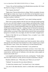"I know. He can find something to be offended about anywhere. He's been like that for as long as I've known him."

"How long has that been?"

"High school. Then he followed me to college. Which was pathetic, because all through our senior year, he gave me shit about not leaving home to go to college, like I would be subjecting myself to some kind of worldly isolation by staying in northern California."

"You've been here your whole life?" Larry asked, looking surprised.

There were so many people in the San Jose area with more people pouring in every year with fresh computer science degrees and brilliant ideas. People came to San Jose to make money, to engineer whatever gadget they envisioned changing the world, to build multimillion-dollar start-ups from the ground up. And his parents had done just that—making a home for themselves among the middle class of Silicon Valley. A middle class where a net worth of several million dollars was normal. When Atlas Software took off, their stock portfolio had grown to include a few extra digits, but their lives hadn't changed much.

"Kind of. My folks live up in Mountain View, so maybe I was a little sheltered growing up."

"You weren't a Stanford kid, were you?" Larry asked.

"Almost. It was like fifteen minutes away from my parents' place, and my mom got her Juris Doctorate from Stanford Law. But I wanted to go to school near the beach. Lame, I know, but I ended up at Cal State Monterey Bay."

"That's a whole sixty minutes from home," Larry pointed out.

"Yeah, I know. I wanted to go to the beach, not leave. I love it here. You watch the news, and it seems like the rest of the country is overrun with psycho conservatives, and this part of California is the only place where people are rational and actually nice."

Larry laughed and leaned back into the sofa, watching him. "Totally unfair. The rest of the world isn't so bad, and not everyone around here is decent."

Brandon rolled his eyes. "What about you? Where are you from?"

"Oakland," he answered, his tone almost defensive.

"A whole forty minutes away?" he echoed Larry's last comment.

"Yes, but it's the other direction. And it's a whole other world compared to here."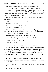"Did you go to school locally? Or just come home afterward?"

"This is school," Larry said simply. "The hospital has a horrible reputation. People say we're overwhelmed by Medicaid patients and every homeless person who comes in off the streets, and they're right. But we get so many different cases that Santa Clara is an amazing ER to work in as a resident, and it's the most important part of the curriculum."

"So you're still a student? Do they make you take tests at the end of the week or something?"

"At the end of every six month rotation. With performance reviews from my supervising physicians."

"Damn. I was so sick of school by the time I finished my bachelor's degree I couldn't even think about staying."

"It's not so bad. I'm a doctor, and I'm doing the same thing right now that I intend to do for the rest of my career. I even get paid, albeit only about a quarter of what an attending physician makes."

"So are you planning on staying? At Santa Clara, I mean?"

"Or someplace close, yes. I need to stay close to Oakland, either way."

"You've never been anywhere else?"

Larry shook his head.

"So you can't really say I'm wrong about the rest of the world, then."

"I can't say, in my direct experience, that you're wrong. Maybe the rest of the world is full of assholes, but we've got our share right here. One of the attending physicians I work with comes across as the nicest guy, but I've heard him rant about politics and the 'gay agenda' and, I tell you, the man freaks me the hell out. But he's not in some small town in the heartland—he lives in Mountain View."

He cringed. "I swear my parents aren't like that. Hell, my mom was happy when I came out. She finally had something new and trendy to talk to her friends about."

"Trendy?" Larry snorted. "You're lucky. My mom's Roman Catholic, so…"

"She doesn't know you're gay?"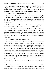Larry pressed his lips tightly together and shook his head. "It's hard, just trying to figure out how to bring it up. She's liberal, always has been, but not *that* liberal. She doesn't believe in any 'gay agenda' conspiracy theories, but she thinks it's a sin. Better than either murder or adultery, but still a sin."

"So you're trying to figure out how to tell her?"

"Nah, not really. We've always been close, but sex isn't a part of my life I'm inclined to talk about with my mom, no matter who it's with. I try to go see her once a week, more if I can help it. And that probably sounds creepy, like I'm still attached to her apron strings or something. She's, uh, she's sick. She has leukemia."

"Leukemia?" Brandon shifted closer to him on the couch, forgetting about the pizza and the rest of his coffee. "That's a kind of cancer, right?"

Larry nodded. "Blood cancer, basically. She's been dealing with it for a long time, going through treatment then she has months and sometimes years in remission. This time around it spread to her lymphatic system. Aggressively. She's been in a nursing home for the past two years because the cancer and the treatment hit her hard. She was in an assisted living facility for a few years before that."

"Is she why you wanted to go into medicine?"

"In a way, yeah. I can't treat her. There are definite rules about physicians treating members of their immediate family. But I realized around age twelve that her doctors sucked. She didn't have insurance and didn't qualify for Medicaid, so no one wanted to bother doing a full workup. They gave her a tenor twenty-day supply of pain medication and shuffled her out the door without ever listening to her. One guy she went to see actually referred her to the county mental health services center and told her it was all in her head instead of considering her symptoms and ordering a blood test. By the time she was actually diagnosed, what probably started as a treatable stage-one or -two leukemia had progressed to a high-risk, stage-four cancer that was affecting her liver and lymph nodes."

"I can't imagine what that must have been like. It's frustrating just to listen to."

"It was. It pissed me off. I wanted to be able to go back in time and tell her doctors what to look for. I wanted to make sure no one else went through what she faced—having every doctor accuse you of making up your symptoms while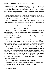you get sicker and sicker. Plus, I don't know how much time she has left. Her cancer might respond to the chemotherapy, it might not. She might change her mind about getting on the waiting list for a bone marrow transplant. She might go into remission. And she might go downhill overnight. I wanted to make her proud while I still could."

"Do you have any other family?" Brandon felt his stomach sink. He shifted so close their thighs touched. He wanted to move closer still, to wrap Larry up in his arms and hold onto him tight. "Anybody else?"

"Neighbors, including Gus. Technically, I've got a couple half brothers and a half sister out there somewhere, but I don't know them very well. What about you?"

"I've got a brother and a sister, Jennifer and Luke."

"Jennifer is the oncologist, right? You close?"

"God, no." Brandon took a sip of his beer. "They're old. Jen's forty-two and Luke is turning forty this year. I have about as much in common with them as I do with my dad."

"What? So they're… All right, I don't know how old you are, but that seems like one hell of an age gap."

"I'm twenty-seven," he informed him. "It's a huge age gap. My parents decided they were never going to have any more kids after Luke. Fifteen years later, I caught them by surprise. My childhood involved my brother and sister coming home to visit for Christmas, not actually growing up with them."

"Now see, with me, it's the opposite. My dad took off when I was a kid, and he got married again when I was a teenager. Right about the time I finished high school, he wanted me to meet his wife and new kids. It was weird, seeing this herd of screaming little kids who were technically my siblings. They seem cool, but they're little. His new wife tries to stay in touch—she sends Christmas cards and stuff like that, with school pictures and school news and soccer team photos. They live an hour away, and I doubt I'd recognize any of them if I passed them on the street."

"But no one else who can help you take care of your mom?"

"I can't take care of her. I visit her, and I support her, but I can't do what a nursing home can. I just wish she would quit whatever the hell she keeps doing that kills every computer she touches."

"It happened again?"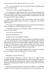"Yes. It was mine this time. She was using it because I still hadn't gotten hers back from the shop."

"It's been two weeks. It should be repaired by now."

"It's not going to be. Apparently the video card is fried, or something. They said it was added after market, and it wasn't meant to go with the motherboard or the power supply. I don't know what the hell they're talking about, only that it'll cost more to fix it than to replace it."

"Laptops don't usually have video cards anymore. Some big systems designed for gaming still have them, but that's it. Sounds like it was an older system anyway."

"It was, yeah. So, I'm going to buy her a new one when I get paid again and then try and figure out what the hell she did to mine."

"I could take a look at it for you," Brandon offered. "Do you have it in your car, or is it at your place?"

"It's in my car, but it's all right."

"Do you work tomorrow?"

"I really hope not, but I might get called in."

Brandon considered him for a moment. Despite his unpredictable schedule, Larry was still sitting here at nearly midnight. He'd offered to give Brandon what time he had, and he'd even made coffee to help his headache. "Go get it, I'll figure out what's going on with it and have another cup of coffee. Then in the morning, or whenever your pager goes off, you can give me a ride back to get my car. You can sleep while I work on it, if you'd like."

Larry stared at him for a moment, smiling, before turning away. "Not quite how I was hoping to spend the night with you, but sure, okay."

\*\*\*\*

The absence of sound woke him up.

Despite Brandon telling him to go get some rest a couple of times throughout the night, he'd fallen asleep on the couch, making jokes about an old movie while Brandon somehow got his computer to start again then began a long process of letting software figure out what was wrong with it while Larry watched TV.

Despite the occasional pang he felt when he looked over at Brandon, wanting to touch him but also not wanting to distract him, it had been a fun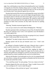night. Now with Brandon on top of him, his head pillowed by Larry's shoulder, covering the rest of him like a blanket, things weren't so simple. The television was off, and he was pretty sure they'd dozed off with it on. He was also pretty sure Brandon hadn't been plastered against him at the time.

Brandon had turned off the television and dropped the remote, but he didn't move his head or open his eyes. Larry ran his fingers through Brandon's hair, savoring his chance to feel the soft, thick texture again. It was so nice, feeling him close without any questions or expectations. He wished he could rewind the last three weeks and make their first night end like this. Not that the frantic marathon sex hadn't been awesome, but they hadn't had time for anything beyond it.

"Morning," Brandon murmured against his chest.

Larry sat up as much as he could without dislodging him. "Morning."

Brandon squirmed a little, stretching out on top of him. He tilted his head to the side so he could kiss Larry's neck. As he squirmed, Larry felt Brandon's cock stiffen against him.

The tickling, fluttering pressure of his lips was going to be Larry's doom if Brandon's frank arousal didn't do him in first.

"Breakfast?" he asked, trying to slip out from beneath him.

Brandon paused with his lips just beneath Larry's ear. "I don't want breakfast."

He stiffened as Brandon fumbled with pants, lifting his hips to make it easier to pull his slacks down. "I suppose breakfast is a little overrated."

He cupped Brandon's cheeks and kissed him, tangling his fingers in Brandon's hair again. Brandon slipped his tongue into his mouth, just for a moment, then pulled away and began to work his way down his neck. Brandon pushed himself up, almost tumbling off the couch as he shifted down.

When he felt Brandon's hot breath gush over his cock, he propped himself up on his elbows, staring with rapt attention as Brandon took his erection into his mouth and sucked him in deep.

"You could flip around," he said, panting. "Give me a chance to be fair."

Brandon slipped off of his cock with a pop. "Nope. I couldn't focus at all if you were sucking me off. I want to make this good."

"No such thing as a blow job that isn't good," Larry muttered.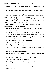Brandon took him into his mouth again, his lips slicking the length of Larry's cock over and over.

He reached for Brandon's hair again and hesitated. "Can I grab your hair?" he asked.

Brandon hummed a yes and Larry flinched. The combination of suction, moist heat, and vibration turned the tiny shockwaves of pleasure coursing through him into a spike of sensation. He thought he saw Brandon smirk around his cock before beginning to hum low and deep. The vibrations sent him crashing into an orgasm that shook his entire body. He watched Brandon swallow around his cock, mesmerized by the sight.

When Brandon pulled away, Larry almost whimpered. He missed the warmth instantly. "Where are you going?"

Brandon ran his hands through his hair and headed toward the bedroom. "You can return the favor in the shower."

"I'm totally up for that," he said, rolling off the couch to follow.

After a quick but fun shower, he insisted they either find breakfast or go out to eat. Brandon swore he had food somewhere in his kitchen, but he returned his attention to Larry's laptop before they managed to make it to the kitchen.

"So you'll walk away from a techie problem for sex but not for food?"

"Sex and a shower," Brandon muttered without looking up.

"How'd it go?" he asked, nodding to the thin laptop.

"You had a couple of Trojans hijacking your system resources—just malicious crap."

"I have condoms hijacking my computer?"

Brandon smirked. "You live in Silicon Valley. You know what a Trojan is, come on."

"Like a virus that disguises itself as another program, right?"

"Yes. In this case, it was a system audio file."

"It was giving me security errors, freezing up and stuff. I couldn't even get online."

"The audio file was eating up over eighty percent of your system memory."

"Huh? Is it gone?"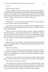"Gone."

"How did it get on there?"

Brandon shrugged. "Usually it's easy to spot programs that are dangerous, but sometimes they can look like normal utilities you're just trying to update. In this case, it was a bundle of chat software, I think. I got rid of it, and I restored most of the system files back to a restore point from four weeks ago, so they should be all right. The full system scan should be done, too."

"So it's fixed?"

"Getting there. It runs for more than thirty seconds so it's Trojan and virus free, but I want to clean up a few more things."

"How about I see if I can figure out breakfast, then?" He disappeared into the kitchen where found eggs, along with some peppers and bread, then set about making breakfast.

"Hang on, the rest of it I need to talk to you about," Brandon announced from the living room. "Even without the malware, it's still likely to crash on you just because of memory allocation issues. This is an ultraportable. It's got the system resources to check email, to do some basic office tasks, stuff like that. You really can't play Warcraft on something like this."

"Play what?"

"Warcraft. That's what's killing it. You don't have any onboard video RAM because your graphics processor is built into the motherboard chipset. It's not a gaming machine."

"I don't play anything."

"Well, it's on there. With all the current expansions and a shit-ton of realtime chat stuff. I'm pretty sure one of the chat programs is where your malware came from. Everything else on it looks to be anatomy databases, medicine databases, and music."

"The music is mine, but there aren't any games on there. I think I played some version of Warcraft when I was ten, but not since then. It's not on there."

"Oh, yeah it is. Come see for yourself."

Larry moved the pan of eggs off the burner and killed the flame. In the living room, Brandon turned his slim almost-new laptop so he could see the screen. A buff elf covered in heavy armor stood posed on the screen. "It's even set to log in automatically. I suppose your mom must have loaded it."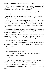"My mom?" Larry shook his head. "No way. She's *my mom*. She doesn't play…" He waved the egg-covered spatula at the laptop. "No. Just no. My mom watches soap operas. She doesn't play video games."

"Then someone else must have. Who else uses your computer?"

"No one."

Brandon chewed on his bottom lip and scratched the back of his head. "Okay, who else uses your mom's computer? Someone at the nursing home?"

Larry thought about the endless parade of nurses, CNAs, and orderlies working at his mother's nursing home. Using a patient's personal property was a serious ethical violation, not quite stealing from a patient, but a definite breach of trust. "That is not okay. My mom's laptop had account stuff saved on it. God damn it, this is not what I needed today."

"I can uninstall the game, but maybe we should wait. If someone's using your mom's computer who isn't supposed to, we might be able to trace whoever the account belongs to."

"Shit. Would you be willing to drive up to Oakland with me?" he asked, shaking the spatula in Brandon's direction. "I can ask the nursing home manager and my mom about it and see what the hell is going on."

"Doesn't sound like you need me for that."

"Well, maybe you can warn my mom about disabling security settings and what kinds of programs to watch out for? Or at least explain what happened?"

"Oakland, huh?"

"Yeah."

"Just to explain things to your mom?"

"Well, no. Mostly to keep me company when I'm stuck in traffic."

"That I can do but on one condition."

"Sure?"

"We drive over the Bay Bridge and get lunch somewhere on the wharf." He was subtly bouncing on the balls of his feet, his eyes lighting up.

Larry stared at him. "You got someplace specific in mind?"

"Seafood! I don't care where. We can split the cost of lunch and gas, if you want."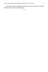He'd give Brandon anything that made him bounce like that. He couldn't help but smile. "Seafood sounds good."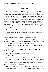## **Chapter Six**

After a quick breakfast, they picked up Brandon's car and returned it to his apartment, then stopped for gas and got on the highway, driving around the southern tip of San Francisco Bay to the suburb-turned-city of Oakland. It had an industrial feel to it, compared to the carefully planned balance of parks, green spaces, and tech centers that defined San Jose. It felt more like a city than San Francisco, and Larry didn't mind the urban vibe. The nursing home was a multi-story skyscraper affiliated with St. Paul's Episcopal Church. It was close enough to Lakeside Park that his mom's window looked out over one of the few expanses of green in the area. He'd thought that was important, before he realized the level of care she needed would mean she couldn't get out of bed to enjoy the view.

He knocked on her door first. "Mom?"

She was asleep, the only sound in the room the soft electric hum of the television in the corner.

"She's so young," Brandon whispered behind him and, for a moment, he sounded stunned. "She doesn't look a day older than my mom."

"You say that when she's awake, you'll make her day," Larry promised. He set his briefcase down quietly and wondered if he should wake her up. "Would you mind if I go find the staff manager since she's asleep?"

"Will she scream and try to attack me when she wakes up and sees a stranger in her room?"

"If she could do something like that, she wouldn't need to be here. I shouldn't be long."

"Go ahead. You want me to set up the laptop in here?"

"That'd be great."

The senior nurse on staff wasn't helpful, and the administrator who virtually always made time for him when he needed to discuss him mother's care was apparently out sick. After almost an hour of wandering between different offices, Larry was ready to give up and just stakeout his mom's room to see who might be going through her things.

When he got back to his mom's room, he was caught off guard by the shriek that came from within. He flung the door open, ready to reassure his mom that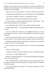Brandon wasn't someone who just wandered in off the street. Brandon was perched on the side of his mom's bed, both of them bent over the laptop screen. And they were both laughing.

"There you are!" his mom called out. "Lawrence, where have you been?"

"Trying to find an administrator who works weekends," he said, grumbling.

"You work in a hospital, Lawrence, you should know better."

"What's going on?" he asked, trying to peek at the computer.

His mom's eyes went wide, and she shut the laptop screen quickly. "Your friend was just helping me with something."

Larry resisted the urge to sigh. He shot a glare at Brandon instead.

Brandon rolled his eyes. "I was showing her a Dungeons & Dragons meme. It's cute."

"It's just a little joke. Thank you for bringing this back so I've got something to do, by the way. My dear José brought me new books, but they go so quickly."

Larry took in the quick flutter of her eyes, the dark cast to her cheeks. "I leave you alone for a few minutes and you manage to make my mom blush?"

Brandon plucked the laptop from her blankets, opened the screen, and spun it around. "It is cute," he said, grinning.

Larry scanned the meme, surprised to just see a picture of strange-shaped dice.

"Read it," Brandon urged.

"I really don't think it's the type of thing Lawrence would find amusing."

"I don't get it," he said, feeling clueless.

Brandon's mouth dropped open. "You never played Dungeons & Dragons? Trish, your son missed out."

"He's a millennial baby," she said, smiling. "It wasn't popular when he was growing up. Frankly, I'm surprised someone as young as you has even heard of it, much less played."

"You played Dungeons & Dragons?" Larry asked, looking at his mom rather than Brandon.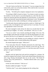"Oh, don't look at me like that," she insisted. "I was too young to have fun in the sixties, and it was cool in the seventies. Well, truth be told, it was never *cool*, but we had fun anyway."

"So this…" He held up the computer, hoping for more of an explanation.

"Everything in D&D is based on chance. You choose to attack an enemy, but whether or not the attack is successful depends on a roll of the dice. How much your character gets hurt also depends on a roll of the dice. A critical fail, rolling a one basically, means that the attack totally doesn't work. The dungeon master decides just how badly something not working is going to suck."

"And the male character ended up married to a male orc. I think I get it." He said the words, even though he wasn't quite sure how it was funny. Or in any way appropriate to show to his *mom*.

His mom managed to look serious for about two seconds then her face scrunched up in laughter. "It's funny," she admitted. "And, yes, it's cute."

"You are so weird," Larry insisted, pinching the bridge of his nose. His mom thought a joke about gay marriage in an old role-playing game was cute? He had no idea how he was supposed to respond to that. "You're both weird."

"Don't be such a stiff. Brandon was just sending my warlock a bunch of things to disenchant, and we started talking about older games."

His mouth dropped open again. "What now?"

"Your mom plays Warcraft," Brandon announced, his smile huge. "Not only does she play, she just got her last character to the level cap. He's an enchanter, and I haven't played in forever, so I sent him some stuff I'm never going to use again to disenchant."

"Him?"

Brandon took the laptop back and used the touchpad for a moment. He turned the computer back around. A butch, pale-skinned thing with pointy ears and a long, flowing red-and-gold robe was on the screen. "Her blood elf warlock. One of his professions is..." Brandon faltered under Larry's glare. "Enchanting."

In bed, his mom snickered. "Told you so."

Brandon nodded and sighed. "You did."

"Told him what?" Larry asked, plopping into the rocking chair.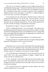"That you've run yourself so ragged you can't imagine having time for something like playing a game." She turned to Brandon and set her hand on his arm. "My fault, entirely. When I first became ill, I was absolutely convinced that if I dared slow down when I was tired, I'd grind to a halt. I thought if I stopped working, I'd never start again. A work ethic is a wonderful thing, but not if it eats away at your life, your happiness."

"A lot of people aren't into video games," Brandon insisted. "I didn't stop playing Warcraft because I ran out of time; I just lost interest. I got an opportunity to do something rewarding in my job, and that just felt more important. My job's nothing compared to his. You can't hold it against him if he wants to devote his energy to something like saving lives."

She patted his arm again. "You must be a good friend."

"And he's selling himself short," Larry said simply. "The software he's designing is going to help engineers make solar panels more efficient. It might not seem like anything big, but give it two hundred more years of using fossil fuels, and it might help more people than me diagnosing an ear infection and treating a half-dozen fake headaches."

"It's…" Brandon shook his head, blushing. "It's not that big a deal."

"Saving our planet isn't a big deal?" His mom was good at looking suitably impressed. "My goodness, you're as bad as Lawrence."

\*\*\*\*

Watching Larry try to come to terms with the idea of his mom playing video games was cute. He cradled his head in his hands and asked her detailed questions about how she'd begun to play and then looked up at him. "So, you said this computer isn't going to be any good for this game. Right?"

"No." He shook his head. "Absolutely not. If you want to play Warcraft," he said to Trish, "you've got to get something a lot bigger. I imagine your old system was fine two expansions ago."

"It was," she agreed. "And my dear night shift nurse had a laptop with a blown out motherboard, and he said it had a decent video card, so we tried putting it into mine. It worked but never quite right. And it ran so hot. Still, it was better than nothing."

"Can you help me pick out a laptop that can play whatever she wants without catching on fire?" Larry asked.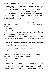Brandon wanted to roll his eyes, but he didn't want to do anything to offend the woman sitting beside him. Every topic he broached and every piece of tech jargon he used, assuming he'd need to explain it, Trish had understood perfectly. She didn't need Brandon to pick out a laptop for her.

"We can go now, swing by Best Buy, and grab some lunch on the way," Larry offered. To his mom, he explained, "I promised him seafood. Lunch is cheaper than a repair bill," he added, trying to provide an explanation he suspected wasn't necessary at all.

"You can't do that," Trish insisted. "Lawrence, I don't want you to go spending money on me. If my computer can't be fixed, I'll save up a bit and order a new one. In the meantime, I'll just have to find some other way to pass the time."

"But Momma…"

"Don't you 'But Momma' me. You've got student loans to pay; your rent is sky high; and last time she popped in for a visit, I noticed you still haven't saved up enough to get August a proper ring."

A flash of panic crossed Larry's features. "I can afford a laptop. Gus is a modern woman. She doesn't want or need a ring to advertise her relationship status."

Brandon tried his best not to look surprised. Larry had said his mom didn't know he was gay, but he hadn't expected her to be ignorant of his son and Gus's relationship ending over two years ago.

"Is that what she told you?" Trish asked incredulously.

"Yes."

"You must realize she just said that because she doesn't want to put any more pressure on you. She wants the ring. She wants you to spend the money. She just doesn't want you to feel like you're obligated to do it."

"Not every woman thinks like you, Momma."

"Lawrence!"

Brandon bit his bottom lip, trying not to laugh aloud. Larry and his mom were a lot alike, even if she managed to leave him confused and suspicious about her videogame choices. "Okay, pause! Pause! Trish, you've got to have some idea what you want. Why not just order something you customize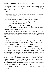yourself? You won't have to put up with whatever a sales person tries to sell Larry, which will be the closest thing to a business-class notebook they've got, or whatever I pick out."

"Why would a salesman try to—"

"I'll explain later," he promised. "But your mom already knows exactly what she wants. Or am I wrong?"

She pursed her lips, considering him carefully. "What I want," she said carefully, "is expensive. I'd rather save up and pay for it myself."

"Show me?" he asked, shifting Larry's laptop to the tray table and positioning it where he'd seen her arrange it before.

She quickly navigated to a three thousand dollar gaming notebook with a massive display and a graphics processor that he would expect to find in a desktop computer. "I'd like that one."

He whistled as he looked over the system that promised not only to be a desktop replacement, but a replacement for damn near any gaming console, too. "That would be awesome," he agreed. "But now I have to try and talk you out of it."

"Oh?"

"Look at the dimensions." He pointed to the tiny box of data at the bottom of the system specification. "It's huge. It'd have a beautiful display, but I think it would be about an inch and a half too big to fit on this table."

She turned the tray table, considering its depth herself. "Hmm."

"And it's almost ten pounds. Here." He hopped to the floor and grabbed a couple of books from the stack on top of her dresser. It took almost a dozen of them to come anywhere near what felt like ten pounds. "These won't work," he admitted, before the stack of books slipped and tumbled to the floor.

Larry hurried over, kneeling beside him to grab the books. Brandon's gaze locked on Larry's for a moment, the position so familiar and enticing. He swallowed hard and replaced the books then scanned the rest of Trish's room. "Okay, so not such a good idea. I hate to ask you to take my word for it, but I really think ten pounds of computer would be too heavy for you to lift and move around comfortably. It would be heavy for me."

"Ten pounds, huh? What about one of the lunch trays? Don't they weigh about that?"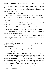"Three pounds, maybe four," Larry said, pushing himself to his feet. Brandon's breath caught as he felt Larry's finger tips travel along the outside of his leg when he moved, the subtle contact brief enough to look innocent and well out of Trish's view.

Larry looked calm and oblivious.

"Oh." Trish looked as disappointed as she sounded. "I didn't think the weight would be an issue, since it would just sit on the tray table. But if it won't fit on the tray table, that's a different story. I suppose the smaller one wouldn't be that bad."

"The fifteen inch is a model they've got at Best Buy," he chimed in. "Which means we can pick it up today and probably get it on sale."

"I suppose," she said, her tone thoughtful. "It's still a lot of money."

"How about I call it an early Christmas present, then?" Larry offered.

She sighed dramatically and shrugged. "I don't want you spending that much on me for Christmas, either."

"Well, it's too late anyway," Larry said, jangling his keys. "I know which one it is now, so if I don't get it for you today, I'll just get for you for Christmas. You can be stuck with it now or then, you're choice."

"Lawrence…"

"And I did promise him seafood." He quickly kissed his mother on the cheek and then grabbed Brandon by the elbow and tugged him toward the door. "Be back in a bit!"

In the hallway outside, he finally let himself laugh.

"What?" Larry asked.

"Your mom's cute," he said. *Cute* wasn't it exactly, but he didn't know a better word. Larry had a relationship with his mom that was so wholesome it would have been weird if Trish wasn't so down to Earth. Her sense of humor reminded Brandon of his own mom, but only after she'd had a few glasses of wine and stopped filtering everything she thought. Trish was open, funny, and so smart some of her quips had almost gone over his head while they discussed games and computers. "Nope, I take it back. Delightful fits better."

Larry smirked at him, his right eyebrow arching up high.

"She is," he insisted.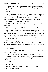"That wasn't how I was expecting things to go," Larry said, pulling him close. "Thank you, by the way. You saved me from making a huge fool out of myself."

"Did I?"

"Yeah. I was ready to outright accuse her nurses of going through her property. It wasn't the right thing to do before talking to her, but I never thought… I still don't get it. She has never talked about video games with me. She never bought games for me when I was a kid. I really don't get it."

"How'd you play an older version of Warcraft, then?"

"I… Okay, I admit, I played that on the old desktop computer we kept in the living room."

"Uh huh. And did you ever ask her to buy you video games?"

"Hell, no. We never had much money, especially after she started drawing disability. I knew how much she scrimped and saved just so I could have nice school clothes, I'd never have…" He stopped and squeezed his eyes shut, smirking. "Hell, maybe she has talked about games, and I just didn't listen. To be honest, most of the time when I come to visit we talk about politics for a few hours, and then I dose off."

"I think falling asleep anywhere and everywhere is just a residency thing," Brandon nodded. "I got in so much trouble one Thanksgiving during Jen's residency when I nudged her elbow out from under her when she fell asleep at the table."

"On Thanksgiving?"

"Yeah. I got a huge lecture about the potential dangers of accidentally inhaling mashed potatoes."

Larry rolled his eyes, his regular smile fixed in place again. "You joke about it, but I swear it happens. I read a case study from a general surgeon who was planning to remove a mass from a patient's lung. Instead of a cancerous growth, he found a pea."

"A pea?"

"A green pea."

"Ok, that's kind of gross. But if I'd heard that when I was eleven, I'd have thought it was funny as hell."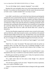"So, over the bridge, lunch, computer shopping?" Larry asked.

Brandon felt warm and giddy when Larry set his hand against the small of his back. It was almost an innocent gesture, like the casual, unconscious touch in Trish's room. A subtle reminder that it was okay to touch.

\*\*\*\*

Larry didn't want the day to end. In the four hours between purchasing the computer his mom wanted and the time they'd scheduled to pick it up after the store technicians did whatever they felt they needed to do before letting him take the damn thing out the door, they'd had lunch at a little seafood place right on Fisherman's Wharf, then spent the afternoon wandering around the tourist attractions and watching the street performers who scratched out a living along the waterfront. Before they left the car, Brandon had carefully pulled a halfdozen one-dollar bills from his wallet and shoved them into a pocket by themselves.

The first time Brandon stopped and watched a man covered in silver paint, and very little else, roller skate around in circles, Larry had been a bit surprised when he tossed a dollar into the man's hat. The third time, Larry was expecting it and stood close while a juggler tossed four bright scarves and a fake sword in the air in exchange for the cash Brandon dropped into the bucket at his feet.

"You know, I thought you were worried you'd get mugged," Larry teased him.

"Huh? No. It's a rule," he insisted. "My mom used to take me up here on weekends when I was little. She always says if somebody manages to catch enough of my attention that I stop and watch whatever they're doing, I owe them a buck."

Larry caught himself before he slipped his arm around Brandon's waist, frustrated by how easy it would be to touch him and how much he wanted to.

Brandon gaze traveled up and down Larry's body, his expression serious. "Not so comfortable being out in public?"

"It's a little weird. That isn't the same as bad, though. I'm a physical person, but I've never…"

"No one here is going to tell your mom." Despite his serious expression, there was a smile in Brandon's eyes.

"I know. I've just never really had the chance to hang out with a guy outside of clubs."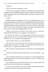"And bed."

"There's no one else watching us in bed."

"Let me ask you something," Brandon said, shifting close enough for their shoulders to brush. "Right here, right now, does it matter? We passed a couple dudes walking down the street with their hands in each other's back pockets. So does it matter?"

"A little."

Brandon smirked and stepped in front of him. He grabbed hold of Larry's wrists and guided his arms around him. Larry pulled Brandon flush against him, nuzzling his hair. He tried to convince himself the warmth and excitement surging through him when he held Brandon was entirely his dick's fault, but he knew it wasn't. All he wanted was to linger on the wharf with Brandon in his arms, even if it meant never dragging him back to bed.

"When you said your mom doesn't know about you, you could have mentioned she still thinks you're engaged to your friend Gus."

He cringed. "We told her we're putting things on hold. That with me so caught up in school, we were taking a break. That got twisted up in her head somehow into 'we're planning a long engagement."

"And you didn't think it was worth clarifying?"

"She loves Gus. And Gus adores my mom. Both of her parents were working all the time when we were kids, so my mom practically raised her too. And my mom is… honestly, she's kind of weird."

"She's awesome," Brandon countered. "And I think you're underestimating her"

"You haven't heard her talk about homosexuals. I can't let her think… I just can't."

"I get it." Brandon snaked his arm up around Larry's neck and gasped as the juggler added three more swords to the rainbow of scarves. "I think you're wrong, but I get it."

They wandered on a bit, toward the end of one of the commercial piers and away from the crowd the performer was gathering.

"So do you top exclusively, or are you versatile?" Brandon asked without any apparent concern for who might overhear them.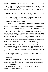He glanced around quickly, but there was no one in earshot at the moment. He wouldn't have thought it possible to feel embarrassed with his arms wrapped around another man in public, but Brandon's question had him blushing. "I…"

Brandon stroked the tender skin beneath his ear and shifted away. "You don't have to answer if it makes you uncomfortable."

Larry swallowed and tightened his hold him. "I don't consider myself a top. I wouldn't mind bottoming, but I've never tried it."

Brandon glanced up at him. "Never?"

"This is embarrassing," he admitted. "I've always been attracted to guys, but I didn't act on it for a long time. When I dated Gus, I really tried to be straight. We even got engaged. I never touched a guy when I was with her, and we were together from the time we were kids on. Thankfully, she was observant and understanding, otherwise we'd probably be married right now. Our last year of college, she caught me eyeing a Chippendale's dancer and, well, that was the end of me pretending. After she broke up with me, I still thought I could fake it with another girl. I went out to a bar, intending to meet someone new, and… I ended up with a guy in the club bathroom. With guys there was passion; there was excitement; there was everything I was too embarrassed to admit I didn't understand when I heard other people talk about sex. I gave up on faking it. But since then, I've only hooked up with guys in clubs when I had time, which wasn't that often, and Grindr made life easier and more interesting, but I… all the guys who…" He buried his face in Brandon's hair, wishing he could crawl away and hide. "I tend to go after guys who are a bit smaller than me, a bit… just like you. And none of them ever asked, so…" He risked a glance at Brandon's smirking face and dropped his gaze to the pier. "Yeah."

"Is the adorable, befuddled thing just an act?" Brandon asked, spinning in Larry's arms so he had to look at him.

"Befuddled?"

Brandon laughed, his eyes crinkling at the corners. "You have a doctorate and you were raised by an eloquent, insightful lady who reads a lot. I'm pretty sure you know what befuddled means." He wrapped both arms around Larry's neck. "You want to try it?"

He nodded eagerly. "If we're going to try this whole 'dating' thing, we shouldn't do a half-assed job of it."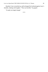Brandon's face scrunched up, and he dropped his forehead against Larry's shoulder, shaking with laughter. "That was horrible," he gasped.

"It made you laugh, though."

\*\*\*\*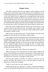## **Chapter Seven**

They didn't start back until five, got caught in traffic heading across the bridge, and covered the last couple of miles into downtown Oakland at a crawl. Even though getting stuck in traffic was one of the things Brandon hated most in life, Larry made it less of a nightmare by switching between radio stations and performing fun parodies of almost every song they came across. He even knew the Spanish version of old rock songs that were broadcast on half the radio stations, and he sang with a deep baritone that radiated confidence and a joy that left Brandon smiling, especially when the bridge vibrated and felt like it was bouncing as traffic on the upper levels moved along at a quicker pace.

When they finally emerged from the elevator onto Trish's floor, it took conscious effort to tone down the jokes and laughter they'd shared on the wharf. A severe-looking woman in scrubs and a long cardigan glared at them, but rushed by without a word.

Halfway down the hall another nurse, a slender Hispanic man with tattoos peeking out from beneath his scrub sleeves, stared at them.

Larry staggered, and his hand dropped away from Brandon's back where it had lingered since they got out of the car. The unconscious touches and easy laughter stopped instantly, and his smile vanished. He shoved his hands in his pockets and shrugged. The door to Trish's room was open, just as it had been, but now feminine laughter filtered out through the door. A slender, petite woman with flawless dark-brown skin and sleek, soft curls was sitting in the rocking chair beside Trish's bed.

"Gus," Larry whispered. "Hey. What are you doing here?"

When she smiled at Larry in the doorway, her grin seemed to light up the entire room. She looked every inch like a woman in love. "There you are! I was bringing your mom flowers and some of my grandma's peanut butter fudge. She told me you'd be back, so I thought I'd hang around."

When her gaze landed on Brandon, he wanted to crawl back into the hallway and hide. She turned to Larry with both eyebrows raised, her expression controlled and unreadable.

"Yeah, we went to pick up a new computer for her."

Brandon held up the box, offering it as evidence, forcing his breathing to stay even and reminded himself that the woman before him wasn't a jealous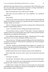girlfriend who'd just found out her ex was bisexual. They'd been there, sure, but Larry had made it pretty clear they'd moved on to being comfortable as friends. She'd even been setting him up with guys.

None of that made him want to hide any less, though.

"The lady at the store cleaned it up," Larry explained. "So it should be ready to go."

Trish snorted.

"Told you she'd want to do it herself," Brandon whispered. He brought the laptop box around the rocking chair, opening it quickly. Computers he could manage. People, not so much.

"Oh my," Trish said, taking in the sleek new laptop with an enthusiasm that Brandon could definitely relate to.

"Larry," Gus hissed. She was smiling, but the grin looked forced.

"You two haven't met yet, I take it?" Trish asked. "Lawrence, despite the manners of the rest of society going to shit, I know I raised you better than this. Introductions are traditional and expected."

Larry rubbed his fingers against his temple. "Introductions? You're right. They haven't met. Gus, this is Brandon. Brandon, this is Gus."

"Nice to meet you," Brandon managed, holding out his hand. Should he say he'd heard a lot about her? While that was technically true, he had a feeling it wouldn't go over well.

"Likewise. Would you mind keeping Trish company for a minute? I've been trying to get ahold of this big lug all day." Her smile was bright and a little menacing as she tugged Larry out into the hall.

Brandon kept his eyes on the computer monitor as they shuffled out.

Trish's gaze didn't leave the screen, either, but she shook her head and sighed.

"You okay?" he asked.

"I'm just fine," she insisted. "Have you and Lawrence been friends long?"

"Not exactly. We just met a few weeks ago. But you know how sometimes people just click? I think we're kind of like that."

"I admit, that's a surprise. He's been so serious for ages now, always quiet and thinking, always putting his work above everything else. I'm shocked he had a moment to spare, to be honest."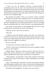"I work a lot, too," he admitted. "Actually we became friends by complaining about work. He works with some other doctors who aren't as thorough as he is, who don't always take the time to listen. They miss things. After listening to him talk about work, I think he spends half his time at work terrified that he's going to do the same thing and the other half making sure everyone else is doing stuff right."

She chuckled and nodded. "That is my Lawrence. Utterly convinced everything has to be perfect, and if anything at all isn't, it's somehow his fault."

Brandon considered her expression, the way her gaze flickered to the door. She wasn't talking about Larry being a perfectionist at work; she was talking about his relationship with Gus. It wasn't his place to say anything about that.

She started the long process of downloading Warcraft and its many expansion packs, office software, and live chat software.

"Hold up," he said. "Don't click on that one."

"Why not?"

"It replaces a file in the Windows audio service with a virus. Because it looks like a system file, your antivirus software isn't likely to pick up on it, and it turns into a huge memory leak. When I isolated the file on Larry's, it had already eaten up six gigabytes of memory."

Her eyes went wide.

"It eats up more every time an audio process is called."

"Oh dear. I had no idea. Could that have been why my graphics slowed down on my old computer?"

Brandon smiled. "I didn't get a chance to look at it. But Larry took it to a repair shop, and they said that it was a hardware problem. Running out of memory probably didn't help matters, but that wasn't what broke it."

"Thank goodness," she whispered. "I don't think I could live with myself, knowing my boy spent all this money to replace something that was broken because of me."

"Don't worry about that," he insisted. "Even my own antivirus software, with all the updates available, didn't catch it. I only found it by isolating the file that was consuming all the memory, and that was after it was already infected."

She looked at him thoughtfully. "So there was no way to know."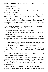"None whatsoever."

"I suppose that's all right then."

"Knock, knock!" the male nurse from the hallway called out. "How's your stomach feeling, Ms. Myers?"

"Atrocious. My daughter-in-law brought me some homemade peanut butter fudge, and I don't have the heart to tell her my stomach is too upset to eat it."

Brandon's gut tightened, although he wasn't sure why. The woman Larry claimed to be engaged to was responsible for Larry being open about his homosexuality in the first place. It wasn't jealousy that was making him uneasy. Not exactly.

"Ms. Myers." The nurse drew out her name dramatically. "You should try a little. It'd break her heart if you didn't at least taste it."

"Maybe after the nausea medication. And after supper."

"That's why I'm here," he announced, holding up a small plastic cup and a paper cup with water.

She took the medication eagerly, but her hand trembled as she tried to raise the cup of water to her lips. The nurse steadied her hand without a moment of hesitation.

"Thank you, José. Look what my Lawrence brought me," she said, gesturing to the computer. "Complete with expert advice about how not to download a virus that made Lawrence's computer slow down."

"It wasn't just the virus," Brandon explained. "His computer isn't really designed for video games. It doesn't have the resources to do what she wants to do."

"Well it was still sweet of him to loan it to you," José said. "You have to put it away and try eating in an hour, though."

"I know." She glanced up from the screen. "Forgive me, sometimes I can be as absent minded as my son. José, this is Brandon. He's been helping Lawrence figure out my computer problems. Brandon, this is José. He's tried his best to help me sort out that old computer aside from doing everything else in the world around here."

"I try," José said simply. "On the graveyard shift, we have time to do a lot more than we might during the day." To Trish, he said, "Let's give that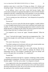medicine some time to work then I'll bring you dinner. It's chicken and dumplings tonight." He tossed the cups in the trash can and nodded to Brandon.

In the hallway, Larry's and Gus's voices had become louder, their conversation turning into an argument that faded away down the hall. Brandon wandered to the door, wondering if they'd left separately or were just looking for a more private place to sort out whatever they were arguing about.

"You're wasting your time with that one," José whispered as he passed by on his way out.

"Excuse me?"

"When I saw you two come off of the elevator together, I couldn't believe it. I never thought someone that far in the closet would dare touch another man in public. It's such a pity that keeping up appearances matter so much to some people that they're willing to do the whole wife and two-point-five kids in the suburbs thing while they're trolling Grindr on the side."

"I'm tempted to say 'excuse me' again," Brandon admitted. "What the hell?"

"Sorry," José said with a laugh. "I guess that was inappropriate. But—" He leaned close enough so he could whisper into Brandon's ear. "—not inaccurate, right?"

"We weren't that obvious," he hissed.

"You think coming out of an elevator with your arms around another man and adjusting your pants and laughing isn't obvious?"

"All right," Brandon conceded. "We were a little obvious. But they're not…" He bit his tongue. Larry wanted to maintain the illusion of his relationship with Gus, even though it sounded like Trish was already well aware of the game they were playing. "It's complicated."

"Sounds like."

Brandon stared down the hall for a moment, wondering if either of them was planning on coming back. The nurse Trish was so fond of hurried off, and Brandon sighed. "I feel like such an idiot," he whispered to himself.

Larry might not be in the closet among his friends or coworkers, but he was too afraid to admit his sexuality to the one person in the world whose opinion obviously mattered most to him. He was out to the rest of the world, but not to the small part of the world he actually cared about.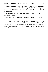Brandon spun on his heel and strode back into Trish's room. "Well, it has been wonderful meeting you," he said honestly. "But I feel like I've stepped in the middle of something that they'd both like to keep private, so I'm going to say good night."

"I can't say I blame you," Trish said quietly. "Thank you for all you've done to help with this."

"Any time. It's more fun than the work I was supposed to be doing this weekend."

There was no sign of Larry or his fiancé in the hall, and Brandon had no intention of trying to track him down. If he took the time to try and find him but didn't manage it, he'd miss the last train back to San Jose and be stuck taking a cab. If he did find him, he'd end up in the middle of whatever mess Larry was in with Gus.

\*\*\*\*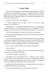## **Chapter Eight**

Larry sent text message after text message and tried calling twice, trying to be cool about it. Brandon didn't answer. Gus glared at him every time he looked up from his phone, but he ignored her. His mom had tried to eat then fallen asleep while a seemingly endless list of software downloaded over her room's network connection.

"I still can't believe you," Gus whispered.

"I already explained," he tried again. "Even if it wasn't an actual emergency, it seemed like it."

"Stopping some…" She hesitated and lowered her voice. "Stopping some guy you've just met from driving home drunk isn't an emergency. If he can manage to call you, he can call a cab. And that's not the point. You lied to me."

"I did," he said, nodding. "I can only say I'm sorry so many times."

The fire simmering behind her eyes faded a little. "You know, he probably called a cab from here."

Larry tried texting him again. His mom said Brandon had said good night, but he hadn't mentioned how he planned to get back to the south side of San Francisco Bay. And he was apparently pissed enough that answering a text to confirm he was alive and taking a cab didn't seem worth the effort.

"If you're that worried, why don't you go check outside again?"

"He wasn't there."

"So go look for him. Seriously, Larry, if you're willing to introduce him to your mom, you need to go look for him."

"It's not like it matters," he grumbled.

She rolled her eyes and grabbed her purse. "Whatever. You're a grown man, and I know you're not stupid. If you want to sit here feeling sorry for yourself, trying the same thing over and over, when it's obvious it isn't going to work," she nodded toward his phone, "that's your business."

Larry glanced at the notification bar on his phone one more time and then reluctantly shoved it back into his pocket.

"Are you okay getting home?" he asked, mostly out of habit.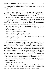The anger that had all but fizzled out flared back to life. "Are you fucking kidding me?"

"Right. Stupid assumptions. Sorry."

In the end, Larry went back to San Jose alone and ended up back at Brandon's apartment. Brandon's car was still safe in the parking lot where they'd left it that morning, but there was no answer at the door.

He was determined to talk to Brandon, not to let the last twenty-four hours end on such a shitty note, but his only option was to wait for Brandon to find his way home. Of course, waiting in the entryway by his apartment door was likely to result in someone calling the cops, so he parked in one of the guest spots and resolved to stay awake until Brandon showed up.

After what felt like a few seconds, he jerked awake and found Brandon rapping on his window. The parking lot was dark and Brandon looked exhausted, but he was smiling.

"Hi," he said, climbing out to meet him.

"Hi yourself. How long have you been here?"

"Uh…" He groped for his phone and checked the time. "About an hour and a half. You got home okay?"

"Caltrain runs on Saturdays," he explained.

Larry felt a strange mixture of shame and shock at the thought of Brandon resorting to public transportation. But then, it was just one more sign of how fundamentally different they were. In the working-class neighborhood where Larry grew up, being able to afford a car was one of the hallmarks of success. Among his neighbors and peers, you were either a delinquent or a young man who took pride in himself—and in a city designed around its highways, being able to afford a car payment was one of those basic things that established which side of that divide you were on. Among the more affluent white families in the suburbs, where kids had the luxury of knowing their basic needs would always be met, using public transportation was eco-friendly and cool.

"I didn't know where you'd gone," he said simply. "Am I going to get the chance to apologize?"

Brandon shrugged. "If you want."

He almost laughed at the comment. What he wanted had never figured into things. If he had any choice, he'd find someplace where he and Brandon could hide away from the rest of the world and spend all their time naked.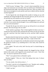"Well I'm sorry," he began. "That… It wasn't what it seemed like. Gus was angry, but not because you were there. She was mad because I ditched her and her boyfriend Friday night. And I lied to her about why. After you called, I said there was an emergency at work and left, and I never called to tell her what had actually happened."

"So she figured she went through all the trouble of setting you up with somebody and sitting through the date from hell with you, just for you to run off and hook up with someone you met on Grindr?"

He nodded. "And while that is technically what happened, it wasn't… No, to be fair, it was exactly what she thought. It was a selfish thing to do, and it put her in an awkward position."

"Sounds like the guy she tried to set you up with put her in an awkward position. She trusts the guy she was with?"

"Yeah. Jayden is a good guy. They've been together for about a year now. I would never have left her alone with that dick she tried to set me up with. But now she's mad that I lied, that I bailed out on her, and that I didn't mention you."

Brandon shook his head, but he was smiling. "Come inside. You didn't get much more sleep than I did last night. There are a couple of beers left."

Upstairs, they each sipped a beer, but Brandon seemed to be having trouble. He opened his mouth to say something three or four times, then closed his mouth again.

Larry sighed. "We suck at this, huh? One day and I've fucked things up somehow."

"You didn't fuck it up," Brandon insisted. He chugged his beer, left the bottle on the counter, and wrapped his arms around Larry's neck. "I don't like this," he said, his expression all too serious.

"This?" Larry glanced down at Brandon's groin.

Brandon laughed. "I like you. I don't like dating closet cases. It always turns out shitty."

"I'm out, mostly. Just with my mom, I…"

"You don't want her to be disappointed in you," Brandon said, nodding. "And you think being gay means being a disappointment."

"I didn't say that."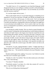"You didn't have to. It's so ingrained in your head that being gay would disappoint her that you were willing to condemn yourself to a life pretending to be straight rather than even take the chance. Can you honestly say you know what her reaction would be?"

"It's not that simple with my mom…"

"But it is that simple with you. In your head, being gay is something you're ashamed of. You say you want more. All right, cool. But the way things are, the most you can ever have, with any guy, is a dirty secret. You're an amazing person; you're hot, and every time I see you, I end up happy in spite of myself. I can deal with long hours, rotating shifts, and never knowing if you might have to run out the door in the middle of sex. You're worth it. But I can't be a dirty secret. It would all blow up somehow, and your mom would be the one hurt the most when it did."

Larry felt like he couldn't breathe. This was what he wanted. Brandon was what he wanted. Fucking other men had opened up a world of physical pleasure and release he hadn't known with August, but it had also tossed him into one empty hookup after another, and they were always the same. Going into a club was always the same. As soon as he walked through the door, he became practically invisible, except to the dozen strung out guys who made a beeline toward him and eagerly asked what drugs he was selling. After an hour, someone might make eye contact, but the guy's first question inevitably was about his cock. Unlike the crowds of guys who didn't seem to see him at all, Brandon did.

"I'll tell her," he said, cupping Brandon's cheeks. "I might need time to figure out how, but I'll tell her. I'm not ashamed to want you. But I'm a little scared. Today was…" He touched his forehead to the top of Brandon's head. "Nice."

Brandon melted against him, sighing. "It was nice. I can't believe it was the first time you've touched a guy in public."

"Outside of a club," he clarified. "But even then mostly just on the dance floor. God, I hate dancing."

"You hate it?" Brandon chuckled.

"Everybody assumes I can dance. In a club, they assume all I can do is dance, or get them high. I hate dancing."

"How do you feeling about shooting pool?"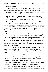"Now that I can do."

"Then I think we'll manage. But if we're officially dating, no more guys from Grindr, and no more blind dates with every gay man Gus meets."

"I always figured it'd be one of those blind dates who said that. But I'm onboard—no more Grindr—so long as you do the same."

Brandon chuckled. "I should probably stop using the app to text you then, huh?" He leaned up and planted an almost-chaste kiss on Larry's lips. "Come take a shower with me, and then we can get some sleep."

He followed Brandon into the bathroom, watched him undress, and shucked his own clothing while the water warmed up. Together under the hot spray, Brandon took his time washing his hair, lathering his chest and arms, and then washing Larry with soft, intimate movements that were gentle and arousing at the same time. Larry let his hands wander over Brandon's body, enjoying the slick heat of his skin and the rough patches of hair over his chest and around his groin.

He trailed his hand up the length of Brandon's shaft, watching his eyes darken and the green in them shine. Brandon placed his hands over Larry's cock and his own, jacking them both together while he stared into Larry's eyes. The languid strokes and subtle pressure were different from the frantic, rushed sex they'd had before. Being able to meet Brandon's gaze, to kiss him, and toy with his tongue felt far more intimate. The pressure built slowly, but when Brandon finished, spilling over his fingers, Larry came so hard he felt the shock of pleasure all the way to his toes.

They stood there together, letting the water flow over them until it started to turn cold, then Brandon turned off the shower and wrapped a towel around him. "Bed," he whispered. "We'll figure everything else out later, but we both need sleep."

\*\*\*\*

Brandon stared at the toothbrush in his hand, his sleep-fogged brain not coming up with a ready explanation for why he didn't recognize it before he covered it in toothpaste and used it to brush his teeth.

Of course, he'd known Larry's toothbrush was there. There were two of practically every hygiene product imaginable in his bathroom now.

Larry rotating back to night shifts just a week after they'd decided to try dating had made spending any time together difficult. They'd had to get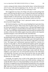creative, seeing each other whenever they had the chance. An hour between the end of Larry's shift and the beginning of his, the hour and a half window between rushing out of the office and Larry hurrying to work.

He'd suggested Larry keep a few things at his place to make getting ready easier. It had also been his idea for Larry to sleep in his bed so he could get an extra hour of sleep. Momo didn't seem to mind when one human space heater replaced another in what she knew was *her* bed, and most mornings she was curled up next to Larry and purring when Brandon rushed out the door.

A morning four weeks into Larry's graveyard rotation when he never showed up had changed things.

He'd tried texting him, to see if he was just heading home to get some sleep, but there'd been no answer. Half an hour later his phone rang, and a woman he'd never met asked if he was a friend of Larry's. His heart had stopped in that moment. He'd imagined a hundred different horrible things the woman might say—that Larry had fallen asleep behind the wheel leaving work and been in an accident, or that one of the endless supply of psychotic patients who frequently assaulted emergency room staff had hurt him, had killed him.

Instead, she'd said Larry had had a bad night; she didn't think he should be driving himself home and asked if Brandon might be able to come get him. In rush hour traffic, it took him almost forty minutes to get to the hospital and then another half an hour standing in line at the still-busy triage desk to ask about Larry. The triage nurse's professional expression melted for a fraction of a second as if she might cry. But she pulled herself together quickly and paged another nurse. The second nurse introduced herself, asked if he was Brandon, and walked him back outside. He followed her around the ER entrance to the ambulance bay then beyond that to a loading dock about thirty yards away. She didn't ask if he and Larry had been friends long or make small talk. She just nodded to a spot where Larry sat on the ground, his back to the cinder block wall behind him. His knees were drawn up toward his chest, his arms folded across them. He hadn't looked up when Brandon sat down beside him, so Brandon just sat. And stayed.

Eventually, he'd gotten Larry to look at him, gotten him to his feet, and home to bed. He missed a day of work to stay in bed with him, wishing Larry would talk about what was wrong and dreading it at the same time. He never did. But he'd wrapped his arms around Brandon and pulled him close, spooning against him so every inch of their skin touched. Even in his sleep, he'd held on tight. And at six o'clock, he'd whispered the words "thank you," kissed him on the cheek, and had gotten up to go back to work.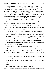That night there'd been a story on the local news about a local young couple who were being charged with murder in the death of their four-year-old son. Two simple sentences caught his attention. The first began with "Doctors reported…" and concluded with a list of injuries the child had suffered. The second, noting the child had been pronounced dead eight hours after being transported to Santa Clara Valley Medical, left Brandon feeling sick. Larry had spent eight hours trying to save that child. And who knew how many hours afterward detailing the injuries that killed him for a police report. And he'd gotten up after a few hours of sleep and went right back to work again.

The next day, he'd given Larry a key to his apartment and asked him to stay, not for a night or a week or between shifts, just to stay.

There were still a few bumps in their road, but he hadn't regretted it for a moment. They were together now. Which explained why the toothbrush he'd just shoved in his mouth didn't belong to him.

Larry cast his scrub top off over his head. It was sheer luck that it landed in the hamper. He'd woken Brandon up when his night shift ended. Early morning blow jobs, it turned out, were a wonderful way to wake up. It more than made up for the awkward moments when he found himself using a toothbrush that wasn't his or cutting himself with a razor that didn't quite feel right.

"I think I grabbed your toothbrush by accident," Brandon muttered.

Larry met his gaze in the mirror. "You think there are any bacteria in my mouth that aren't already in yours?"

"You never know. All those germs floating around at your job…"

"All those germs," Larry drawled. "Which we actually take steps to minimize transmission of, yes. So different from every other job in the city where no one bothers with hand sanitizer or soap, much less gloves and masks."

"Whatever. If we both get sick in two weeks, I get to say 'I told you so' over and over again."

"In two weeks, I go back on days," Larry reminded him. "Which means we've got four weeks."

"Huh?"

"Day shift is when kids with ear infections, colds, and pneumonia come in. All the stay-at-home moms aim for about ten o'clock in the morning, thinking it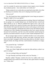won't be crowded. So, given most common viruses require a ten to fourteen day incubation period… four weeks before we're both sick."

"Make no plans for two weeks after you rotate back to day shifts. Got it. But we should go out sometime when you're sleeping normal hours again."

"Like *out* out?"

"Yes. My friends have been complaining that I never hang out anymore. I thought it might be fun to go together."

His friends had been complaining about everything. When he'd told Daniel he was going to try actually dating Larry, his friend had been worried and didn't hesitate to say so. When he admitted he'd given Larry a key to his apartment, and that Larry stayed at his place more often than not, Daniel had been shocked. He'd spent the entire first week at work trying to convince him Larry was just using him, conning him into a place to stay and whatever else he could get out of him. Brandon tried pointing out that Larry stayed with him because he'd invited him, and that Larry had essentially started buying his groceries, but Daniel insisted it was part of some warped manipulation tactic.

He was trying to figure out how to tactfully introduce Larry to his parents, too. He'd told his folks about him, and they were eager to meet him, but he knew Larry hadn't managed to tell his mom about them yet. He didn't want to bring his family into things until they could introduce everybody on a happy note.

Larry pursed his lips. "At Rebels?"

"That's where we usually go."

"Yeah, sure. When? Night shifts are easier for clubs and bars, so there's no point in waiting."

"Are you working Friday and Saturday?"

"I've got Thursday and Friday off this week, but Thursday…"

Brandon nodded. Thursday would be the end of an endless shift. Larry would be dead to the world for most of the day and a good chunk of evening, too. "Friday, then."

\*\*\*\*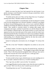## **Chapter Nine**

Rebels was more fun than Larry had expected, but only because it was grimly amusing to watch Brandon's reaction to the guys around them. And to the bouncer. And the bartender.

"If another person asks you if they can buy drugs from you, I'm going to fucking smack them," Brandon snarled over the music.

Larry knew he should have warned Brandon, but the last thing he'd wanted to do was start talking about race with him. Brandon's worldview was shaped by liberal, forward-thinking parents who, as far as Larry could tell, filled his childhood with things like Habitat for Humanity volunteer days for the whole family. They seemed to sincerely believe in treating other people with compassion and respect, and they'd raised their son with the illusion that the rest of Northern California did too. He seemed sensitive to racial issues that appeared on the news from other parts of the country, but the few times Larry had mentioned that the Bay Area had its own share of race problems, Brandon had seemed dubious. A conversation about race wouldn't have led to support or understanding, but to Brandon being insulted by the idea that racism still existed in his forward-thinking hometown.

Instead of starting that conversation now, he shrugged. "It's always this way."

"But this is San Jose!" Brandon's indignation was almost as cute as his eyes.

"It doesn't matter. I've been to gay bars all around the bay, and they're pretty much the same. Gay bars are…" He shrugged, trying to think of the right words. "They're like this protected stronghold where white gay men want to escape from everyone else in the world who isn't a white gay man."

"But it took half an hour to get a drink!"

"It took *you* half an hour to get a drink because you were standing next to me. If you hadn't ordered for both of us, I'd still be standing there."

"Now I get why you didn't want to do this," he muttered.

Larry tugged Brandon toward an empty corner where the music wouldn't be quite so loud. "Did I ever tell you why I wanted to go out with you?"

"Something about my eyes?" he asked, grinning.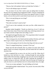"That too. But I tell anybody I talk to on Grindr that I'm black—"

"You're still talking to guys on Grindr?"

"No, you know I'm not. But I used to start out telling them I'm black, because one of two things always happened if I didn't. The guy would find out and either act offended and tell me he'd never have agreed to meet if I'd been honest, or he acts like my dick is some kind of exotic toy he can't wait to ride."

"How is not specifying your race lying?"

"People assume."

"That other one doesn't sound so bad."

"You'd want to date somebody who treats you like a dildo instead of a person?"

Brandon looked thoughtful. "Would you think less of me if I told you there'd been times when I'd have been totally okay with being someone's sex toy? Entire stretches of high school and college, in fact."

He laughed and tugged Brandon close. "We can go home where I can spend the night playing with you if you'd like."

"After we hang out for a bit. Daniel and Josh said they'd be here, and I want them to get a chance to get to know you. Platonically this time."

"You're never going to let me live down that thing with Josh, are you?"

"Once it's stopped being funny, I promise I'll let it go."

Daniel and Josh did eventually show up, almost two hours after they'd agreed. Daniel was already acting drunk, and Josh looked like he'd rather be anywhere else.

Larry recognized him as soon as he saw him in real life. When they'd hooked up, Larry had been in a daze—working through the most grueling clinical shifts of his internship, struggling to stay sane and conscious through an endless series of sixteen-hour days, all while exploring the possibility of actually having sex with men. Josh hadn't been the first guy he'd hooked up with, but close to it, and it had been more of a clumsy disaster than a fun night.

"I owe you so many apologies," he said, holding out his hand.

Josh huffed and didn't shake his hand. "Yes, you do. You were a dick. What was up with that?"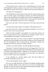"Work turned me into a zombie. All I was thinking about was what must have happened for them to page me twice, and I was too fried to think. Too sleep deprived, maybe. But I am sorry. I didn't mean to just take off like that."

"You didn't even message me."

Larry thought back to those endless hours on his feet, trying to keep up with cases in trauma surgery and emergency medicine, all while transferring his mom to the nursing home and coming to terms with his engagement to Gus ending. "The whole month was kind of a blur. I'd just come out, and life kind of sucked. I still should have sent you a text or something."

Josh's eyes went wide. "At, like, twenty-four? You'd just come out of the closet?"

"I was just fine living in denial," he admitted. "My girlfriend wasn't."

Josh stared at him for a moment then glanced at Brandon. "It's true. I've met her. She's sweet. Scary, but sweet."

"Well, who'd have thought?" Josh laughed. "You came off as a player. I'd have never guessed you were just starting on this adventure. Honey, if you'd said something, oh the things I could have shown you!"

Did that mean Josh was over it? God, he hoped so. He hated knowing Brandon had canceled nights with his friends to hang out with him instead, but he'd been dreading the idea of facing both the atmosphere at Rebels and someone who had every reason to be angry with him.

"I'd like if we could be friends," he said, offering his hand again.

"Absolutely." Instead of shaking his hand, Josh hugged him. There was nothing remotely sexual in the hug, and Josh released him a moment later only to loop his arm through Brandon's. "Besides, it's all worked out. This idiot's been crazy happy for the last two months. If you can do that, we're good. But now I'm curious. What was so important?"

"I was interning on a trauma surgery team. One bad accident can overwhelm an ER pretty easily, and—"

"You're still trying that 'doctor' angle?"

The voice was right behind him and filled with loathing. Brandon glared over his shoulder. Before Larry could turn to see who was standing there, Brandon was in front of him, his fists clenched and shoulders shaking. "What the hell is wrong with you?" he demanded.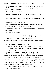"I believe him," Josh said, stepping between them. "I can see the county hospital being too cheap to change over from a pager system they had fifteen years ago so long as it still works."

He gaped at Brandon. "What?"

Brandon ignored him. "How much have you had to drink?" he asked his friend.

"Not nearly enough." Daniel laughed. "This is a con, Bran. I don't get how you can't see it."

"Excuse me? Brandon, what's going on?"

"Dan's acting psycho," Josh said, grinning. "He's convinced you're some kind of gold digger who's just after Brandon's trust fund."

"Trust fund?" Larry laughed. "He lives in a tiny apartment. He eats ramen if I don't feed him."

"But he's Brandon *Alcott*."

"Okay, he's got the same name as the Atlas guy, so what? You don't go around assuming everybody named *Gates* is related to the Microsoft guy, do you?" Larry didn't know what to make of the pained expression on Brandon's face until things clicked. "But you're actually the son of the Atlas guy, aren't you?"

Josh's eyes bulged. "You didn't know? How?"

Larry waved his finger at Brandon. "You said you worked for the company your dad retired from, not a company he *founded*. That explains a lot about why nobody at your job appreciates the work you put in."

"It's not exactly something I advertise," Brandon insisted. "And I didn't lie. My dad didn't throw some money into a hedge fund and leave. He put thirty years of his life into that company, and he retired when I was in college. I applied with human resources, the same as everybody else. I get paid the same as everybody else. Well, I'm assuming, I don't actually know that. The point is, I support myself, I have since I started college. And I don't have a trust fund, Daniel, I just know how to budget my paycheck. I don't have anything of value, unless you consider my Prius to be a collector's item."

"Just because it has over two hundred thousand miles does not make it a collector's item," Josh insisted.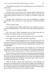"He probably just assumed. If he's not playing you, why can't he prove it?" Daniel asked.

"Actually, I have my hospital ID badge—"

"He doesn't have to prove shit to you!" Brandon yelled, cutting him off. "You've been negative about this from the moment I told you Larry and I had started dating. Since he moved in, you've been an ass. What's wrong with you?"

"Seriously, Dan," Josh said, his voice calm and soothing as he stepped between them. "He's not into you. It's time to get over it, and stop acting like this."

"What?" Brandon yelled.

Two uniformed police officers pushed their way through the crowd, a bouncer trailing behind them. "This is him," the bouncer said, pointing toward Larry.

One of the police officers approached him his hands open and out. "Evening. We're going to need you to step outside with us."

"Yeah, that figures," Daniel muttered, folding his arms across his chest.

Larry sighed. "Actually, outside sounds like a good idea."

"What?" Brandon shouted, tugging on his arm. "What the hell is this? You can't just come up and arrest him! He hasn't done anything! Anything at all! Except put up with every asshole in this bar treating him like a criminal! This is fucking bullshit!"

"Brandon." Larry tried to keep his voice soothing, but it was hard to be heard above the music. "They're not arresting me. They asked me to go outside. I really haven't done anything wrong. Let's both of us go outside. It'll be fine."

The police officers followed them both out, Brandon squirming and arguing the whole way. Josh shoved his way after them, and Daniel followed, smirking. Once they moved past the glaring bouncers and twinks who stopped to gawk and laugh, he turned back to the officers with an open smile. "Now, what can I do to help clarify this mess?" he asked.

"Well sir, the bar's security staff reported that a man matching your description was selling narcotics on the premises tonight. Several members of the staff and a few patrons have reported seeing people approach you. Legally, all we need to search you is a reasonable suspicion, which the witness reports have provided. This'll be easier if you cooperate, though."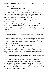"You've got it."

"Start by emptying your pockets please."

"This is such bullshit," Brandon hissed, while Larry began pulling out his wallet, keys, phone, and all the miscellaneous stuff he carried throughout the day. "People came up to him in the bar and asked if he was selling stuff, but he wasn't! He said no, and they left! That's it! They wouldn't have even bothered if he'd been white! And every single one of them was!"

"Sir," the other officer turned toward Brandon, "you're not involved in this. You need to step away."

"Brandon, it's fine. They're doing their job. And you're upset," he said, smiling. "There's no point in getting pissed. It doesn't do any good."

"Myers?" The officer held up his hospital ID. "Doctor Myers from Valley Medical?"

"That's right."

"You even had an ID card laminated?" Daniel scoffed. "This is such a joke."

"Daniel, I seriously don't know what you're problem is, but as far as I'm concerned, you're no better than those assholes in there! The only reason you don't trust Larry is because he's black! Because he's not white, you assume everything he says is a lie!"

"Bran, you're acting like an idiot," Daniel insisted.

The police officer sighed. The look on his face was professional and stoic, but Larry was pretty sure he was maintaining that calm demeanor only through sheer force of will. "What's this?" he asked, holding up a small pink pill in a plastic bag.

"Over the counter Benadryl," he explained. "There's an AMA Medication Guide on my phone, if you need to verify it."

"We've got our own," the officer said. "Come with me, please."

This time leading the way, the officer went to a patrol car that was parked in the street outside. He stood by while the officer sat in the patrol car for a minute, doing something with both his ID and the pill on the patrol car's laptop. After sitting there for a few minutes staring at the monitor, the officer climbed back out and handed all of his things back.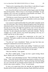"Thank you for cooperating with us, Doctor Myers. Looks like we've got a bit of a misunderstanding on our hands, but you're free to go."

Larry shoved his ID back into his wallet and then began to place his things back into his pockets. "What we have is a lot of drama and bullshit," he said, nodding at the crowd that was gathering around Brandon and Daniel. "I'm sorry you had to waste your time because of it."

"Calls that are a waste of time are good calls," the officer insisted. "No one gets hurt, and there's no paperwork. Hey, you remember a twelve-year-old girl hit by a car? About six months ago?"

Larry winced. It would sound horrible if he said he didn't remember, but he saw a lot of hurt kids. Then a memory flashed through his mind. She had been ridiculously tall for a twelve year old, with dark-brown skin and naturally curly hair that was cut short. She might have passed for a boy if not for the dozen colorful barrettes in her hair. "We couldn't ventilate her properly with a size four tube," he said, noting the only detail he could really remember. "But her windpipe was so small, and her vocal chords kept getting in the way, so I couldn't get the size six tube in place."

"You managed it. I'd started chest compressions on the scene," he explained. "The medics wouldn't let me stop, just told me to keep doing them as we moved her."

"You did, too," Larry remembered. "Damn, you must have been sore. Getting her intubated the second time took forever."

"Eleven minutes," the police officer said, nodding. "I looked at my watch afterward, and I couldn't believe it had only been eleven minutes. I'd rather do something like this any day of the week than ever do that again."

"That was a bad day," Larry agreed.

The officer nodded grimly. "I hope you have a good evening, Doctor Myers. Maybe calm your friend down."

"He's fine," Larry said, hoping it was true. "They're all friends. They're just being…" One of the rules his mom had taken great pains to reinforce was "You never swear in front of police officers," but he was having a hard time finding any way to describe the way Brandon and his friends were acting that didn't involve some creative expletive. "I'll try," he said instead.

As soon as he started back down the sidewalk, the argument between Brandon and his friends exploded into shouting. People shifted back and forth,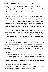some shoving, some throwing punches. Larry stared at the mass of moving arms and legs, trying to spot his boyfriend in the tangle. "Shit. He's going to jail for this, isn't he?"

The officer reached for his radio and sighed again. "Oh yeah."

\*\*\*\*

Bailing someone out of jail was a slow process. After showing his ID, putting his keys and cell into a funky little locker, and telling the severe-looking woman behind the safety glass who he was there for, Larry took a seat among the rows of anxious family and bail bondsmen. It felt a lot like the waiting room at the ER, with a few nervous people pacing, some exhausted-looking mothers rocking sleeping infants in car seats, and a lot of people grumbling. A nice change was that no one was shouting threats, and no one was glued to their cell phone.

An older man had sat down two seats from him. He glanced his way occasionally, but Larry figured he was as nervous as the rest of the people waiting to find out how much their loved one's stupidity was going to cost.

"You're the only one here who doesn't look like the world is falling apart," he said with a small smile. "I'm sure it feels that way."

Larry shrugged.

"But, of course, it's not the end of the world," the old man went on. "If it were the end of the world, there would be zombies. Everyone knows that."

Larry sat up quickly. How many times had he heard Brandon mutter the same thing? Not quite a dozen, but close. He made a show of looking around carefully. "No zombies," he agreed. "Not worth panicking about, then."

"Indeed."

Larry leaned forward, resting his forearms on his legs. "Do you know who I am?" he asked, curious about whether Brandon had told his father he was seeing someone. He must have, Larry realized.

"I'd be lying if I said I was certain. But my hunches are often reliable. Larry?"

He nodded slowly. "And you're Brandon's dad."

The old man huffed, chuckling to himself. "Not that he likes to admit it, but yes. You might as well call me William. Will, if you'd like."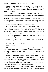"He doesn't mind admitting you're his dad; he just doesn't like people devaluing his contributions at work because you're his dad. He loves talking about you. He says your help in the science fair made his childhood all *Meet the Robinsons* and stuff."

"The Disney movie?" He squinted for a moment. "Now that's silly. I explained from the time he was in preschool that time travel is just a ridiculous notion. Our planet moves in space just as it moves in time, so even if it were somehow possible, whatever apparatus went back in time would end up in an empty spot in space. The Earth simply wasn't in the same physical position in space as it's in now. So... splat. No good science ends with a splat."

"I meant in terms of fun, not the actual science involved."

He nodded his head from side to side. "I try. Not that you'd know it to talk to him now. He's convinced that if he doesn't personally produce the next billion-dollar software utility, he's somehow failed. I admit my first thought when he woke me up at this god-awful hour was 'It took twenty-seven years for my son to learn how to have a good time, but he's finally done it'!"

Larry couldn't help but laugh. "I guess that's something he and I have in common. We're both pretty serious."

"I imagine you'd have to be. Brandon told us you're in the middle of a medical residency?"

"Emergency medicine," he confirmed.

"How are you liking it?"

"I love it. I'm slated for a rotation through internal medicine in a few months, but I'm going to stick with emergency medicine when I'm done. I like being able to actually fix things, and that's something that's difficult to accomplish when treating someone with a lot of chronic problems."

"Sounds like you find it rewarding," William said, a soft smile on his face.

"It is. But I worked as a paramedic during college so knew what I was getting into. Plus, when I'm finally done, I will never have to carry a beeper again in my life. Attending ER physicians don't have to do on-call hours when there are lowly interns and residents who can camp out at the hospital instead. From what I heard, that might be what started this mess."

"Beepers still exist?" William looked stunned. "And they're forcing you to use one?" His tone suggested he considered the offense to be a form of torture.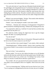"We work with what we've got. But one of Brandon friends decided I must be a gold digger and a drug dealer because I'm chained to that beeper, and he's your son. From the sound of it, he's been crushing on Brandon for a while and was just jealous. But one of the bouncers called the cops because they were finding drugs on folks in the bar. The police wanted to talk to me about it, and I guess Brandon assumed his friend was the one who called. Things kind of blew up."

William's eyes narrowed slightly. "Oh dear. That sounds a little ridiculous. If you don't mind me asking, which friend?"

"Daniel," Larry said, hoping he wouldn't cause more trouble.

"Well that's… Honestly, that's ridiculous. I'm disappointed. I'd hoped he'd gotten arrested for something interesting," William said, slumping into his seat.

"I'm surprised he called you. I told him I'd come bail him out before they pushed him into the police car."

"He called his mother, hoping she might know how to get the charges dropped. He didn't say anything about bail."

"Can she do that?"

William shrugged. "Probably. But we're his parents. What good would it do for him to have his mom swoop in to save the day?"

"So you want him to face assault charges?" Larry asked, a little confused.

"Disturbing the peace," William clarified. "And no, I don't *want* him to. But Lynn seems to think it's not our place to rescue him from trouble he got himself into."

"But you're here," Larry pointed out.

William smiled. "I'm not my wife. Before the phone cut us off, Brandon told me he did what they said he did, but he had a good reason. He didn't get a chance to tell me what it was, so here I am. I'm nothing if not curious. Good thing, too, because it sounds like he did have a good reason."

"No, he didn't. He can't get pissed off and assault everybody in the world who makes a racist assumption when we're together. There'd never be an end to it."

"You're an interesting man," William said, his eyes fixed on Larry's face. "You're saying you're disappointed by this turn of events, but you're smiling."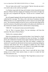"He can't take on the world," Larry insisted. "But he's the only one who's ever tried to take on the world on my behalf."

A cell phone rang inside the long wall of plastic lockers beyond the metal detectors. Phones had been ringing and vibrating in the lockers all night, but this time Larry recognized the ring tone. "Excuse me for a moment, that's mine."

His cell stopped ringing by the time he got the locker open, but whoever had called had left a message. "Mr. Myers, this is the Kaiser Foundation Oakland Medical Center. It's very important that you call or come in to our facility right away." He recited the number too fast for Larry to catch the entire thing, but he heard the extension. He pulled up the number on his phone and called back, hit the extension he needed, and tried to will his heart to keep beating.

"OMC ER." An exhausted woman answered the phone.

"Ah, hi. This is Lawrence Myers. I'm just returning a call from this extension. My mom is Patricia Myers."

"Hold on for a moment, please."

When the attending doctor answered the phone, Larry listened to a brief, painfully dumbed down list of problems his mom was having. "In a healthy person, the combination of anemia and an upper respiratory infection wouldn't be anything to be concerned about. But with your mother's condition, her anemia isn't caused by her diet but by her bone marrow producing nothing but cancerous white blood cells. We've managed to stabilize her with a blood transfusion, but she's not doing very well. I realize it's the middle of the night, but I think it's important you come in as soon as you can."

The unspoken implication was clear. Come in and talk her into at least letting us try to find a bone marrow donor, or come in to make the final decisions about her care.

"I'm over an hour away," he whispered. "But I'll get there as soon as I can."

\*\*\*\*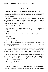### **Chapter Ten**

Brandon never thought he'd be so grateful for socks and shoes. The holding cell, and everything between there are the bond desk, was cold concrete. They'd taken everything but his pants and undershirt, and the floor felt like ice against his bare feet.

He signed a half-dozen papers, pulled his socks and shoes on, and then wandered out with the rest of his clothes and stuff in his arms. His dad was standing at the counter, looking as laid-back as ever. "I really can explain," he began, but his dad held up a hand to stop him.

"Larry explained enough."

"He's here too? Shit. Talk about awkward. This really wasn't what I had in mind for when I finally introduced him to you." Brandon looked around, confused.

His dad nodded toward a row of metal detectors. "This way."

"But if…"

"There's no time."

Brandon squeezed his eyes shut as his father maneuvered him out into the parking lot. The sun was already coming up. He wanted to curse and laugh at the same time. He'd managed to ruin his weekend before it'd even gotten started, but at least he knew Larry would be up for staying in bed all day.

Larry was pacing on the sidewalk near the entrance, talking into his cell phone quickly. He said he had to go and hung up when he saw Brandon. The blank look on his face was one Brandon had hoped never to see again, but that he'd also come to accept as inevitable. It was the same expression he'd worn when Brandon had rushed to the hospital to pick him up after a bad shift. It was like he'd been shutting off every emotion or giving in to despair, and he'd made the only choice that would allow him to keep functioning. The mixture of pain and fear in his eyes hurt to look at.

"I need to go to Oakland."

\*\*\*\*

Brandon didn't mean to fall asleep, but after the fifth cup of waiting room coffee, his brain refused to be revived by anything but sleep. He woke up late in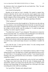the afternoon when Larry plopped into the seat beside him. "Hey," he said, stifling a yawn. "How is she?"

Larry shook his head grimly.

Brandon set his hand on Larry's shoulder. He wanted to support him, wanted to help him, but he wasn't sure just how much support Larry would accept in public. August, dressed in an oversized cardigan she held tight around herself, stepped in front of them, glaring. "You cannot do this," she insisted. "Help me talk some sense into him?" she asked, appealing to Brandon.

"What's going on?"

"Trish has been out since they brought her in. The doctor says she woke up for a few minutes, wrote something that kind of looks like 'no more blood' and then slipped unconscious again. It might not be 'no more blood' or it could be her trying to tell the doctors what her problem is. It could be damn near anything. You need to sign the consent."

"You think I don't want to?" Larry whispered. "She asked me to witness her 'do not resuscitate order.' It's consistent with everything she's ever told me she wanted. It doesn't matter if I want to do something else."

Brandon squeezed Larry's shoulder when he felt a tremor run through him. He didn't know what he could say that might make things better. Telling Larry it would be okay would sound empty because it was bullshit. It wouldn't be okay.

Larry shut his eyes. "I never got the chance," he said, turning toward Brandon but not meeting his gaze.

"What chance?"

"To tell her. I… God, that's a lie. I had months of chances, didn't I? I kept telling myself it wasn't the right time, or I hadn't quite figured out how to say it yet. And I blew it. I'm not going to be able to tell her." Larry leaned forward, bending at the waist, and buried his face in his hands. "I wanted to tell her. I wanted her to know."

Brandon rubbed his back, choking back a sob as he felt Larry trembling. The things Larry faced every day, all for the sake of helping people, still amazed him. And he was trying to face this the same way, by making careful decisions and fixing things, by forcing himself not to fall apart even when everything else in the world was crumbling.

"Let's go tell her," Brandon said, taking his hand.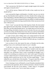"She's unconscious. Her blood can't supply enough oxygen to her muscles and organs to keep her alive."

"Let's tell her anyway. Maybe she'll be able to hear, maybe not, but we should still try."

Larry entwined his fingers with Brandon's. He didn't say yes or no, but he got up when Brandon tried to pull him to his feet. Outside of the waiting room was a long hallway with three different sets of sliding glass doors each leading to long rows of ICU rooms curtained off from one another in a feeble attempt to give the friends and family hovering around the beds of their unconscious loved ones a little privacy.

Trish's "room" was near the front of the long line of beds. Her skin looked gray against the stark white sheets. The tight skin around her fingers and hands had a blue cast that made Brandon shiver. An oxygen tube ran across her face, her lungs filling with shallow breaths every few seconds. Her eyes were closed as if she were asleep, but Brandon knew from what Larry and Gus had told him she was far beyond sleep, even though her body still technically clung to life.

A couple of hard, plastic folding chairs were sitting beside her bed with nothing as comforting or warm as a cushion in sight. Even the air around them felt sterile and bleached. If by some miracle Trish did wake up, it would be to this frigid, makeshift room.

Larry sat down in the chair nearest his mom, so Brandon took the other, pulling it close so he could keep his hand on Larry's shoulder.

"I still don't even know where to begin," Larry said, keeping his gaze locked on his mom. "All those times you told me I needed to take time away from work, to be happy… It was hard to admit how right you were and how miserable I was, all because I knew I wasn't everything you thought I was. I couldn't be everything you wanted me to be. And I wish to god I'd found the courage to admit it because I've found someone cool. He's smart and funny and amazing, and he stood up for me in a bar, of all the stupid things…" Larry rubbed his eyes with the back of his knuckles. "You got to meet him, at least, even if I was too much of a coward to tell you how big a deal it was."

It hurt, listening to Larry call himself a coward. Brandon remembered their conversation in his apartment, after he rode the train home, when he'd used the word himself. He felt sick at the memory. "I didn't mean it," he gasped. "You're not a coward, Larry. You've never been a coward."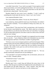Larry didn't look at him. "I was. And it was stupid. I'd never gotten excited about anyone before, never felt anything like this before. All I want to do now is share that with her… and I can't." He set his head down on the side of the bed and took a deep breath. "God, this sucks."

Brandon draped his arm across Larry's shoulders. "I wish I could say something that would make this hurt less. I know I can't, but I'm here."

Larry squeezed Brandon's knee.

The curtain behind them shifted. "Excuse me, Doctor Myers?"

Larry looked up, almost pulled his hand away from Brandon, but settled it back into place resolutely. "I'm not ashamed of being crazy about you," he whispered.

"Doctor Myers?" The nurse from Trish's nursing home, who'd seemed to be her favorite, stood behind the curtain. "Ms. Myers asked me to bring her personal effects to you directly since the ICU here can't store them. I was going to call you about them tomorrow, but when I came in to check on her, the nurse said you were visiting."

"You have her stuff with you? I thought it was supposed to go into storage there, in case she…" Larry choked on whatever he'd intended to say next. Even the nursing home staff knew Trish Myers wouldn't be getting better.

"We have a van we use to transport patients to and from the hospital. When a patient needs to be moved by ambulance instead, we transport their things the next day. And I know this isn't a good time, but you should at least get her computer. She couldn't work a pen very well over the last week or so, but she typed a letter for you."

Larry's face scrunched up a little, and he shook his head. "I…" He was already emotionally exhausted and was just holding on.

"Can I get them? I can load everything in the car downstairs, and you can look at it later," Brandon offered.

"Would that be okay?" Larry asked.

"Yeah, if you'd like."

Brandon gave Larry a quick hug and followed the nurse down in the elevator. After they got two small boxes loaded into the trunk of Brandon's car, José handed over the bulky laptop case. "Take it upstairs. They don't like electronics in the ICU, but you can look at it in the waiting room."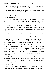"She's not dead yet," Brandon hissed. "Even if everyone else has already decided she's dead, Larry's hasn't. There's time."

José handed him the case with a sad smile. "I know it can be hard to think about her loss, but it's normal. And it's okay."

"I get that you're trying to be comforting, but it's just hard to listen to everyone telling him it's time to start grieving when she's still breathing. Her heart is still pumping."

"Whether it's hard to listen to or not, he's already grieving. And he should be. I get that you don't want to see him in pain, but not being realistic about her prognosis won't help. But showing him her letter might help a little."

"You went through her files? Her personal correspondence?"

José's friendly smile vanished, and his eyes narrowed. "I helped her type it. After I told her I was pretty sure that what she wanted to say wouldn't offend *either of you*."

Brandon wanted to smack himself in the forehead. "I'm sorry. I'm tired, and I'm making stupid assumptions…"

"If you're sorry, read her letter. Get him to read it. It's what she wanted."

Brandon made his way back into the hospital and rode the elevator up to the seventh floor. The waiting room was right beside the elevators, and he went straight to the chair beside Gus. She was on the phone and wiping away tears as she spoke, but she smiled and waved when he sat down.

He fished the computer out of the bag and opened it up in his lap. Her games were still installed, but she'd cleaned up the rest of the desktop and removed almost all of the extra programs. One of the only files on the desktop was labeled "Letter to Lawrence." There were others, including what looked like a list of accounts, with her user names and passwords, and instructions for canceling each.

Gus leaned over his arm and stared at the monitor. She reached for the touch pad and opened the file quickly. "Momma, I've got to go. Yeah, I will. Love you!" She closed the phone and looked at him, her eyebrows raised. "Should I go get him?"

"I don't know."

But Gus's eyes weren't focused on him but on the lines of text on the page. She covered her hand with her mouth as fresh tears spilled from her eyes.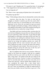"Of course it's sad," Brandon said. "It's a good-bye letter, it's not going to be—" She slapped him in the head and pointed at the monitor. "I don't…"

"Can we bring this in?"

"No. There's even a sign saying cell phones have to be turned off."

"I'm going to go get him."

"Okay." With nothing to distract him, he skimmed the words on the screen.

*Lawrence, these last days I've been so tired and my thoughts so clouded, I wanted to put this into words while I could. For years now I've worried about you. You've been so depressed, so lost. Worry for you made me urge you toward what I thought would make you happy, without realizing I was only adding to the problem. It only took a moment of seeing you really smile for me to realize how wrong I'd been.*

*Your father and I never loved each other, you know that. We married out of obligation, because that was what you did when you were expecting a child. At the time, we got along all right and thought we could make a marriage work for your sake. We tried, but there was nothing but animosity between us in the end, and that animosity and anger hurt you more than being raised by two loving, but separate, parents ever could. All staying together did was cause everyone more pain. If you marry August for my sake, or even for the sake of my memory, you'll be making the same mistake. These last two years, I've dreaded seeing you end up the same way we did. You can't build a happy life with someone you don't love.*

*But I'm confident I don't have to worry anymore. When you looked at the friend you brought to help get my computer problems sorted out, your smile was like the sun coming out after a long winter. You looked at him like you could see the whole world in his eyes. Tired as I've been, I'm not blind yet, and I've seen that same smile on your face every time you've visited since that day. I had my doubts about whether you've even considered the matter, but a dear friend who's knowledgeable about this sort of thing assured me that saying this won't leave you blindsided. It might be embarrassing to hear from your mother, but you'll just have to get over it. You*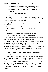*need to live the life that makes you whole, a life with someone who makes you smile like that. Maybe he can help you sort through the list of services and subscriptions that will need to be cancelled?*

*I have always been so proud of you, and I'll always love you.*

He set the computer on the chair Gus had been sitting in and squeezed his eyes shut tightly. He didn't know if reading those words would make Larry feel better, but he knew they needed to be read.

"Gus, I really don't want to do this," Larry protested as she shoved him into the waiting room.

"I don't care," she snapped. "You have moved heaven and earth to make her proud of you, you will damn well sit down and read this."

"Gus…"

She picked up the computer and pointed at the chair. "Sit."

Larry flopped into the chair, his arms and legs sprawling.

If Gus was offended, she didn't show it. She sat the computer in his lap and stood over him, her arms folded across her chest. "Read it."

Brandon watched his eyes cross the screen, taking in each line of text. His face remained passive, his gaze bleak. When he reached the end, he closed the computer and handed it to Brandon. Then he got up and moved back toward the ICU doors. Brandon fumbled the computer back into the case and moved to go after him, but Larry stopped him without looking at him. "I need time," he whispered. "I just want to go sit with her alone. I'm sorry."

"Whatever you need," Brandon said, patting him on the shoulder.

"Just time."

For three days, Brandon drove Larry back and forth to Oakland, staying from the time visiting hours started until they ended at ten o'clock. On the fourth day, Trish's doctor called them in the middle of the night and told them to come in immediately. The doctor met them at the door and asked to speak with Larry alone. Larry shook his head and clung to Brandon's hand. They were both escorted to a small room with a table and comfortable chairs, where Trish's doctor told them she'd passed away about ten minutes before they arrived.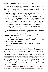Paperwork happened. Larry flipped through all of it and signed appropriate spots without even looking at it. Phone calls were made, appointments scheduled, and then they went home. Larry slept wrapped around him, his arms locked tightly against his chest.

Brandon went back to work two days later. He was surprised when Daniel approached him. His friend's black eye had almost healed, and Brandon muttered a halfhearted apology. Daniel swore, again, that he hadn't been the one to call the police, but Brandon couldn't seem to care. Brandon stared at Daniel until his friend's attempts to chat and mend things fizzled. The world had kept moving, everything at Atlas was functioning the same as it always had, and Brandon couldn't seem to get back into the same flow. He didn't say anything as he walked away from Daniel, retreating to his cubicle where he buried himself in work and tried not to think about Larry sitting in bed alone with no one but Momo for company.

But when Brandon got home, making record time through five o'clock traffic, Larry was dressed and throwing together food.

"I went to the funeral home; seemed like a good excuse to get up and do something," Larry explained, kissing him on the neck.

Brandon's heart sank. He'd had no idea Larry was going to work out the details of his mother's funeral today. He wouldn't have gone to work if he'd known. "I thought that was Saturday."

"It was. I felt like I needed to do something. And there was family…"

"Oh? How'd it go?"

"Bad." Larry stepped around Momo, who just did a figure eight to wrap herself around his legs again. Despite the show of affection, Brandon noticed two fresh scratches on Larry's hand. "My dad showed up. I was so angry with him. I spent about an hour screaming at him right there in the funeral home. Told him he didn't have the right to be there, to make any decisions about her funeral. I told him about you and me, and that I was just fine handling things on my own." Larry's voice shook, and he turned away, fiddling with the salads he was making but not actually doing anything. Brandon wrapped his arms around him. "The bastard... hugged me... He had no right to be there, no right to have anything to do with her funeral, no right to touch me. And I couldn't quit bawling like a little kid."

There wasn't anything he could say that would make things okay; he knew that. He didn't know much of anything about Larry's dad. He knew Larry hated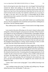him for divorcing his mom when she got sick, even though Trish herself had insisted her illness had nothing to do with their divorce. The man had remarried, and his new wife had made more attempts to get in touch with Larry than he ever had. Even if the man had never been there for his first wife, he'd tried to be there for his son today. He wished he could tell Larry it was okay to be angry, to be hurt, and it was also okay to acknowledge that his father represented more than a portion of his DNA. It was okay to need him just as much as he hated him.

But he couldn't find any words, and he didn't think Larry would hear them anyway. He just wrapped his arms around him and stayed there, holding him in the kitchen, until the shaking stopped.

They ended up back in bed, the plates of food tucked in the fridge uneaten.

\*\*\*\*

Larry stared at the priest officiating over his mom's funeral without really seeing him, without hearing the Latin prayers he said aloud. When the priest's eyes lingered over him and Brandon, he held Brandon's hand tighter and kept his features passive. They hadn't spoken to anyone when they'd arrived, and as the service ended, his mom's neighbors and friends came up, one by one, to offer their condolences. He expected the funeral to be devastating, but most of his grief had been wrung out of him by the turmoil of the last week and a half. He managed to thank people for coming, with his emotions in check, to smile and nod when they shared their memories of his mom's life.

After everyone else had approached, his father stepped up to him with his new family in tow, and Larry unconsciously tightened his grip on Brandon's hand. He seethed at the idea of his father bringing the family that replaced him and his mom to her funeral, but he forced himself to keep a neutral expression. He refused to break down here. Screaming about the inappropriateness of it all wouldn't do shit to honor his mom's memory, and it wouldn't make him feel any better. His father didn't say anything. Not an "I'm sorry" or a "Are you okay?" or even a basic greeting. His eyes shimmered with unshed tears, and just as he had at the funeral home, he wrapped his arms around Larry and hugged him tight.

"Christ, I don't want to start crying again." Larry sniffled, knowing it was hopeless.

"Ain't nothing wrong with crying," his father said, pulling away. His gaze shifted between Larry and Brandon. "Is this your…"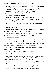He braced himself for the worst, the huff of indignation, the quiet look of disapproval. The only question was what his father would choose to point out the fact that Brandon was a man, or that he was a white man. "My boyfriend," he said, managing to at least summon a bit of defiance for that. "This is my boyfriend, Brandon. This is my dad," he said to Brandon.

"Mr. Myers," Brandon said, nodding.

His dad managed a smile and a little nod. "If you need anything, Larry, anything at all…" The rest of the sentence went unsaid, like so many things with his father always did.

He thought his dad was going to walk away, but instead, the man stopped in front of Brandon. "You were there with him? In the hospital?"

Brandon only nodded.

His dad clasped Brandon's shoulder for a moment, not quite a hug but something strangely close to one, and then he left.

"I'm so sorry," his stepmother whispered, hugging him tight. "I am so, so sorry. He meant it. If you boys need anything, please call."

"Thank you," he whispered.

His siblings were older now, teenagers who each offered him weary smiles, handshakes, and hugs. His father must have warned them all in advance about the "dating a white guy" thing, because each of them greeted Brandon and introduced themselves without a hint of surprise or censure.

Afterward, Brandon squeezed his hand and rubbed his thumb across Larry's knuckles. "Ready to go home?"

"I'm ready to get back to a routine again. Back to work."

"Not tonight, I hope."

"No," he agreed. "Not tonight. I'm such a wreck I'd end up getting somebody killed if I tried to go to work tonight. But after a solid eight hours of sleep and a gallon of coffee, I want to get back to normal."

"I can't imagine anyone else in the world calling a graveyard shift in the ER normal."

Larry laughed a little, and Brandon stopped moving. "What?"

"I don't think I realized how much I missed hearing you laugh."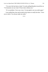"I'm sorry this has been so hard," he said, pulling Brandon toward the car. "I'm honestly not sure what I'd have done without you."

"It's no problem. I love you, Larry. I'm just glad to see you smile again."

Larry pulled him close and reveled in the chance to really kiss him. "I love you so much. You always make me smile."

\*\*\*\*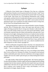### **Epilogue**

Calling the Alcott family home in Mountain View big was a ridiculous understatement. Brandon swore his parents had lived in the same "small" house his entire life. He offered the fact as proof that his parents hadn't let money go to their heads. Their house was a five-bedroom minimansion with a rolling yard, gazebo, and three levels of wooden decks that gave access to the backyard from all three stories of the house itself. Larry didn't want to point out that the apartment he grew up in would have fit neatly inside the Alcott's living room, but he'd have fun teasing Brandon about it later.

Thanksgiving had been a quiet event with just Brandon's parents, Brandon, and him. But as Christmas grew closer, they spent more and more of their nights off sitting around the Alcott's living room. Brandon's older brother and sister, each with a family of their own in tow, had come for the holidays, and he was honestly surprised when all of them welcomed him with open arms. Larry had spent several nights chatting about the horrors of medical school and then even more evenings listening to Brandon's sister excitedly talk about one day using bacteria to reprogram the DNA of cancerous cells. His brother, Luke, and his wife shared stories about how they'd met in the Peace Corps, and he heard the story of how William had met his wife, Lynn, when he stumbled into her office desperate for advice about copyright law.

Both he and Brandon changed the subject when they were asked about how they got together. His instinct told him any story that began with "We met on Grindr…" was not something to be shared around a dinner table.

As interesting as Brandon's family was, Larry was itching to leave before they'd even sat down for Christmas Eve dinner. He retreated to the backyard and the comfortable patio chairs where he could listen to the strange sounds of laughter and voices he couldn't quite tell apart yet without feeling like he had to participate.

For eight months, things had been getting better. He'd known going into October that the holidays would be rough, but that knowledge had done nothing to prepare him for those moments when the ache of grief snuck up on him and stabbed him in the heart all over again. But his mom's last words had inspired him to embrace every moment he had to enjoy with Brandon, so he was determined to be happy, despite the pain.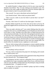He smelled Brandon's cologne before he felt his arms wrap around his shoulders from behind. "Hey," he said, looking up into Brandon's eyes. The starbursts in the center caught the golden glow from the Christmas lights, but the green looked so dark it was practically invisible.

"Hey yourself. You want to skip dinner and just head home?"

Larry shook his head. "What would your parents think?"

"That I can put a smile on your face better in private than I can here?" Brandon teased.

"Exactly. I don't know if I could ever face them again. Come here."

Brandon shifted around the arm of the chair and sat down in his lap. He shifted and wiggled until he was between Larry's legs, then leaned back against him.

"Have you made a decision yet?" Larry asked, thinking about the twelve companies who were in a veritable bidding war over Brandon now that he'd put in his notice at Atlas. Working in the same office as Daniel had proven too awkward and uncomfortable, even after they'd all apologized and tried to move on. The New Year would bring a new job and a fresh start for Brandon. It would also bring Larry to the end of his Internal Medicine rotation and the start of a rotation in cardiac medicine. He had another six months of sleeping nights and having every weekend off before he dove back into rotating shifts. Six months before his schedule became a nightmare to work around.

"Not yet. Josh is trying to talk me into going to a venture capitalist meeting with him next week. Not that he needs me, he's an amazing programmer, but you know…"

"So everything's still up in the air?"

"For now. Josh is excited about this project he's developing, and it sounds like it could be pretty cool."

Larry tried to remember the details of the augmented reality thing Josh had become obsessed with. "The hologram thing?"

"Not holograms, but that's what he's calling them. Put on a pair of glasses and suddenly you've got a smartphone right in front of you, a television on any wall you want, the ability to design objects for 3D printing by using your hands to manipulate them… It's going to be cool."

"It sounds like it. You know my schedule's going to go back to rotating shifts in another six months."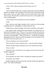"I know. That's what it's going to be like forever, isn't it?"

"Yeah."

"You're worth the funky hours. Going in to this project with Josh might be good for us, though. I can't guarantee I'll be able to earn a living, but I could pretty much set my own hours. Maybe even work from home, which I like more anyway. We'd be able to spend more than an hour a day together when you're working nights."

"You'd do that? Pick a job based on my work schedule?"

"Yeah."

"But, I want you to be happy, Brandon. I don't want you to end up doing something that isn't challenging or worthwhile just for me."

"Being with you makes me happy. And it does sound like a cool project."

Larry melted a little, realizing how much Brandon was willing to give to make their life together work. "I know it's too soon to ask this, but since you don't know what you're going to be doing, and I know I'm going to be busier if we wait, I was wondering if… Well, if you want to… I mean you were already talking about forever, and if you really want people to see you instead of your last name it'd be one solution, but… I…"

"Are you saying you want to get married?"

"Not if you don't want to, obviously. But… yeah. If you'd be willing."

"When?" Brandon asked, craning his neck so he could look up at him.

"I have no idea."

"Sometime when we both know we're going to have the same day off," Brandon suggested.

"Next weekend?"

"If we only give my mom a week's warning, she's going to go insane."

"Good point. Two weeks?"

Brandon laughed, leaned up to kiss him, and then settled back against his chest. "Two weeks sounds good."

## **The End**